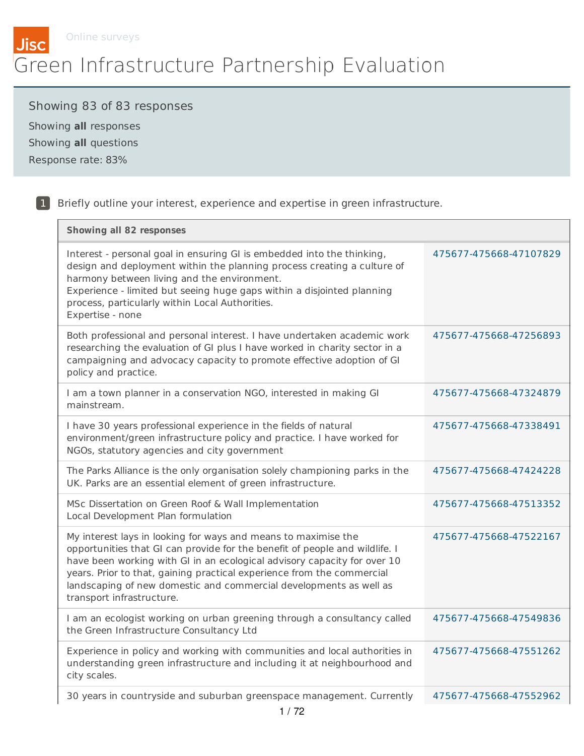

# Showing 83 of 83 responses

Showing **all** responses Showing **all** questions Response rate: 83%

| <b>Showing all 82 responses</b>                                                                                                                                                                                                                                                                                                                                                                        |                        |
|--------------------------------------------------------------------------------------------------------------------------------------------------------------------------------------------------------------------------------------------------------------------------------------------------------------------------------------------------------------------------------------------------------|------------------------|
| Interest - personal goal in ensuring GI is embedded into the thinking,<br>design and deployment within the planning process creating a culture of<br>harmony between living and the environment.<br>Experience - limited but seeing huge gaps within a disjointed planning<br>process, particularly within Local Authorities.<br>Expertise - none                                                      | 475677-475668-47107829 |
| Both professional and personal interest. I have undertaken academic work<br>researching the evaluation of GI plus I have worked in charity sector in a<br>campaigning and advocacy capacity to promote effective adoption of GI<br>policy and practice.                                                                                                                                                | 475677-475668-47256893 |
| I am a town planner in a conservation NGO, interested in making GI<br>mainstream.                                                                                                                                                                                                                                                                                                                      | 475677-475668-47324879 |
| I have 30 years professional experience in the fields of natural<br>environment/green infrastructure policy and practice. I have worked for<br>NGOs, statutory agencies and city government                                                                                                                                                                                                            | 475677-475668-47338491 |
| The Parks Alliance is the only organisation solely championing parks in the<br>UK. Parks are an essential element of green infrastructure.                                                                                                                                                                                                                                                             | 475677-475668-47424228 |
| MSc Dissertation on Green Roof & Wall Implementation<br>Local Development Plan formulation                                                                                                                                                                                                                                                                                                             | 475677-475668-47513352 |
| My interest lays in looking for ways and means to maximise the<br>opportunities that GI can provide for the benefit of people and wildlife. I<br>have been working with GI in an ecological advisory capacity for over 10<br>years. Prior to that, gaining practical experience from the commercial<br>landscaping of new domestic and commercial developments as well as<br>transport infrastructure. | 475677-475668-47522167 |
| I am an ecologist working on urban greening through a consultancy called<br>the Green Infrastructure Consultancy Ltd                                                                                                                                                                                                                                                                                   | 475677-475668-47549836 |
| Experience in policy and working with communities and local authorities in<br>understanding green infrastructure and including it at neighbourhood and<br>city scales.                                                                                                                                                                                                                                 | 475677-475668-47551262 |
| 30 years in countryside and suburban greenspace management. Currently                                                                                                                                                                                                                                                                                                                                  | 475677-475668-47552962 |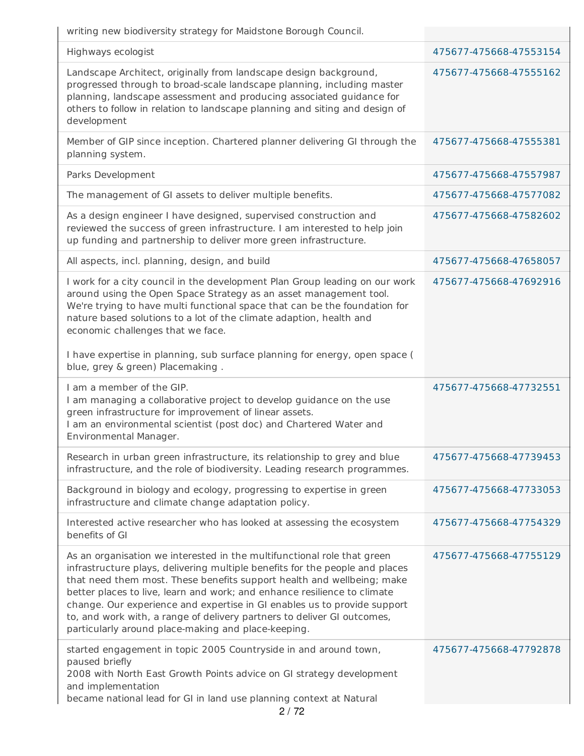writing new biodiversity strategy for Maidstone Borough Council.

| Highways ecologist                                  |                                                                                                                                                                                                                                                                                                                                                                                                                                                                                                                             | 475677-475668-47553154 |
|-----------------------------------------------------|-----------------------------------------------------------------------------------------------------------------------------------------------------------------------------------------------------------------------------------------------------------------------------------------------------------------------------------------------------------------------------------------------------------------------------------------------------------------------------------------------------------------------------|------------------------|
| development                                         | Landscape Architect, originally from landscape design background,<br>progressed through to broad-scale landscape planning, including master<br>planning, landscape assessment and producing associated guidance for<br>others to follow in relation to landscape planning and siting and design of                                                                                                                                                                                                                          | 475677-475668-47555162 |
| planning system.                                    | Member of GIP since inception. Chartered planner delivering GI through the                                                                                                                                                                                                                                                                                                                                                                                                                                                  | 475677-475668-47555381 |
| Parks Development                                   |                                                                                                                                                                                                                                                                                                                                                                                                                                                                                                                             | 475677-475668-47557987 |
|                                                     | The management of GI assets to deliver multiple benefits.                                                                                                                                                                                                                                                                                                                                                                                                                                                                   | 475677-475668-47577082 |
|                                                     | As a design engineer I have designed, supervised construction and<br>reviewed the success of green infrastructure. I am interested to help join<br>up funding and partnership to deliver more green infrastructure.                                                                                                                                                                                                                                                                                                         | 475677-475668-47582602 |
| All aspects, incl. planning, design, and build      |                                                                                                                                                                                                                                                                                                                                                                                                                                                                                                                             | 475677-475668-47658057 |
| economic challenges that we face.                   | I work for a city council in the development Plan Group leading on our work<br>around using the Open Space Strategy as an asset management tool.<br>We're trying to have multi functional space that can be the foundation for<br>nature based solutions to a lot of the climate adaption, health and                                                                                                                                                                                                                       | 475677-475668-47692916 |
| blue, grey & green) Placemaking.                    | I have expertise in planning, sub surface planning for energy, open space (                                                                                                                                                                                                                                                                                                                                                                                                                                                 |                        |
| I am a member of the GIP.<br>Environmental Manager. | I am managing a collaborative project to develop guidance on the use<br>green infrastructure for improvement of linear assets.<br>I am an environmental scientist (post doc) and Chartered Water and                                                                                                                                                                                                                                                                                                                        | 475677-475668-47732551 |
|                                                     | Research in urban green infrastructure, its relationship to grey and blue<br>infrastructure, and the role of biodiversity. Leading research programmes.                                                                                                                                                                                                                                                                                                                                                                     | 475677-475668-47739453 |
|                                                     | Background in biology and ecology, progressing to expertise in green<br>infrastructure and climate change adaptation policy.                                                                                                                                                                                                                                                                                                                                                                                                | 475677-475668-47733053 |
| benefits of GI                                      | Interested active researcher who has looked at assessing the ecosystem                                                                                                                                                                                                                                                                                                                                                                                                                                                      | 475677-475668-47754329 |
|                                                     | As an organisation we interested in the multifunctional role that green<br>infrastructure plays, delivering multiple benefits for the people and places<br>that need them most. These benefits support health and wellbeing; make<br>better places to live, learn and work; and enhance resilience to climate<br>change. Our experience and expertise in GI enables us to provide support<br>to, and work with, a range of delivery partners to deliver GI outcomes,<br>particularly around place-making and place-keeping. | 475677-475668-47755129 |
| paused briefly<br>and implementation                | started engagement in topic 2005 Countryside in and around town,<br>2008 with North East Growth Points advice on GI strategy development<br>became national lead for GI in land use planning context at Natural                                                                                                                                                                                                                                                                                                             | 475677-475668-47792878 |
|                                                     |                                                                                                                                                                                                                                                                                                                                                                                                                                                                                                                             |                        |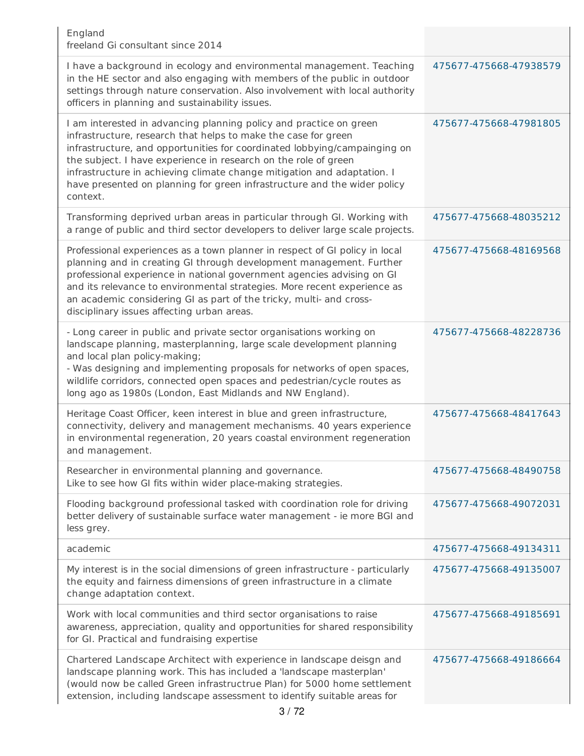| England<br>freeland Gi consultant since 2014                                                                                                                                                                                                                                                                                                                                                                                                            |                        |
|---------------------------------------------------------------------------------------------------------------------------------------------------------------------------------------------------------------------------------------------------------------------------------------------------------------------------------------------------------------------------------------------------------------------------------------------------------|------------------------|
| I have a background in ecology and environmental management. Teaching<br>in the HE sector and also engaging with members of the public in outdoor<br>settings through nature conservation. Also involvement with local authority<br>officers in planning and sustainability issues.                                                                                                                                                                     | 475677-475668-47938579 |
| I am interested in advancing planning policy and practice on green<br>infrastructure, research that helps to make the case for green<br>infrastructure, and opportunities for coordinated lobbying/campainging on<br>the subject. I have experience in research on the role of green<br>infrastructure in achieving climate change mitigation and adaptation. I<br>have presented on planning for green infrastructure and the wider policy<br>context. | 475677-475668-47981805 |
| Transforming deprived urban areas in particular through GI. Working with<br>a range of public and third sector developers to deliver large scale projects.                                                                                                                                                                                                                                                                                              | 475677-475668-48035212 |
| Professional experiences as a town planner in respect of GI policy in local<br>planning and in creating GI through development management. Further<br>professional experience in national government agencies advising on GI<br>and its relevance to environmental strategies. More recent experience as<br>an academic considering GI as part of the tricky, multi- and cross-<br>disciplinary issues affecting urban areas.                           | 475677-475668-48169568 |
| - Long career in public and private sector organisations working on<br>landscape planning, masterplanning, large scale development planning<br>and local plan policy-making;<br>- Was designing and implementing proposals for networks of open spaces,<br>wildlife corridors, connected open spaces and pedestrian/cycle routes as<br>long ago as 1980s (London, East Midlands and NW England).                                                        | 475677-475668-48228736 |
| Heritage Coast Officer, keen interest in blue and green infrastructure,<br>connectivity, delivery and management mechanisms. 40 years experience<br>in environmental regeneration, 20 years coastal environment regeneration<br>and management.                                                                                                                                                                                                         | 475677-475668-48417643 |
| Researcher in environmental planning and governance.<br>Like to see how GI fits within wider place-making strategies.                                                                                                                                                                                                                                                                                                                                   | 475677-475668-48490758 |
| Flooding background professional tasked with coordination role for driving<br>better delivery of sustainable surface water management - ie more BGI and<br>less grey.                                                                                                                                                                                                                                                                                   | 475677-475668-49072031 |
| academic                                                                                                                                                                                                                                                                                                                                                                                                                                                | 475677-475668-49134311 |
| My interest is in the social dimensions of green infrastructure - particularly<br>the equity and fairness dimensions of green infrastructure in a climate<br>change adaptation context.                                                                                                                                                                                                                                                                 | 475677-475668-49135007 |
| Work with local communities and third sector organisations to raise<br>awareness, appreciation, quality and opportunities for shared responsibility<br>for GI. Practical and fundraising expertise                                                                                                                                                                                                                                                      | 475677-475668-49185691 |
| Chartered Landscape Architect with experience in landscape deisgn and<br>landscape planning work. This has included a 'landscape masterplan'<br>(would now be called Green infrastructrue Plan) for 5000 home settlement<br>extension, including landscape assessment to identify suitable areas for<br>3/72                                                                                                                                            | 475677-475668-49186664 |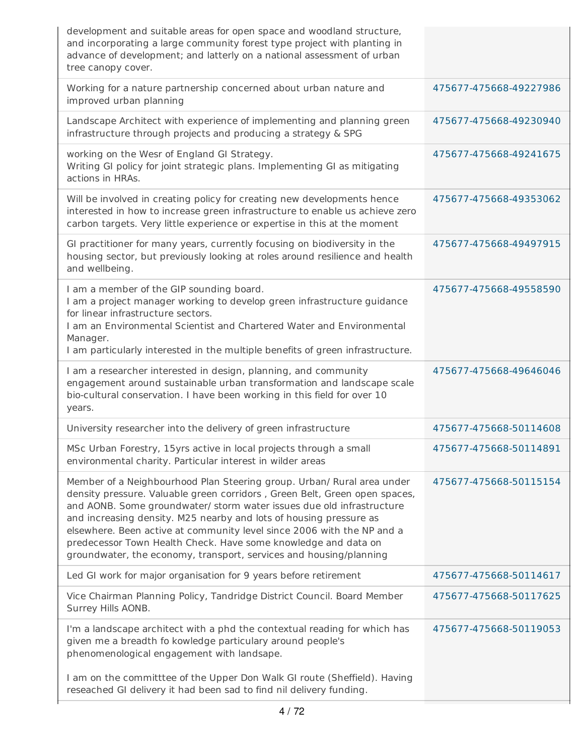| development and suitable areas for open space and woodland structure,<br>and incorporating a large community forest type project with planting in<br>advance of development; and latterly on a national assessment of urban<br>tree canopy cover.                                                                                                                                                                                                                                                                     |                        |
|-----------------------------------------------------------------------------------------------------------------------------------------------------------------------------------------------------------------------------------------------------------------------------------------------------------------------------------------------------------------------------------------------------------------------------------------------------------------------------------------------------------------------|------------------------|
| Working for a nature partnership concerned about urban nature and<br>improved urban planning                                                                                                                                                                                                                                                                                                                                                                                                                          | 475677-475668-49227986 |
| Landscape Architect with experience of implementing and planning green<br>infrastructure through projects and producing a strategy & SPG                                                                                                                                                                                                                                                                                                                                                                              | 475677-475668-49230940 |
| working on the Wesr of England GI Strategy.<br>Writing GI policy for joint strategic plans. Implementing GI as mitigating<br>actions in HRAs.                                                                                                                                                                                                                                                                                                                                                                         | 475677-475668-49241675 |
| Will be involved in creating policy for creating new developments hence<br>interested in how to increase green infrastructure to enable us achieve zero<br>carbon targets. Very little experience or expertise in this at the moment                                                                                                                                                                                                                                                                                  | 475677-475668-49353062 |
| GI practitioner for many years, currently focusing on biodiversity in the<br>housing sector, but previously looking at roles around resilience and health<br>and wellbeing.                                                                                                                                                                                                                                                                                                                                           | 475677-475668-49497915 |
| I am a member of the GIP sounding board.<br>I am a project manager working to develop green infrastructure guidance<br>for linear infrastructure sectors.<br>I am an Environmental Scientist and Chartered Water and Environmental<br>Manager.<br>I am particularly interested in the multiple benefits of green infrastructure.                                                                                                                                                                                      | 475677-475668-49558590 |
| I am a researcher interested in design, planning, and community<br>engagement around sustainable urban transformation and landscape scale<br>bio-cultural conservation. I have been working in this field for over 10<br>years.                                                                                                                                                                                                                                                                                       | 475677-475668-49646046 |
| University researcher into the delivery of green infrastructure                                                                                                                                                                                                                                                                                                                                                                                                                                                       | 475677-475668-50114608 |
| MSc Urban Forestry, 15yrs active in local projects through a small<br>environmental charity. Particular interest in wilder areas                                                                                                                                                                                                                                                                                                                                                                                      | 475677-475668-50114891 |
| Member of a Neighbourhood Plan Steering group. Urban/ Rural area under<br>density pressure. Valuable green corridors, Green Belt, Green open spaces,<br>and AONB. Some groundwater/ storm water issues due old infrastructure<br>and increasing density. M25 nearby and lots of housing pressure as<br>elsewhere. Been active at community level since 2006 with the NP and a<br>predecessor Town Health Check. Have some knowledge and data on<br>groundwater, the economy, transport, services and housing/planning | 475677-475668-50115154 |
| Led GI work for major organisation for 9 years before retirement                                                                                                                                                                                                                                                                                                                                                                                                                                                      | 475677-475668-50114617 |
| Vice Chairman Planning Policy, Tandridge District Council. Board Member<br>Surrey Hills AONB.                                                                                                                                                                                                                                                                                                                                                                                                                         | 475677-475668-50117625 |
| I'm a landscape architect with a phd the contextual reading for which has<br>given me a breadth fo kowledge particulary around people's<br>phenomenological engagement with landsape.                                                                                                                                                                                                                                                                                                                                 | 475677-475668-50119053 |
| I am on the committtee of the Upper Don Walk GI route (Sheffield). Having<br>reseached GI delivery it had been sad to find nil delivery funding.                                                                                                                                                                                                                                                                                                                                                                      |                        |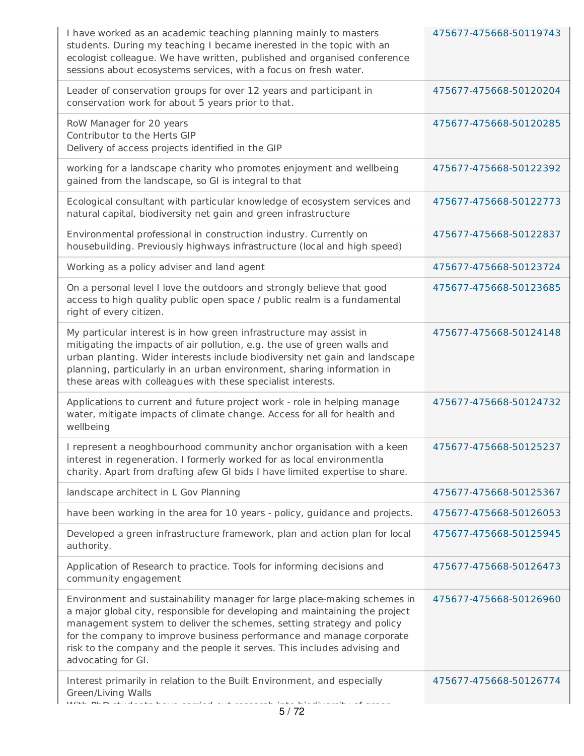| I have worked as an academic teaching planning mainly to masters<br>students. During my teaching I became inerested in the topic with an<br>ecologist colleague. We have written, published and organised conference<br>sessions about ecosystems services, with a focus on fresh water.                                                                                                                   | 475677-475668-50119743 |
|------------------------------------------------------------------------------------------------------------------------------------------------------------------------------------------------------------------------------------------------------------------------------------------------------------------------------------------------------------------------------------------------------------|------------------------|
| Leader of conservation groups for over 12 years and participant in<br>conservation work for about 5 years prior to that.                                                                                                                                                                                                                                                                                   | 475677-475668-50120204 |
| RoW Manager for 20 years<br>Contributor to the Herts GIP<br>Delivery of access projects identified in the GIP                                                                                                                                                                                                                                                                                              | 475677-475668-50120285 |
| working for a landscape charity who promotes enjoyment and wellbeing<br>gained from the landscape, so GI is integral to that                                                                                                                                                                                                                                                                               | 475677-475668-50122392 |
| Ecological consultant with particular knowledge of ecosystem services and<br>natural capital, biodiversity net gain and green infrastructure                                                                                                                                                                                                                                                               | 475677-475668-50122773 |
| Environmental professional in construction industry. Currently on<br>housebuilding. Previously highways infrastructure (local and high speed)                                                                                                                                                                                                                                                              | 475677-475668-50122837 |
| Working as a policy adviser and land agent                                                                                                                                                                                                                                                                                                                                                                 | 475677-475668-50123724 |
| On a personal level I love the outdoors and strongly believe that good<br>access to high quality public open space / public realm is a fundamental<br>right of every citizen.                                                                                                                                                                                                                              | 475677-475668-50123685 |
| My particular interest is in how green infrastructure may assist in<br>mitigating the impacts of air pollution, e.g. the use of green walls and<br>urban planting. Wider interests include biodiversity net gain and landscape<br>planning, particularly in an urban environment, sharing information in<br>these areas with colleagues with these specialist interests.                                   | 475677-475668-50124148 |
| Applications to current and future project work - role in helping manage<br>water, mitigate impacts of climate change. Access for all for health and<br>wellbeing                                                                                                                                                                                                                                          | 475677-475668-50124732 |
| I represent a neoghbourhood community anchor organisation with a keen<br>interest in regeneration. I formerly worked for as local environmentla<br>charity. Apart from drafting afew GI bids I have limited expertise to share.                                                                                                                                                                            | 475677-475668-50125237 |
| landscape architect in L Gov Planning                                                                                                                                                                                                                                                                                                                                                                      | 475677-475668-50125367 |
| have been working in the area for 10 years - policy, guidance and projects.                                                                                                                                                                                                                                                                                                                                | 475677-475668-50126053 |
| Developed a green infrastructure framework, plan and action plan for local<br>authority.                                                                                                                                                                                                                                                                                                                   | 475677-475668-50125945 |
| Application of Research to practice. Tools for informing decisions and<br>community engagement                                                                                                                                                                                                                                                                                                             | 475677-475668-50126473 |
| Environment and sustainability manager for large place-making schemes in<br>a major global city, responsible for developing and maintaining the project<br>management system to deliver the schemes, setting strategy and policy<br>for the company to improve business performance and manage corporate<br>risk to the company and the people it serves. This includes advising and<br>advocating for GI. | 475677-475668-50126960 |
| Interest primarily in relation to the Built Environment, and especially<br>Green/Living Walls<br>.<br>Milita de Marcato de la la la la concentración de la la concentración de la concentración de la la concentració<br>وتحاويت هجان وفاوس والالتحارة الحفيظ الماوين والمتحدث القارب<br>5/72                                                                                                              | 475677-475668-50126774 |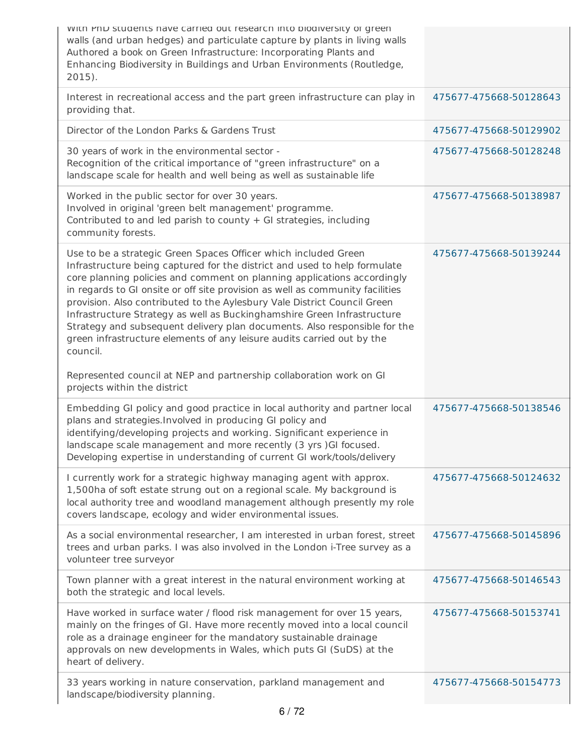| with PhD students have carried out research into biodiversity or green<br>walls (and urban hedges) and particulate capture by plants in living walls<br>Authored a book on Green Infrastructure: Incorporating Plants and<br>Enhancing Biodiversity in Buildings and Urban Environments (Routledge,<br>$2015$ ).                                                                                                                                                                                                                                                                                                                                                                                          |                        |
|-----------------------------------------------------------------------------------------------------------------------------------------------------------------------------------------------------------------------------------------------------------------------------------------------------------------------------------------------------------------------------------------------------------------------------------------------------------------------------------------------------------------------------------------------------------------------------------------------------------------------------------------------------------------------------------------------------------|------------------------|
| Interest in recreational access and the part green infrastructure can play in<br>providing that.                                                                                                                                                                                                                                                                                                                                                                                                                                                                                                                                                                                                          | 475677-475668-50128643 |
| Director of the London Parks & Gardens Trust                                                                                                                                                                                                                                                                                                                                                                                                                                                                                                                                                                                                                                                              | 475677-475668-50129902 |
| 30 years of work in the environmental sector -<br>Recognition of the critical importance of "green infrastructure" on a<br>landscape scale for health and well being as well as sustainable life                                                                                                                                                                                                                                                                                                                                                                                                                                                                                                          | 475677-475668-50128248 |
| Worked in the public sector for over 30 years.<br>Involved in original 'green belt management' programme.<br>Contributed to and led parish to county + GI strategies, including<br>community forests.                                                                                                                                                                                                                                                                                                                                                                                                                                                                                                     | 475677-475668-50138987 |
| Use to be a strategic Green Spaces Officer which included Green<br>Infrastructure being captured for the district and used to help formulate<br>core planning policies and comment on planning applications accordingly<br>in regards to GI onsite or off site provision as well as community facilities<br>provision. Also contributed to the Aylesbury Vale District Council Green<br>Infrastructure Strategy as well as Buckinghamshire Green Infrastructure<br>Strategy and subsequent delivery plan documents. Also responsible for the<br>green infrastructure elements of any leisure audits carried out by the<br>council.<br>Represented council at NEP and partnership collaboration work on GI | 475677-475668-50139244 |
| projects within the district                                                                                                                                                                                                                                                                                                                                                                                                                                                                                                                                                                                                                                                                              |                        |
| Embedding GI policy and good practice in local authority and partner local<br>plans and strategies. Involved in producing GI policy and<br>identifying/developing projects and working. Significant experience in<br>landscape scale management and more recently (3 yrs) GI focused.<br>Developing expertise in understanding of current GI work/tools/delivery                                                                                                                                                                                                                                                                                                                                          | 475677-475668-50138546 |
| I currently work for a strategic highway managing agent with approx.                                                                                                                                                                                                                                                                                                                                                                                                                                                                                                                                                                                                                                      |                        |
| 1,500ha of soft estate strung out on a regional scale. My background is<br>local authority tree and woodland management although presently my role<br>covers landscape, ecology and wider environmental issues.                                                                                                                                                                                                                                                                                                                                                                                                                                                                                           | 475677-475668-50124632 |
| As a social environmental researcher, I am interested in urban forest, street<br>trees and urban parks. I was also involved in the London i-Tree survey as a<br>volunteer tree surveyor                                                                                                                                                                                                                                                                                                                                                                                                                                                                                                                   | 475677-475668-50145896 |
| Town planner with a great interest in the natural environment working at<br>both the strategic and local levels.                                                                                                                                                                                                                                                                                                                                                                                                                                                                                                                                                                                          | 475677-475668-50146543 |
| Have worked in surface water / flood risk management for over 15 years,<br>mainly on the fringes of GI. Have more recently moved into a local council<br>role as a drainage engineer for the mandatory sustainable drainage<br>approvals on new developments in Wales, which puts GI (SuDS) at the<br>heart of delivery.                                                                                                                                                                                                                                                                                                                                                                                  | 475677-475668-50153741 |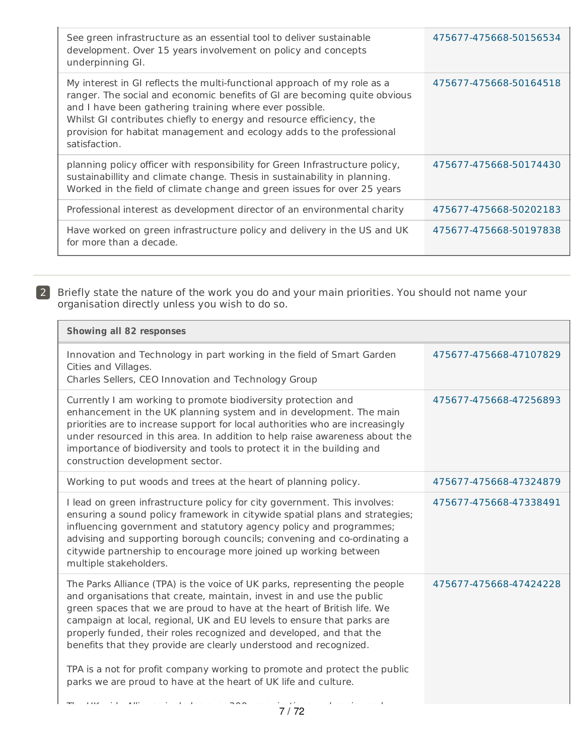| See green infrastructure as an essential tool to deliver sustainable<br>development. Over 15 years involvement on policy and concepts<br>underpinning GI.                                                                                                                                                                                                                          | 475677-475668-50156534 |
|------------------------------------------------------------------------------------------------------------------------------------------------------------------------------------------------------------------------------------------------------------------------------------------------------------------------------------------------------------------------------------|------------------------|
| My interest in GI reflects the multi-functional approach of my role as a<br>ranger. The social and economic benefits of GI are becoming quite obvious<br>and I have been gathering training where ever possible.<br>Whilst GI contributes chiefly to energy and resource efficiency, the<br>provision for habitat management and ecology adds to the professional<br>satisfaction. | 475677-475668-50164518 |
| planning policy officer with responsibility for Green Infrastructure policy,<br>sustainabillity and climate change. Thesis in sustainability in planning.<br>Worked in the field of climate change and green issues for over 25 years                                                                                                                                              | 475677-475668-50174430 |
| Professional interest as development director of an environmental charity                                                                                                                                                                                                                                                                                                          | 475677-475668-50202183 |
| Have worked on green infrastructure policy and delivery in the US and UK<br>for more than a decade.                                                                                                                                                                                                                                                                                | 475677-475668-50197838 |

2 Briefly state the nature of the work you do and your main priorities. You should not name your organisation directly unless you wish to do so.

| <b>Showing all 82 responses</b>                                                                                                                                                                                                                                                                                                                                                                                                                                                                                                                                                                                                                          |                        |
|----------------------------------------------------------------------------------------------------------------------------------------------------------------------------------------------------------------------------------------------------------------------------------------------------------------------------------------------------------------------------------------------------------------------------------------------------------------------------------------------------------------------------------------------------------------------------------------------------------------------------------------------------------|------------------------|
| Innovation and Technology in part working in the field of Smart Garden<br>Cities and Villages.<br>Charles Sellers, CEO Innovation and Technology Group                                                                                                                                                                                                                                                                                                                                                                                                                                                                                                   | 475677-475668-47107829 |
| Currently I am working to promote biodiversity protection and<br>enhancement in the UK planning system and in development. The main<br>priorities are to increase support for local authorities who are increasingly<br>under resourced in this area. In addition to help raise awareness about the<br>importance of biodiversity and tools to protect it in the building and<br>construction development sector.                                                                                                                                                                                                                                        | 475677-475668-47256893 |
| Working to put woods and trees at the heart of planning policy.                                                                                                                                                                                                                                                                                                                                                                                                                                                                                                                                                                                          | 475677-475668-47324879 |
| I lead on green infrastructure policy for city government. This involves:<br>ensuring a sound policy framework in citywide spatial plans and strategies;<br>influencing government and statutory agency policy and programmes;<br>advising and supporting borough councils; convening and co-ordinating a<br>citywide partnership to encourage more joined up working between<br>multiple stakeholders.                                                                                                                                                                                                                                                  | 475677-475668-47338491 |
| The Parks Alliance (TPA) is the voice of UK parks, representing the people<br>and organisations that create, maintain, invest in and use the public<br>green spaces that we are proud to have at the heart of British life. We<br>campaign at local, regional, UK and EU levels to ensure that parks are<br>properly funded, their roles recognized and developed, and that the<br>benefits that they provide are clearly understood and recognized.<br>TPA is a not for profit company working to promote and protect the public<br>parks we are proud to have at the heart of UK life and culture.<br>$\mathbf{r}$<br><b>Contract Contract</b><br>7170 | 475677-475668-47424228 |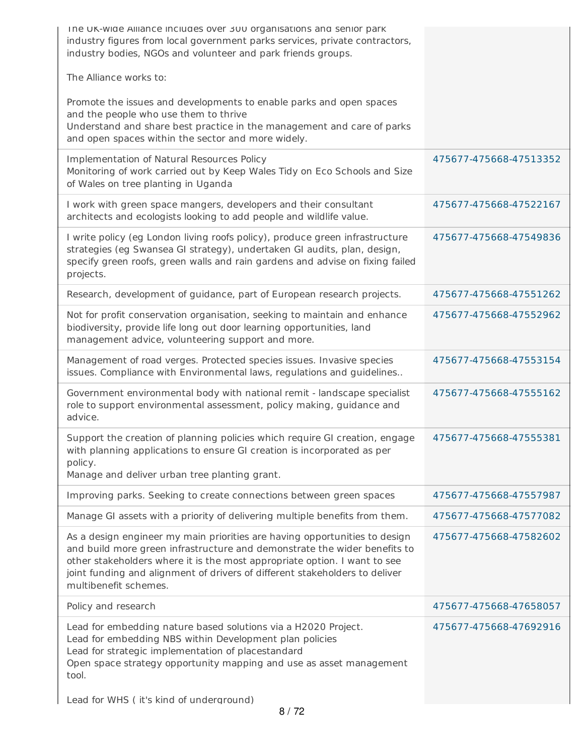| The UK-wide Alliance includes over 300 organisations and senior park<br>industry figures from local government parks services, private contractors,<br>industry bodies, NGOs and volunteer and park friends groups.                                                                                                                          |                        |
|----------------------------------------------------------------------------------------------------------------------------------------------------------------------------------------------------------------------------------------------------------------------------------------------------------------------------------------------|------------------------|
| The Alliance works to:                                                                                                                                                                                                                                                                                                                       |                        |
| Promote the issues and developments to enable parks and open spaces<br>and the people who use them to thrive<br>Understand and share best practice in the management and care of parks<br>and open spaces within the sector and more widely.                                                                                                 |                        |
| Implementation of Natural Resources Policy<br>Monitoring of work carried out by Keep Wales Tidy on Eco Schools and Size<br>of Wales on tree planting in Uganda                                                                                                                                                                               | 475677-475668-47513352 |
| I work with green space mangers, developers and their consultant<br>architects and ecologists looking to add people and wildlife value.                                                                                                                                                                                                      | 475677-475668-47522167 |
| I write policy (eg London living roofs policy), produce green infrastructure<br>strategies (eg Swansea GI strategy), undertaken GI audits, plan, design,<br>specify green roofs, green walls and rain gardens and advise on fixing failed<br>projects.                                                                                       | 475677-475668-47549836 |
| Research, development of guidance, part of European research projects.                                                                                                                                                                                                                                                                       | 475677-475668-47551262 |
| Not for profit conservation organisation, seeking to maintain and enhance<br>biodiversity, provide life long out door learning opportunities, land<br>management advice, volunteering support and more.                                                                                                                                      | 475677-475668-47552962 |
| Management of road verges. Protected species issues. Invasive species<br>issues. Compliance with Environmental laws, regulations and guidelines                                                                                                                                                                                              | 475677-475668-47553154 |
| Government environmental body with national remit - landscape specialist<br>role to support environmental assessment, policy making, guidance and<br>advice.                                                                                                                                                                                 | 475677-475668-47555162 |
| Support the creation of planning policies which require GI creation, engage<br>with planning applications to ensure GI creation is incorporated as per<br>policy.                                                                                                                                                                            | 475677-475668-47555381 |
| Manage and deliver urban tree planting grant.                                                                                                                                                                                                                                                                                                |                        |
| Improving parks. Seeking to create connections between green spaces                                                                                                                                                                                                                                                                          | 475677-475668-47557987 |
| Manage GI assets with a priority of delivering multiple benefits from them.                                                                                                                                                                                                                                                                  | 475677-475668-47577082 |
| As a design engineer my main priorities are having opportunities to design<br>and build more green infrastructure and demonstrate the wider benefits to<br>other stakeholders where it is the most appropriate option. I want to see<br>joint funding and alignment of drivers of different stakeholders to deliver<br>multibenefit schemes. | 475677-475668-47582602 |
| Policy and research                                                                                                                                                                                                                                                                                                                          | 475677-475668-47658057 |
| Lead for embedding nature based solutions via a H2020 Project.<br>Lead for embedding NBS within Development plan policies<br>Lead for strategic implementation of placestandard<br>Open space strategy opportunity mapping and use as asset management<br>tool.                                                                              | 475677-475668-47692916 |
| Lead for WHS (it's kind of underground)                                                                                                                                                                                                                                                                                                      |                        |

8 / 72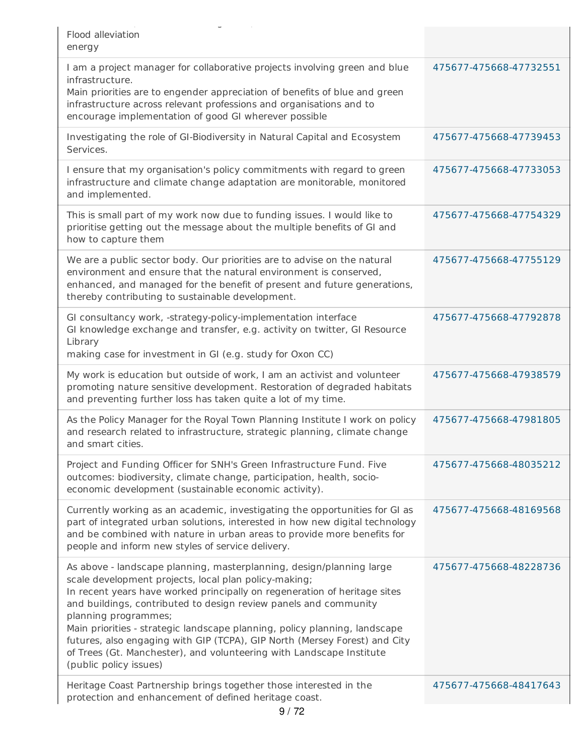| Flood alleviation<br>energy                                                                                                                                                                                                                                                                                                                                                                                                                                                                                                                                          |                        |
|----------------------------------------------------------------------------------------------------------------------------------------------------------------------------------------------------------------------------------------------------------------------------------------------------------------------------------------------------------------------------------------------------------------------------------------------------------------------------------------------------------------------------------------------------------------------|------------------------|
| I am a project manager for collaborative projects involving green and blue<br>infrastructure.<br>Main priorities are to engender appreciation of benefits of blue and green<br>infrastructure across relevant professions and organisations and to<br>encourage implementation of good GI wherever possible                                                                                                                                                                                                                                                          | 475677-475668-47732551 |
| Investigating the role of GI-Biodiversity in Natural Capital and Ecosystem<br>Services.                                                                                                                                                                                                                                                                                                                                                                                                                                                                              | 475677-475668-47739453 |
| I ensure that my organisation's policy commitments with regard to green<br>infrastructure and climate change adaptation are monitorable, monitored<br>and implemented.                                                                                                                                                                                                                                                                                                                                                                                               | 475677-475668-47733053 |
| This is small part of my work now due to funding issues. I would like to<br>prioritise getting out the message about the multiple benefits of GI and<br>how to capture them                                                                                                                                                                                                                                                                                                                                                                                          | 475677-475668-47754329 |
| We are a public sector body. Our priorities are to advise on the natural<br>environment and ensure that the natural environment is conserved,<br>enhanced, and managed for the benefit of present and future generations,<br>thereby contributing to sustainable development.                                                                                                                                                                                                                                                                                        | 475677-475668-47755129 |
| GI consultancy work, -strategy-policy-implementation interface<br>GI knowledge exchange and transfer, e.g. activity on twitter, GI Resource<br>Library<br>making case for investment in GI (e.g. study for Oxon CC)                                                                                                                                                                                                                                                                                                                                                  | 475677-475668-47792878 |
| My work is education but outside of work, I am an activist and volunteer<br>promoting nature sensitive development. Restoration of degraded habitats<br>and preventing further loss has taken quite a lot of my time.                                                                                                                                                                                                                                                                                                                                                | 475677-475668-47938579 |
| As the Policy Manager for the Royal Town Planning Institute I work on policy<br>and research related to infrastructure, strategic planning, climate change<br>and smart cities.                                                                                                                                                                                                                                                                                                                                                                                      | 475677-475668-47981805 |
| Project and Funding Officer for SNH's Green Infrastructure Fund. Five<br>outcomes: biodiversity, climate change, participation, health, socio-<br>economic development (sustainable economic activity).                                                                                                                                                                                                                                                                                                                                                              | 475677-475668-48035212 |
| Currently working as an academic, investigating the opportunities for GI as<br>part of integrated urban solutions, interested in how new digital technology<br>and be combined with nature in urban areas to provide more benefits for<br>people and inform new styles of service delivery.                                                                                                                                                                                                                                                                          | 475677-475668-48169568 |
| As above - landscape planning, masterplanning, design/planning large<br>scale development projects, local plan policy-making;<br>In recent years have worked principally on regeneration of heritage sites<br>and buildings, contributed to design review panels and community<br>planning programmes;<br>Main priorities - strategic landscape planning, policy planning, landscape<br>futures, also engaging with GIP (TCPA), GIP North (Mersey Forest) and City<br>of Trees (Gt. Manchester), and volunteering with Landscape Institute<br>(public policy issues) | 475677-475668-48228736 |
| Heritage Coast Partnership brings together those interested in the<br>protection and enhancement of defined heritage coast.                                                                                                                                                                                                                                                                                                                                                                                                                                          | 475677-475668-48417643 |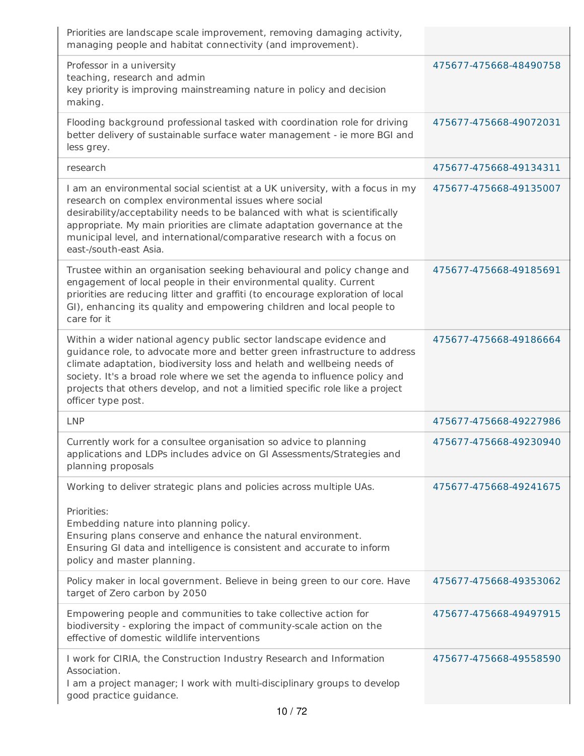| Priorities are landscape scale improvement, removing damaging activity,<br>managing people and habitat connectivity (and improvement).                                                                                                                                                                                                                                                                            |                        |
|-------------------------------------------------------------------------------------------------------------------------------------------------------------------------------------------------------------------------------------------------------------------------------------------------------------------------------------------------------------------------------------------------------------------|------------------------|
| Professor in a university<br>teaching, research and admin<br>key priority is improving mainstreaming nature in policy and decision<br>making.                                                                                                                                                                                                                                                                     | 475677-475668-48490758 |
| Flooding background professional tasked with coordination role for driving<br>better delivery of sustainable surface water management - ie more BGI and<br>less grey.                                                                                                                                                                                                                                             | 475677-475668-49072031 |
| research                                                                                                                                                                                                                                                                                                                                                                                                          | 475677-475668-49134311 |
| I am an environmental social scientist at a UK university, with a focus in my<br>research on complex environmental issues where social<br>desirability/acceptability needs to be balanced with what is scientifically<br>appropriate. My main priorities are climate adaptation governance at the<br>municipal level, and international/comparative research with a focus on<br>east-/south-east Asia.            | 475677-475668-49135007 |
| Trustee within an organisation seeking behavioural and policy change and<br>engagement of local people in their environmental quality. Current<br>priorities are reducing litter and graffiti (to encourage exploration of local<br>GI), enhancing its quality and empowering children and local people to<br>care for it                                                                                         | 475677-475668-49185691 |
| Within a wider national agency public sector landscape evidence and<br>guidance role, to advocate more and better green infrastructure to address<br>climate adaptation, biodiversity loss and helath and wellbeing needs of<br>society. It's a broad role where we set the agenda to influence policy and<br>projects that others develop, and not a limitied specific role like a project<br>officer type post. | 475677-475668-49186664 |
| <b>LNP</b>                                                                                                                                                                                                                                                                                                                                                                                                        | 475677-475668-49227986 |
| Currently work for a consultee organisation so advice to planning<br>applications and LDPs includes advice on GI Assessments/Strategies and<br>planning proposals                                                                                                                                                                                                                                                 | 475677-475668-49230940 |
| Working to deliver strategic plans and policies across multiple UAs.<br>Priorities:<br>Embedding nature into planning policy.<br>Ensuring plans conserve and enhance the natural environment.<br>Ensuring GI data and intelligence is consistent and accurate to inform<br>policy and master planning.                                                                                                            | 475677-475668-49241675 |
| Policy maker in local government. Believe in being green to our core. Have<br>target of Zero carbon by 2050                                                                                                                                                                                                                                                                                                       | 475677-475668-49353062 |
| Empowering people and communities to take collective action for<br>biodiversity - exploring the impact of community-scale action on the<br>effective of domestic wildlife interventions                                                                                                                                                                                                                           | 475677-475668-49497915 |
| I work for CIRIA, the Construction Industry Research and Information<br>Association.<br>I am a project manager; I work with multi-disciplinary groups to develop<br>good practice guidance.                                                                                                                                                                                                                       | 475677-475668-49558590 |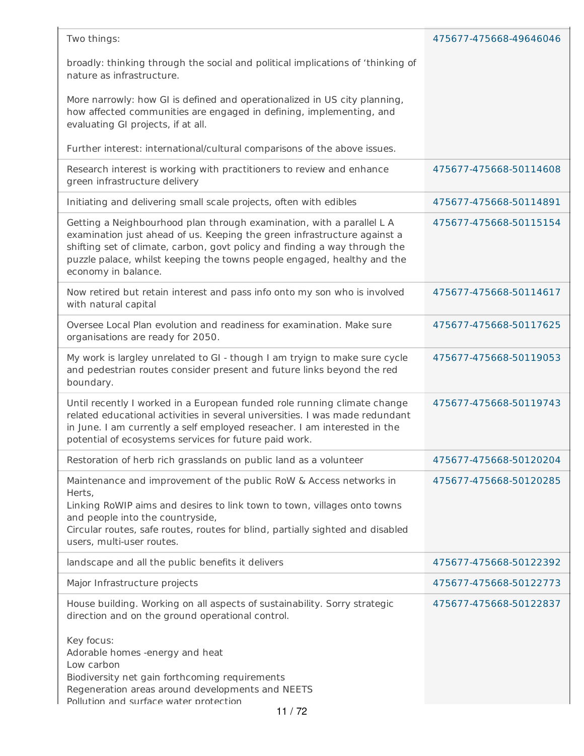| broadly: thinking through the social and political implications of 'thinking of<br>nature as infrastructure.<br>More narrowly: how GI is defined and operationalized in US city planning,<br>how affected communities are engaged in defining, implementing, and<br>evaluating GI projects, if at all.<br>Further interest: international/cultural comparisons of the above issues.<br>Research interest is working with practitioners to review and enhance<br>475677-475668-50114608<br>green infrastructure delivery<br>Initiating and delivering small scale projects, often with edibles<br>475677-475668-50114891<br>Getting a Neighbourhood plan through examination, with a parallel L A<br>475677-475668-50115154<br>examination just ahead of us. Keeping the green infrastructure against a<br>shifting set of climate, carbon, govt policy and finding a way through the<br>puzzle palace, whilst keeping the towns people engaged, healthy and the<br>economy in balance.<br>Now retired but retain interest and pass info onto my son who is involved<br>475677-475668-50114617<br>with natural capital<br>Oversee Local Plan evolution and readiness for examination. Make sure<br>475677-475668-50117625<br>organisations are ready for 2050.<br>My work is largley unrelated to GI - though I am tryign to make sure cycle<br>475677-475668-50119053<br>and pedestrian routes consider present and future links beyond the red<br>boundary.<br>Until recently I worked in a European funded role running climate change<br>475677-475668-50119743<br>related educational activities in several universities. I was made redundant<br>in June. I am currently a self employed reseacher. I am interested in the<br>potential of ecosystems services for future paid work.<br>Restoration of herb rich grasslands on public land as a volunteer<br>475677-475668-50120204<br>Maintenance and improvement of the public RoW & Access networks in<br>475677-475668-50120285<br>Herts,<br>Linking RoWIP aims and desires to link town to town, villages onto towns<br>and people into the countryside,<br>Circular routes, safe routes, routes for blind, partially sighted and disabled<br>users, multi-user routes.<br>landscape and all the public benefits it delivers<br>475677-475668-50122392<br>Major Infrastructure projects<br>475677-475668-50122773<br>House building. Working on all aspects of sustainability. Sorry strategic<br>475677-475668-50122837<br>direction and on the ground operational control.<br>Key focus:<br>Adorable homes -energy and heat<br>Low carbon<br>Biodiversity net gain forthcoming requirements<br>Regeneration areas around developments and NEETS<br>Pollution and surface water protection<br>11/72 | Two things: | 475677-475668-49646046 |
|----------------------------------------------------------------------------------------------------------------------------------------------------------------------------------------------------------------------------------------------------------------------------------------------------------------------------------------------------------------------------------------------------------------------------------------------------------------------------------------------------------------------------------------------------------------------------------------------------------------------------------------------------------------------------------------------------------------------------------------------------------------------------------------------------------------------------------------------------------------------------------------------------------------------------------------------------------------------------------------------------------------------------------------------------------------------------------------------------------------------------------------------------------------------------------------------------------------------------------------------------------------------------------------------------------------------------------------------------------------------------------------------------------------------------------------------------------------------------------------------------------------------------------------------------------------------------------------------------------------------------------------------------------------------------------------------------------------------------------------------------------------------------------------------------------------------------------------------------------------------------------------------------------------------------------------------------------------------------------------------------------------------------------------------------------------------------------------------------------------------------------------------------------------------------------------------------------------------------------------------------------------------------------------------------------------------------------------------------------------------------------------------------------------------------------------------------------------------------------------------------------------------------------------------------------------------------------------------------------------------------------------------------------------------------------------------------------------------------------------------------------------|-------------|------------------------|
|                                                                                                                                                                                                                                                                                                                                                                                                                                                                                                                                                                                                                                                                                                                                                                                                                                                                                                                                                                                                                                                                                                                                                                                                                                                                                                                                                                                                                                                                                                                                                                                                                                                                                                                                                                                                                                                                                                                                                                                                                                                                                                                                                                                                                                                                                                                                                                                                                                                                                                                                                                                                                                                                                                                                                                |             |                        |
|                                                                                                                                                                                                                                                                                                                                                                                                                                                                                                                                                                                                                                                                                                                                                                                                                                                                                                                                                                                                                                                                                                                                                                                                                                                                                                                                                                                                                                                                                                                                                                                                                                                                                                                                                                                                                                                                                                                                                                                                                                                                                                                                                                                                                                                                                                                                                                                                                                                                                                                                                                                                                                                                                                                                                                |             |                        |
|                                                                                                                                                                                                                                                                                                                                                                                                                                                                                                                                                                                                                                                                                                                                                                                                                                                                                                                                                                                                                                                                                                                                                                                                                                                                                                                                                                                                                                                                                                                                                                                                                                                                                                                                                                                                                                                                                                                                                                                                                                                                                                                                                                                                                                                                                                                                                                                                                                                                                                                                                                                                                                                                                                                                                                |             |                        |
|                                                                                                                                                                                                                                                                                                                                                                                                                                                                                                                                                                                                                                                                                                                                                                                                                                                                                                                                                                                                                                                                                                                                                                                                                                                                                                                                                                                                                                                                                                                                                                                                                                                                                                                                                                                                                                                                                                                                                                                                                                                                                                                                                                                                                                                                                                                                                                                                                                                                                                                                                                                                                                                                                                                                                                |             |                        |
|                                                                                                                                                                                                                                                                                                                                                                                                                                                                                                                                                                                                                                                                                                                                                                                                                                                                                                                                                                                                                                                                                                                                                                                                                                                                                                                                                                                                                                                                                                                                                                                                                                                                                                                                                                                                                                                                                                                                                                                                                                                                                                                                                                                                                                                                                                                                                                                                                                                                                                                                                                                                                                                                                                                                                                |             |                        |
|                                                                                                                                                                                                                                                                                                                                                                                                                                                                                                                                                                                                                                                                                                                                                                                                                                                                                                                                                                                                                                                                                                                                                                                                                                                                                                                                                                                                                                                                                                                                                                                                                                                                                                                                                                                                                                                                                                                                                                                                                                                                                                                                                                                                                                                                                                                                                                                                                                                                                                                                                                                                                                                                                                                                                                |             |                        |
|                                                                                                                                                                                                                                                                                                                                                                                                                                                                                                                                                                                                                                                                                                                                                                                                                                                                                                                                                                                                                                                                                                                                                                                                                                                                                                                                                                                                                                                                                                                                                                                                                                                                                                                                                                                                                                                                                                                                                                                                                                                                                                                                                                                                                                                                                                                                                                                                                                                                                                                                                                                                                                                                                                                                                                |             |                        |
|                                                                                                                                                                                                                                                                                                                                                                                                                                                                                                                                                                                                                                                                                                                                                                                                                                                                                                                                                                                                                                                                                                                                                                                                                                                                                                                                                                                                                                                                                                                                                                                                                                                                                                                                                                                                                                                                                                                                                                                                                                                                                                                                                                                                                                                                                                                                                                                                                                                                                                                                                                                                                                                                                                                                                                |             |                        |
|                                                                                                                                                                                                                                                                                                                                                                                                                                                                                                                                                                                                                                                                                                                                                                                                                                                                                                                                                                                                                                                                                                                                                                                                                                                                                                                                                                                                                                                                                                                                                                                                                                                                                                                                                                                                                                                                                                                                                                                                                                                                                                                                                                                                                                                                                                                                                                                                                                                                                                                                                                                                                                                                                                                                                                |             |                        |
|                                                                                                                                                                                                                                                                                                                                                                                                                                                                                                                                                                                                                                                                                                                                                                                                                                                                                                                                                                                                                                                                                                                                                                                                                                                                                                                                                                                                                                                                                                                                                                                                                                                                                                                                                                                                                                                                                                                                                                                                                                                                                                                                                                                                                                                                                                                                                                                                                                                                                                                                                                                                                                                                                                                                                                |             |                        |
|                                                                                                                                                                                                                                                                                                                                                                                                                                                                                                                                                                                                                                                                                                                                                                                                                                                                                                                                                                                                                                                                                                                                                                                                                                                                                                                                                                                                                                                                                                                                                                                                                                                                                                                                                                                                                                                                                                                                                                                                                                                                                                                                                                                                                                                                                                                                                                                                                                                                                                                                                                                                                                                                                                                                                                |             |                        |
|                                                                                                                                                                                                                                                                                                                                                                                                                                                                                                                                                                                                                                                                                                                                                                                                                                                                                                                                                                                                                                                                                                                                                                                                                                                                                                                                                                                                                                                                                                                                                                                                                                                                                                                                                                                                                                                                                                                                                                                                                                                                                                                                                                                                                                                                                                                                                                                                                                                                                                                                                                                                                                                                                                                                                                |             |                        |
|                                                                                                                                                                                                                                                                                                                                                                                                                                                                                                                                                                                                                                                                                                                                                                                                                                                                                                                                                                                                                                                                                                                                                                                                                                                                                                                                                                                                                                                                                                                                                                                                                                                                                                                                                                                                                                                                                                                                                                                                                                                                                                                                                                                                                                                                                                                                                                                                                                                                                                                                                                                                                                                                                                                                                                |             |                        |
|                                                                                                                                                                                                                                                                                                                                                                                                                                                                                                                                                                                                                                                                                                                                                                                                                                                                                                                                                                                                                                                                                                                                                                                                                                                                                                                                                                                                                                                                                                                                                                                                                                                                                                                                                                                                                                                                                                                                                                                                                                                                                                                                                                                                                                                                                                                                                                                                                                                                                                                                                                                                                                                                                                                                                                |             |                        |
|                                                                                                                                                                                                                                                                                                                                                                                                                                                                                                                                                                                                                                                                                                                                                                                                                                                                                                                                                                                                                                                                                                                                                                                                                                                                                                                                                                                                                                                                                                                                                                                                                                                                                                                                                                                                                                                                                                                                                                                                                                                                                                                                                                                                                                                                                                                                                                                                                                                                                                                                                                                                                                                                                                                                                                |             |                        |
|                                                                                                                                                                                                                                                                                                                                                                                                                                                                                                                                                                                                                                                                                                                                                                                                                                                                                                                                                                                                                                                                                                                                                                                                                                                                                                                                                                                                                                                                                                                                                                                                                                                                                                                                                                                                                                                                                                                                                                                                                                                                                                                                                                                                                                                                                                                                                                                                                                                                                                                                                                                                                                                                                                                                                                |             |                        |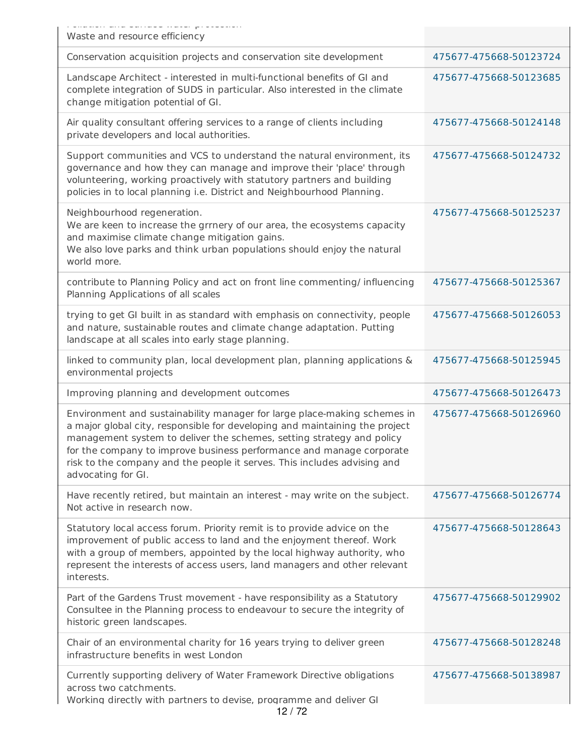| , unación ana uanado macor prococión<br>Waste and resource efficiency                                                                                                                                                                                                                                                                                                                                      |                        |
|------------------------------------------------------------------------------------------------------------------------------------------------------------------------------------------------------------------------------------------------------------------------------------------------------------------------------------------------------------------------------------------------------------|------------------------|
| Conservation acquisition projects and conservation site development                                                                                                                                                                                                                                                                                                                                        | 475677-475668-50123724 |
| Landscape Architect - interested in multi-functional benefits of GI and<br>complete integration of SUDS in particular. Also interested in the climate<br>change mitigation potential of GI.                                                                                                                                                                                                                | 475677-475668-50123685 |
| Air quality consultant offering services to a range of clients including<br>private developers and local authorities.                                                                                                                                                                                                                                                                                      | 475677-475668-50124148 |
| Support communities and VCS to understand the natural environment, its<br>governance and how they can manage and improve their 'place' through<br>volunteering, working proactively with statutory partners and building<br>policies in to local planning i.e. District and Neighbourhood Planning.                                                                                                        | 475677-475668-50124732 |
| Neighbourhood regeneration.<br>We are keen to increase the grrnery of our area, the ecosystems capacity<br>and maximise climate change mitigation gains.<br>We also love parks and think urban populations should enjoy the natural<br>world more.                                                                                                                                                         | 475677-475668-50125237 |
| contribute to Planning Policy and act on front line commenting/ influencing<br>Planning Applications of all scales                                                                                                                                                                                                                                                                                         | 475677-475668-50125367 |
| trying to get GI built in as standard with emphasis on connectivity, people<br>and nature, sustainable routes and climate change adaptation. Putting<br>landscape at all scales into early stage planning.                                                                                                                                                                                                 | 475677-475668-50126053 |
| linked to community plan, local development plan, planning applications &<br>environmental projects                                                                                                                                                                                                                                                                                                        | 475677-475668-50125945 |
| Improving planning and development outcomes                                                                                                                                                                                                                                                                                                                                                                | 475677-475668-50126473 |
| Environment and sustainability manager for large place-making schemes in<br>a major global city, responsible for developing and maintaining the project<br>management system to deliver the schemes, setting strategy and policy<br>for the company to improve business performance and manage corporate<br>risk to the company and the people it serves. This includes advising and<br>advocating for GI. | 475677-475668-50126960 |
| Have recently retired, but maintain an interest - may write on the subject.<br>Not active in research now.                                                                                                                                                                                                                                                                                                 | 475677-475668-50126774 |
| Statutory local access forum. Priority remit is to provide advice on the<br>improvement of public access to land and the enjoyment thereof. Work<br>with a group of members, appointed by the local highway authority, who<br>represent the interests of access users, land managers and other relevant<br>interests.                                                                                      | 475677-475668-50128643 |
| Part of the Gardens Trust movement - have responsibility as a Statutory<br>Consultee in the Planning process to endeavour to secure the integrity of<br>historic green landscapes.                                                                                                                                                                                                                         | 475677-475668-50129902 |
| Chair of an environmental charity for 16 years trying to deliver green<br>infrastructure benefits in west London                                                                                                                                                                                                                                                                                           | 475677-475668-50128248 |
| Currently supporting delivery of Water Framework Directive obligations<br>across two catchments.<br>Working directly with partners to devise, programme and deliver GI<br>10/70                                                                                                                                                                                                                            | 475677-475668-50138987 |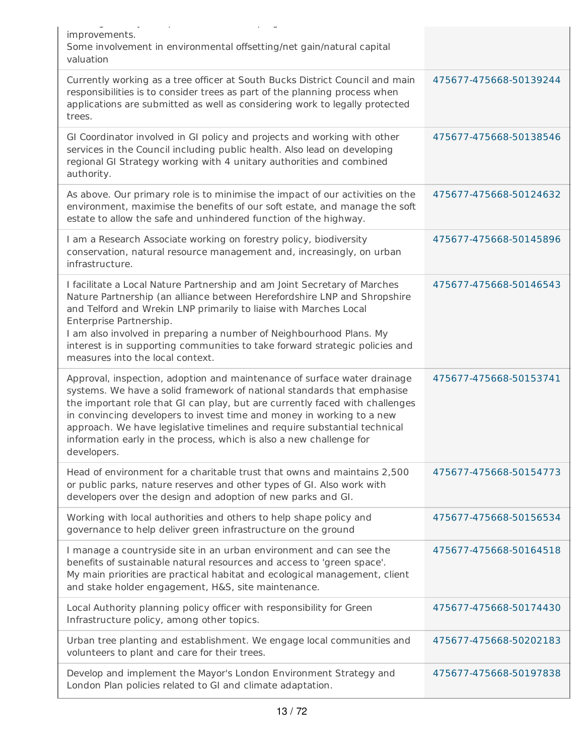| ت ال<br>$\sim$ 10 $\pm$                                                                                                                                                                                                                                                                                                                                                                                                                                                         |                        |
|---------------------------------------------------------------------------------------------------------------------------------------------------------------------------------------------------------------------------------------------------------------------------------------------------------------------------------------------------------------------------------------------------------------------------------------------------------------------------------|------------------------|
| improvements.<br>Some involvement in environmental offsetting/net gain/natural capital<br>valuation                                                                                                                                                                                                                                                                                                                                                                             |                        |
| Currently working as a tree officer at South Bucks District Council and main<br>responsibilities is to consider trees as part of the planning process when<br>applications are submitted as well as considering work to legally protected<br>trees.                                                                                                                                                                                                                             | 475677-475668-50139244 |
| GI Coordinator involved in GI policy and projects and working with other<br>services in the Council including public health. Also lead on developing<br>regional GI Strategy working with 4 unitary authorities and combined<br>authority.                                                                                                                                                                                                                                      | 475677-475668-50138546 |
| As above. Our primary role is to minimise the impact of our activities on the<br>environment, maximise the benefits of our soft estate, and manage the soft<br>estate to allow the safe and unhindered function of the highway.                                                                                                                                                                                                                                                 | 475677-475668-50124632 |
| I am a Research Associate working on forestry policy, biodiversity<br>conservation, natural resource management and, increasingly, on urban<br>infrastructure.                                                                                                                                                                                                                                                                                                                  | 475677-475668-50145896 |
| I facilitate a Local Nature Partnership and am Joint Secretary of Marches<br>Nature Partnership (an alliance between Herefordshire LNP and Shropshire<br>and Telford and Wrekin LNP primarily to liaise with Marches Local<br>Enterprise Partnership.<br>I am also involved in preparing a number of Neighbourhood Plans. My<br>interest is in supporting communities to take forward strategic policies and<br>measures into the local context.                                | 475677-475668-50146543 |
| Approval, inspection, adoption and maintenance of surface water drainage<br>systems. We have a solid framework of national standards that emphasise<br>the important role that GI can play, but are currently faced with challenges<br>in convincing developers to invest time and money in working to a new<br>approach. We have legislative timelines and require substantial technical<br>information early in the process, which is also a new challenge for<br>developers. | 475677-475668-50153741 |
| Head of environment for a charitable trust that owns and maintains 2,500<br>or public parks, nature reserves and other types of GI. Also work with<br>developers over the design and adoption of new parks and GI.                                                                                                                                                                                                                                                              | 475677-475668-50154773 |
| Working with local authorities and others to help shape policy and<br>governance to help deliver green infrastructure on the ground                                                                                                                                                                                                                                                                                                                                             | 475677-475668-50156534 |
| I manage a countryside site in an urban environment and can see the<br>benefits of sustainable natural resources and access to 'green space'.<br>My main priorities are practical habitat and ecological management, client<br>and stake holder engagement, H&S, site maintenance.                                                                                                                                                                                              | 475677-475668-50164518 |
| Local Authority planning policy officer with responsibility for Green<br>Infrastructure policy, among other topics.                                                                                                                                                                                                                                                                                                                                                             | 475677-475668-50174430 |
| Urban tree planting and establishment. We engage local communities and<br>volunteers to plant and care for their trees.                                                                                                                                                                                                                                                                                                                                                         | 475677-475668-50202183 |
| Develop and implement the Mayor's London Environment Strategy and<br>London Plan policies related to GI and climate adaptation.                                                                                                                                                                                                                                                                                                                                                 | 475677-475668-50197838 |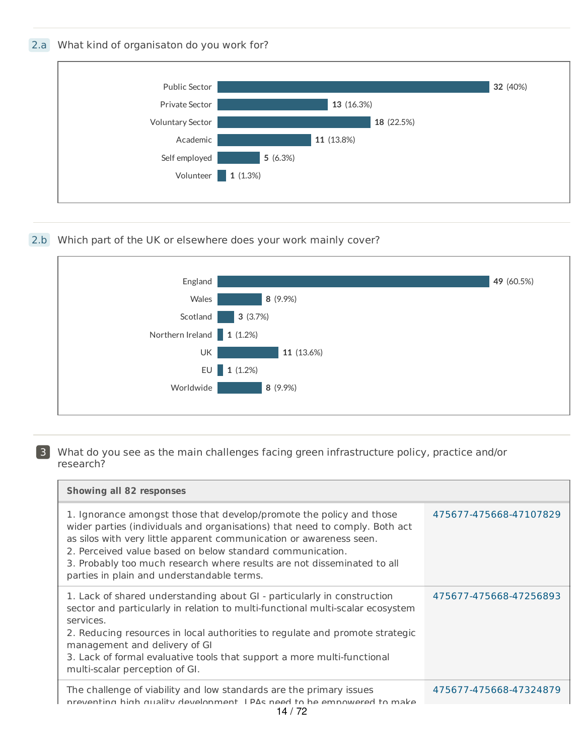## 2.a What kind of organisaton do you work for?



## 2.b Which part of the UK or elsewhere does your work mainly cover?



#### 3 What do you see as the main challenges facing green infrastructure policy, practice and/or research?

| <b>Showing all 82 responses</b>                                                                                                                                                                                                                                                                                                                                                                                  |                        |
|------------------------------------------------------------------------------------------------------------------------------------------------------------------------------------------------------------------------------------------------------------------------------------------------------------------------------------------------------------------------------------------------------------------|------------------------|
| 1. Ignorance amongst those that develop/promote the policy and those<br>wider parties (individuals and organisations) that need to comply. Both act<br>as silos with very little apparent communication or awareness seen.<br>2. Perceived value based on below standard communication.<br>3. Probably too much research where results are not disseminated to all<br>parties in plain and understandable terms. | 475677-475668-47107829 |
| 1. Lack of shared understanding about GI - particularly in construction<br>sector and particularly in relation to multi-functional multi-scalar ecosystem<br>services.<br>2. Reducing resources in local authorities to regulate and promote strategic<br>management and delivery of GI<br>3. Lack of formal evaluative tools that support a more multi-functional<br>multi-scalar perception of GI.             | 475677-475668-47256893 |
| The challenge of viability and low standards are the primary issues<br>preventing high quality development I PAs need to be empowered to make<br>1 <i>1 1 7</i> 0                                                                                                                                                                                                                                                | 475677-475668-47324879 |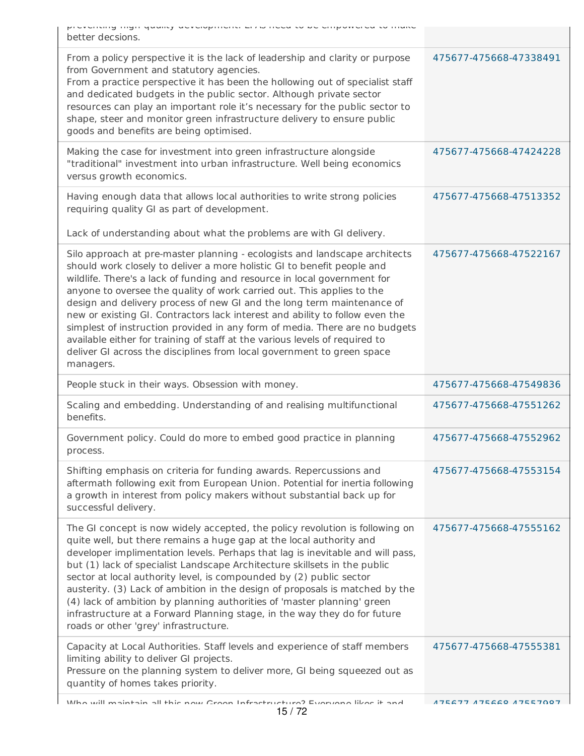| proventing mgn quality advertispment. Enter noted to be empowered to make<br>better decsions.                                                                                                                                                                                                                                                                                                                                                                                                                                                                                                                                                                                                                              |                        |
|----------------------------------------------------------------------------------------------------------------------------------------------------------------------------------------------------------------------------------------------------------------------------------------------------------------------------------------------------------------------------------------------------------------------------------------------------------------------------------------------------------------------------------------------------------------------------------------------------------------------------------------------------------------------------------------------------------------------------|------------------------|
| From a policy perspective it is the lack of leadership and clarity or purpose<br>from Government and statutory agencies.<br>From a practice perspective it has been the hollowing out of specialist staff<br>and dedicated budgets in the public sector. Although private sector<br>resources can play an important role it's necessary for the public sector to<br>shape, steer and monitor green infrastructure delivery to ensure public<br>goods and benefits are being optimised.                                                                                                                                                                                                                                     | 475677-475668-47338491 |
| Making the case for investment into green infrastructure alongside<br>"traditional" investment into urban infrastructure. Well being economics<br>versus growth economics.                                                                                                                                                                                                                                                                                                                                                                                                                                                                                                                                                 | 475677-475668-47424228 |
| Having enough data that allows local authorities to write strong policies<br>requiring quality GI as part of development.                                                                                                                                                                                                                                                                                                                                                                                                                                                                                                                                                                                                  | 475677-475668-47513352 |
| Lack of understanding about what the problems are with GI delivery.                                                                                                                                                                                                                                                                                                                                                                                                                                                                                                                                                                                                                                                        |                        |
| Silo approach at pre-master planning - ecologists and landscape architects<br>should work closely to deliver a more holistic GI to benefit people and<br>wildlife. There's a lack of funding and resource in local government for<br>anyone to oversee the quality of work carried out. This applies to the<br>design and delivery process of new GI and the long term maintenance of<br>new or existing GI. Contractors lack interest and ability to follow even the<br>simplest of instruction provided in any form of media. There are no budgets<br>available either for training of staff at the various levels of required to<br>deliver GI across the disciplines from local government to green space<br>managers. | 475677-475668-47522167 |
| People stuck in their ways. Obsession with money.                                                                                                                                                                                                                                                                                                                                                                                                                                                                                                                                                                                                                                                                          | 475677-475668-47549836 |
| Scaling and embedding. Understanding of and realising multifunctional<br>benefits.                                                                                                                                                                                                                                                                                                                                                                                                                                                                                                                                                                                                                                         | 475677-475668-47551262 |
| Government policy. Could do more to embed good practice in planning<br>process.                                                                                                                                                                                                                                                                                                                                                                                                                                                                                                                                                                                                                                            | 475677-475668-47552962 |
| Shifting emphasis on criteria for funding awards. Repercussions and<br>aftermath following exit from European Union. Potential for inertia following<br>a growth in interest from policy makers without substantial back up for<br>successful delivery.                                                                                                                                                                                                                                                                                                                                                                                                                                                                    | 475677-475668-47553154 |
| The GI concept is now widely accepted, the policy revolution is following on<br>quite well, but there remains a huge gap at the local authority and<br>developer implimentation levels. Perhaps that lag is inevitable and will pass,<br>but (1) lack of specialist Landscape Architecture skillsets in the public<br>sector at local authority level, is compounded by (2) public sector<br>austerity. (3) Lack of ambition in the design of proposals is matched by the<br>(4) lack of ambition by planning authorities of 'master planning' green<br>infrastructure at a Forward Planning stage, in the way they do for future<br>roads or other 'grey' infrastructure.                                                 | 475677-475668-47555162 |
| Capacity at Local Authorities. Staff levels and experience of staff members                                                                                                                                                                                                                                                                                                                                                                                                                                                                                                                                                                                                                                                | 475677-475668-47555381 |
| limiting ability to deliver GI projects.<br>Pressure on the planning system to deliver more, GI being squeezed out as<br>quantity of homes takes priority.                                                                                                                                                                                                                                                                                                                                                                                                                                                                                                                                                                 |                        |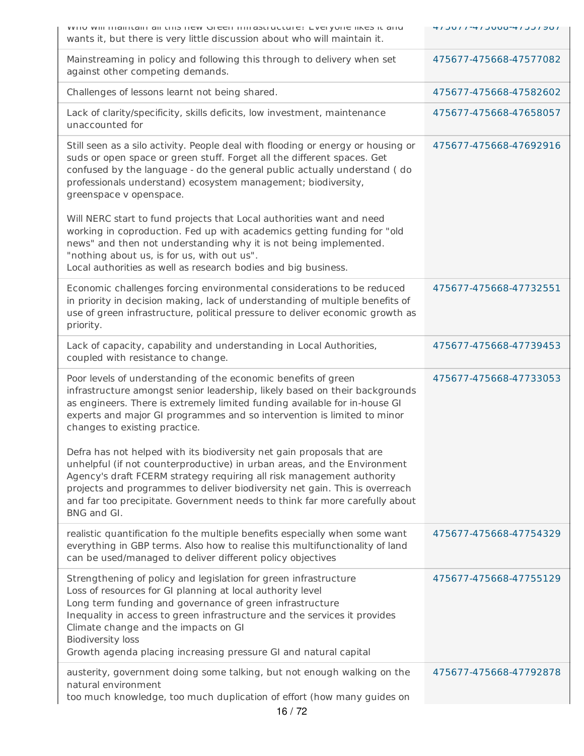| WITO WIII ITIGIITCHII GII CHIS HEW QIEEH IHIIGSCIUCCUTE: EVERYONE IIKES IC GITU<br>wants it, but there is very little discussion about who will maintain it.                                                                                                                                                                                                                                                    | 41 JUL 1 -41 JUUD -41 JUL 1 DU |
|-----------------------------------------------------------------------------------------------------------------------------------------------------------------------------------------------------------------------------------------------------------------------------------------------------------------------------------------------------------------------------------------------------------------|--------------------------------|
| Mainstreaming in policy and following this through to delivery when set<br>against other competing demands.                                                                                                                                                                                                                                                                                                     | 475677-475668-47577082         |
| Challenges of lessons learnt not being shared.                                                                                                                                                                                                                                                                                                                                                                  | 475677-475668-47582602         |
| Lack of clarity/specificity, skills deficits, low investment, maintenance<br>unaccounted for                                                                                                                                                                                                                                                                                                                    | 475677-475668-47658057         |
| Still seen as a silo activity. People deal with flooding or energy or housing or<br>suds or open space or green stuff. Forget all the different spaces. Get<br>confused by the language - do the general public actually understand (do<br>professionals understand) ecosystem management; biodiversity,<br>greenspace v openspace.                                                                             | 475677-475668-47692916         |
| Will NERC start to fund projects that Local authorities want and need<br>working in coproduction. Fed up with academics getting funding for "old<br>news" and then not understanding why it is not being implemented.<br>"nothing about us, is for us, with out us".<br>Local authorities as well as research bodies and big business.                                                                          |                                |
| Economic challenges forcing environmental considerations to be reduced<br>in priority in decision making, lack of understanding of multiple benefits of<br>use of green infrastructure, political pressure to deliver economic growth as<br>priority.                                                                                                                                                           | 475677-475668-47732551         |
| Lack of capacity, capability and understanding in Local Authorities,<br>coupled with resistance to change.                                                                                                                                                                                                                                                                                                      | 475677-475668-47739453         |
| Poor levels of understanding of the economic benefits of green<br>infrastructure amongst senior leadership, likely based on their backgrounds<br>as engineers. There is extremely limited funding available for in-house GI<br>experts and major GI programmes and so intervention is limited to minor<br>changes to existing practice.                                                                         | 475677-475668-47733053         |
| Defra has not helped with its biodiversity net gain proposals that are<br>unhelpful (if not counterproductive) in urban areas, and the Environment<br>Agency's draft FCERM strategy requiring all risk management authority<br>projects and programmes to deliver biodiversity net gain. This is overreach<br>and far too precipitate. Government needs to think far more carefully about<br>BNG and GI.        |                                |
| realistic quantification fo the multiple benefits especially when some want<br>everything in GBP terms. Also how to realise this multifunctionality of land<br>can be used/managed to deliver different policy objectives                                                                                                                                                                                       | 475677-475668-47754329         |
| Strengthening of policy and legislation for green infrastructure<br>Loss of resources for GI planning at local authority level<br>Long term funding and governance of green infrastructure<br>Inequality in access to green infrastructure and the services it provides<br>Climate change and the impacts on GI<br><b>Biodiversity loss</b><br>Growth agenda placing increasing pressure GI and natural capital | 475677-475668-47755129         |
| austerity, government doing some talking, but not enough walking on the<br>natural environment<br>too much knowledge, too much duplication of effort (how many guides on<br>16/72                                                                                                                                                                                                                               | 475677-475668-47792878         |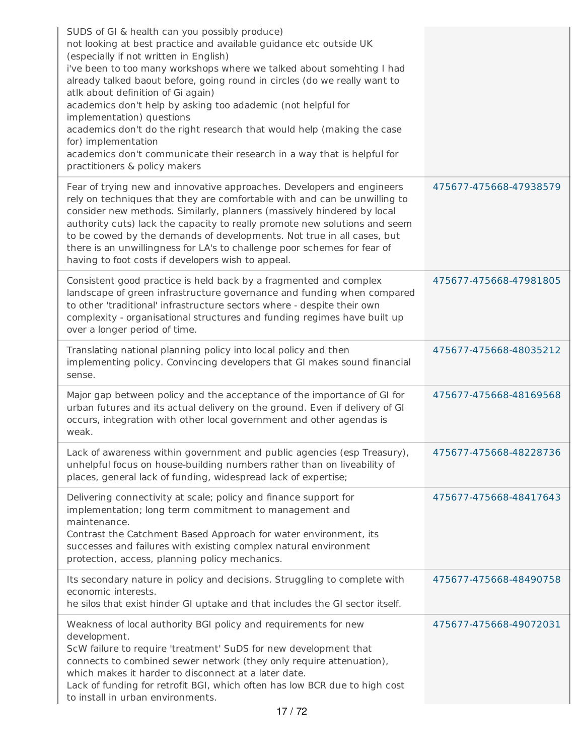| SUDS of GI & health can you possibly produce)<br>not looking at best practice and available guidance etc outside UK<br>(especially if not written in English)<br>i've been to too many workshops where we talked about somehting I had<br>already talked baout before, going round in circles (do we really want to<br>atlk about definition of Gi again)<br>academics don't help by asking too adademic (not helpful for<br>implementation) questions<br>academics don't do the right research that would help (making the case<br>for) implementation<br>academics don't communicate their research in a way that is helpful for<br>practitioners & policy makers |                        |
|---------------------------------------------------------------------------------------------------------------------------------------------------------------------------------------------------------------------------------------------------------------------------------------------------------------------------------------------------------------------------------------------------------------------------------------------------------------------------------------------------------------------------------------------------------------------------------------------------------------------------------------------------------------------|------------------------|
| Fear of trying new and innovative approaches. Developers and engineers<br>rely on techniques that they are comfortable with and can be unwilling to<br>consider new methods. Similarly, planners (massively hindered by local<br>authority cuts) lack the capacity to really promote new solutions and seem<br>to be cowed by the demands of developments. Not true in all cases, but<br>there is an unwillingness for LA's to challenge poor schemes for fear of<br>having to foot costs if developers wish to appeal.                                                                                                                                             | 475677-475668-47938579 |
| Consistent good practice is held back by a fragmented and complex<br>landscape of green infrastructure governance and funding when compared<br>to other 'traditional' infrastructure sectors where - despite their own<br>complexity - organisational structures and funding regimes have built up<br>over a longer period of time.                                                                                                                                                                                                                                                                                                                                 | 475677-475668-47981805 |
| Translating national planning policy into local policy and then<br>implementing policy. Convincing developers that GI makes sound financial<br>sense.                                                                                                                                                                                                                                                                                                                                                                                                                                                                                                               | 475677-475668-48035212 |
| Major gap between policy and the acceptance of the importance of GI for<br>urban futures and its actual delivery on the ground. Even if delivery of GI<br>occurs, integration with other local government and other agendas is<br>weak.                                                                                                                                                                                                                                                                                                                                                                                                                             | 475677-475668-48169568 |
| Lack of awareness within government and public agencies (esp Treasury),<br>unhelpful focus on house-building numbers rather than on liveability of<br>places, general lack of funding, widespread lack of expertise;                                                                                                                                                                                                                                                                                                                                                                                                                                                | 475677-475668-48228736 |
| Delivering connectivity at scale; policy and finance support for<br>implementation; long term commitment to management and<br>maintenance.<br>Contrast the Catchment Based Approach for water environment, its<br>successes and failures with existing complex natural environment<br>protection, access, planning policy mechanics.                                                                                                                                                                                                                                                                                                                                | 475677-475668-48417643 |
| Its secondary nature in policy and decisions. Struggling to complete with<br>economic interests.<br>he silos that exist hinder GI uptake and that includes the GI sector itself.                                                                                                                                                                                                                                                                                                                                                                                                                                                                                    | 475677-475668-48490758 |
| Weakness of local authority BGI policy and requirements for new<br>development.<br>ScW failure to require 'treatment' SuDS for new development that<br>connects to combined sewer network (they only require attenuation),<br>which makes it harder to disconnect at a later date.<br>Lack of funding for retrofit BGI, which often has low BCR due to high cost<br>to install in urban environments.                                                                                                                                                                                                                                                               | 475677-475668-49072031 |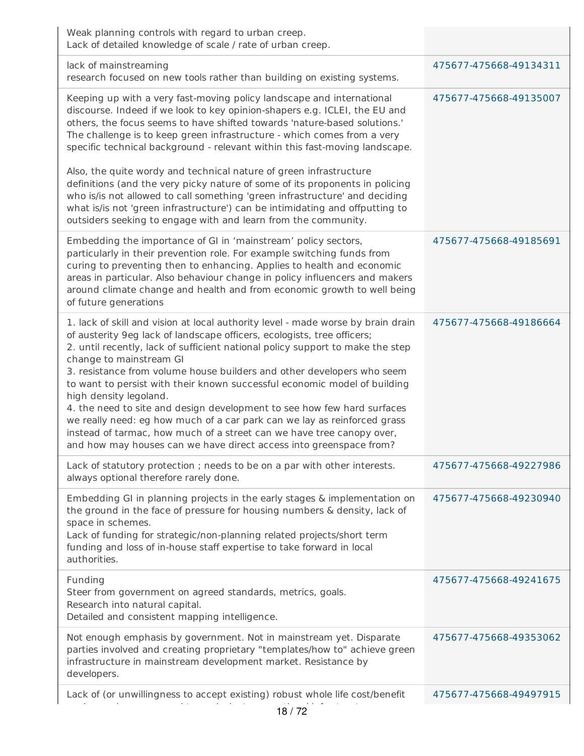| Weak planning controls with regard to urban creep.<br>Lack of detailed knowledge of scale / rate of urban creep.                                                                                                                                                                                                                                                                                                                                                                                                                                                                                                                                                                                                                                                |                        |
|-----------------------------------------------------------------------------------------------------------------------------------------------------------------------------------------------------------------------------------------------------------------------------------------------------------------------------------------------------------------------------------------------------------------------------------------------------------------------------------------------------------------------------------------------------------------------------------------------------------------------------------------------------------------------------------------------------------------------------------------------------------------|------------------------|
| lack of mainstreaming<br>research focused on new tools rather than building on existing systems.                                                                                                                                                                                                                                                                                                                                                                                                                                                                                                                                                                                                                                                                | 475677-475668-49134311 |
| Keeping up with a very fast-moving policy landscape and international<br>discourse. Indeed if we look to key opinion-shapers e.g. ICLEI, the EU and<br>others, the focus seems to have shifted towards 'nature-based solutions.'<br>The challenge is to keep green infrastructure - which comes from a very<br>specific technical background - relevant within this fast-moving landscape.<br>Also, the quite wordy and technical nature of green infrastructure<br>definitions (and the very picky nature of some of its proponents in policing<br>who is/is not allowed to call something 'green infrastructure' and deciding                                                                                                                                 | 475677-475668-49135007 |
| what is/is not 'green infrastructure') can be intimidating and offputting to<br>outsiders seeking to engage with and learn from the community.                                                                                                                                                                                                                                                                                                                                                                                                                                                                                                                                                                                                                  |                        |
| Embedding the importance of GI in 'mainstream' policy sectors,<br>particularly in their prevention role. For example switching funds from<br>curing to preventing then to enhancing. Applies to health and economic<br>areas in particular. Also behaviour change in policy influencers and makers<br>around climate change and health and from economic growth to well being<br>of future generations                                                                                                                                                                                                                                                                                                                                                          | 475677-475668-49185691 |
| 1. lack of skill and vision at local authority level - made worse by brain drain<br>of austerity 9eg lack of landscape officers, ecologists, tree officers;<br>2. until recently, lack of sufficient national policy support to make the step<br>change to mainstream GI<br>3. resistance from volume house builders and other developers who seem<br>to want to persist with their known successful economic model of building<br>high density legoland.<br>4. the need to site and design development to see how few hard surfaces<br>we really need: eg how much of a car park can we lay as reinforced grass<br>instead of tarmac, how much of a street can we have tree canopy over,<br>and how may houses can we have direct access into greenspace from? | 475677-475668-49186664 |
| Lack of statutory protection; needs to be on a par with other interests.<br>always optional therefore rarely done.                                                                                                                                                                                                                                                                                                                                                                                                                                                                                                                                                                                                                                              | 475677-475668-49227986 |
| Embedding GI in planning projects in the early stages & implementation on<br>the ground in the face of pressure for housing numbers & density, lack of<br>space in schemes.<br>Lack of funding for strategic/non-planning related projects/short term<br>funding and loss of in-house staff expertise to take forward in local<br>authorities.                                                                                                                                                                                                                                                                                                                                                                                                                  | 475677-475668-49230940 |
| Funding<br>Steer from government on agreed standards, metrics, goals.<br>Research into natural capital.<br>Detailed and consistent mapping intelligence.                                                                                                                                                                                                                                                                                                                                                                                                                                                                                                                                                                                                        | 475677-475668-49241675 |
| Not enough emphasis by government. Not in mainstream yet. Disparate<br>parties involved and creating proprietary "templates/how to" achieve green<br>infrastructure in mainstream development market. Resistance by<br>developers.                                                                                                                                                                                                                                                                                                                                                                                                                                                                                                                              | 475677-475668-49353062 |
| Lack of (or unwillingness to accept existing) robust whole life cost/benefit<br>18/72                                                                                                                                                                                                                                                                                                                                                                                                                                                                                                                                                                                                                                                                           | 475677-475668-49497915 |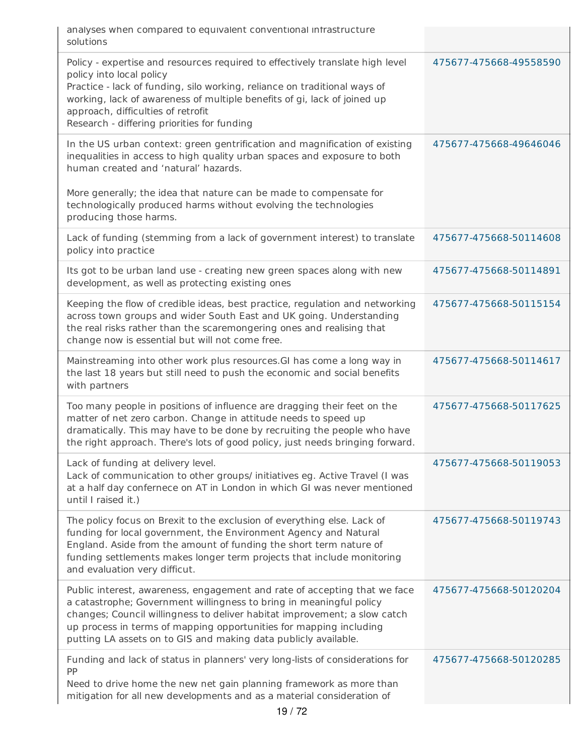| analyses when compared to equivalent conventional infrastructure<br>solutions                                                                                                                                                                                                                                                                                          |                        |
|------------------------------------------------------------------------------------------------------------------------------------------------------------------------------------------------------------------------------------------------------------------------------------------------------------------------------------------------------------------------|------------------------|
| Policy - expertise and resources required to effectively translate high level<br>policy into local policy<br>Practice - lack of funding, silo working, reliance on traditional ways of<br>working, lack of awareness of multiple benefits of gi, lack of joined up<br>approach, difficulties of retrofit<br>Research - differing priorities for funding                | 475677-475668-49558590 |
| In the US urban context: green gentrification and magnification of existing<br>inequalities in access to high quality urban spaces and exposure to both<br>human created and 'natural' hazards.<br>More generally; the idea that nature can be made to compensate for<br>technologically produced harms without evolving the technologies<br>producing those harms.    | 475677-475668-49646046 |
| Lack of funding (stemming from a lack of government interest) to translate<br>policy into practice                                                                                                                                                                                                                                                                     | 475677-475668-50114608 |
| Its got to be urban land use - creating new green spaces along with new<br>development, as well as protecting existing ones                                                                                                                                                                                                                                            | 475677-475668-50114891 |
| Keeping the flow of credible ideas, best practice, regulation and networking<br>across town groups and wider South East and UK going. Understanding<br>the real risks rather than the scaremongering ones and realising that<br>change now is essential but will not come free.                                                                                        | 475677-475668-50115154 |
| Mainstreaming into other work plus resources. GI has come a long way in<br>the last 18 years but still need to push the economic and social benefits<br>with partners                                                                                                                                                                                                  | 475677-475668-50114617 |
| Too many people in positions of influence are dragging their feet on the<br>matter of net zero carbon. Change in attitude needs to speed up<br>dramatically. This may have to be done by recruiting the people who have<br>the right approach. There's lots of good policy, just needs bringing forward.                                                               | 475677-475668-50117625 |
| Lack of funding at delivery level.<br>Lack of communication to other groups/ initiatives eg. Active Travel (I was<br>at a half day confernece on AT in London in which GI was never mentioned<br>until I raised it.)                                                                                                                                                   | 475677-475668-50119053 |
| The policy focus on Brexit to the exclusion of everything else. Lack of<br>funding for local government, the Environment Agency and Natural<br>England. Aside from the amount of funding the short term nature of<br>funding settlements makes longer term projects that include monitoring<br>and evaluation very difficut.                                           | 475677-475668-50119743 |
| Public interest, awareness, engagement and rate of accepting that we face<br>a catastrophe; Government willingness to bring in meaningful policy<br>changes; Council willingness to deliver habitat improvement; a slow catch<br>up process in terms of mapping opportunities for mapping including<br>putting LA assets on to GIS and making data publicly available. | 475677-475668-50120204 |
| Funding and lack of status in planners' very long-lists of considerations for<br>PP<br>Need to drive home the new net gain planning framework as more than<br>mitigation for all new developments and as a material consideration of                                                                                                                                   | 475677-475668-50120285 |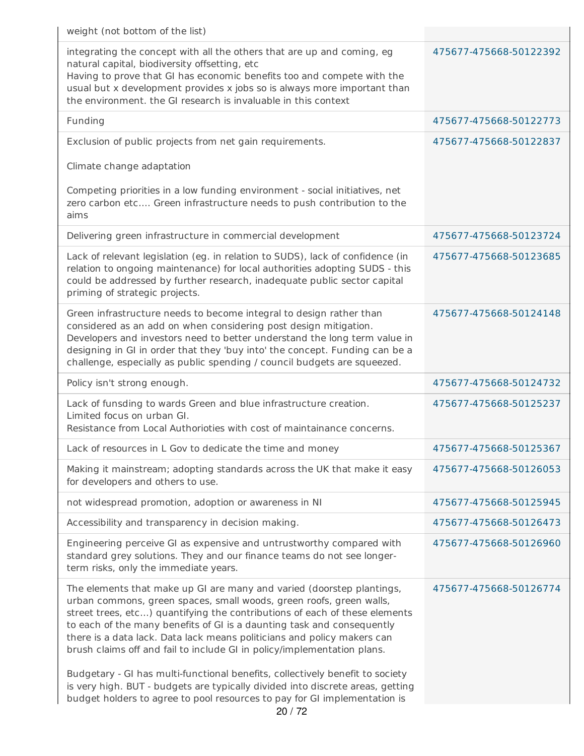| weight (not bottom of the list)                                                                                                                                                                                                                                                                                                                                                                                                                                                                                                                                                                                                                                                                            |                        |
|------------------------------------------------------------------------------------------------------------------------------------------------------------------------------------------------------------------------------------------------------------------------------------------------------------------------------------------------------------------------------------------------------------------------------------------------------------------------------------------------------------------------------------------------------------------------------------------------------------------------------------------------------------------------------------------------------------|------------------------|
| integrating the concept with all the others that are up and coming, eg<br>natural capital, biodiversity offsetting, etc<br>Having to prove that GI has economic benefits too and compete with the<br>usual but x development provides x jobs so is always more important than<br>the environment. the GI research is invaluable in this context                                                                                                                                                                                                                                                                                                                                                            | 475677-475668-50122392 |
| Funding                                                                                                                                                                                                                                                                                                                                                                                                                                                                                                                                                                                                                                                                                                    | 475677-475668-50122773 |
| Exclusion of public projects from net gain requirements.                                                                                                                                                                                                                                                                                                                                                                                                                                                                                                                                                                                                                                                   | 475677-475668-50122837 |
| Climate change adaptation                                                                                                                                                                                                                                                                                                                                                                                                                                                                                                                                                                                                                                                                                  |                        |
| Competing priorities in a low funding environment - social initiatives, net<br>zero carbon etc Green infrastructure needs to push contribution to the<br>aims                                                                                                                                                                                                                                                                                                                                                                                                                                                                                                                                              |                        |
| Delivering green infrastructure in commercial development                                                                                                                                                                                                                                                                                                                                                                                                                                                                                                                                                                                                                                                  | 475677-475668-50123724 |
| Lack of relevant legislation (eg. in relation to SUDS), lack of confidence (in<br>relation to ongoing maintenance) for local authorities adopting SUDS - this<br>could be addressed by further research, inadequate public sector capital<br>priming of strategic projects.                                                                                                                                                                                                                                                                                                                                                                                                                                | 475677-475668-50123685 |
| Green infrastructure needs to become integral to design rather than<br>considered as an add on when considering post design mitigation.<br>Developers and investors need to better understand the long term value in<br>designing in GI in order that they 'buy into' the concept. Funding can be a<br>challenge, especially as public spending / council budgets are squeezed.                                                                                                                                                                                                                                                                                                                            | 475677-475668-50124148 |
| Policy isn't strong enough.                                                                                                                                                                                                                                                                                                                                                                                                                                                                                                                                                                                                                                                                                | 475677-475668-50124732 |
| Lack of funsding to wards Green and blue infrastructure creation.<br>Limited focus on urban Gl.<br>Resistance from Local Authorioties with cost of maintainance concerns.                                                                                                                                                                                                                                                                                                                                                                                                                                                                                                                                  | 475677-475668-50125237 |
| Lack of resources in L Gov to dedicate the time and money                                                                                                                                                                                                                                                                                                                                                                                                                                                                                                                                                                                                                                                  | 475677-475668-50125367 |
| Making it mainstream; adopting standards across the UK that make it easy<br>for developers and others to use.                                                                                                                                                                                                                                                                                                                                                                                                                                                                                                                                                                                              | 475677-475668-50126053 |
| not widespread promotion, adoption or awareness in NI                                                                                                                                                                                                                                                                                                                                                                                                                                                                                                                                                                                                                                                      | 475677-475668-50125945 |
| Accessibility and transparency in decision making.                                                                                                                                                                                                                                                                                                                                                                                                                                                                                                                                                                                                                                                         | 475677-475668-50126473 |
| Engineering perceive GI as expensive and untrustworthy compared with<br>standard grey solutions. They and our finance teams do not see longer-<br>term risks, only the immediate years.                                                                                                                                                                                                                                                                                                                                                                                                                                                                                                                    | 475677-475668-50126960 |
| The elements that make up GI are many and varied (doorstep plantings,<br>urban commons, green spaces, small woods, green roofs, green walls,<br>street trees, etc) quantifying the contributions of each of these elements<br>to each of the many benefits of GI is a daunting task and consequently<br>there is a data lack. Data lack means politicians and policy makers can<br>brush claims off and fail to include GI in policy/implementation plans.<br>Budgetary - GI has multi-functional benefits, collectively benefit to society<br>is very high. BUT - budgets are typically divided into discrete areas, getting<br>budget holders to agree to pool resources to pay for GI implementation is | 475677-475668-50126774 |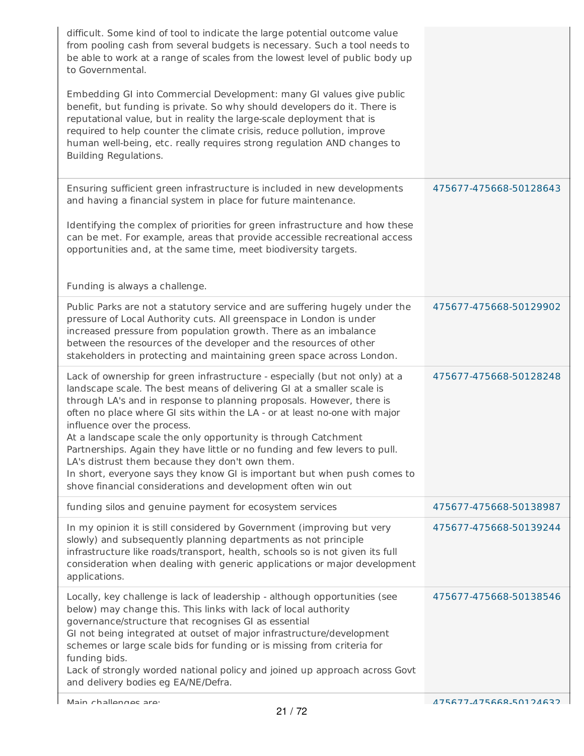| difficult. Some kind of tool to indicate the large potential outcome value<br>from pooling cash from several budgets is necessary. Such a tool needs to<br>be able to work at a range of scales from the lowest level of public body up<br>to Governmental.<br>Embedding GI into Commercial Development: many GI values give public<br>benefit, but funding is private. So why should developers do it. There is                                                                                                                                                                                                                                                                           |                        |
|--------------------------------------------------------------------------------------------------------------------------------------------------------------------------------------------------------------------------------------------------------------------------------------------------------------------------------------------------------------------------------------------------------------------------------------------------------------------------------------------------------------------------------------------------------------------------------------------------------------------------------------------------------------------------------------------|------------------------|
| reputational value, but in reality the large-scale deployment that is<br>required to help counter the climate crisis, reduce pollution, improve<br>human well-being, etc. really requires strong regulation AND changes to<br>Building Regulations.                                                                                                                                                                                                                                                                                                                                                                                                                                        |                        |
| Ensuring sufficient green infrastructure is included in new developments<br>and having a financial system in place for future maintenance.                                                                                                                                                                                                                                                                                                                                                                                                                                                                                                                                                 | 475677-475668-50128643 |
| Identifying the complex of priorities for green infrastructure and how these<br>can be met. For example, areas that provide accessible recreational access<br>opportunities and, at the same time, meet biodiversity targets.                                                                                                                                                                                                                                                                                                                                                                                                                                                              |                        |
| Funding is always a challenge.                                                                                                                                                                                                                                                                                                                                                                                                                                                                                                                                                                                                                                                             |                        |
| Public Parks are not a statutory service and are suffering hugely under the<br>pressure of Local Authority cuts. All greenspace in London is under<br>increased pressure from population growth. There as an imbalance<br>between the resources of the developer and the resources of other<br>stakeholders in protecting and maintaining green space across London.                                                                                                                                                                                                                                                                                                                       | 475677-475668-50129902 |
| Lack of ownership for green infrastructure - especially (but not only) at a<br>landscape scale. The best means of delivering GI at a smaller scale is<br>through LA's and in response to planning proposals. However, there is<br>often no place where GI sits within the LA - or at least no-one with major<br>influence over the process.<br>At a landscape scale the only opportunity is through Catchment<br>Partnerships. Again they have little or no funding and few levers to pull.<br>LA's distrust them because they don't own them.<br>In short, everyone says they know GI is important but when push comes to<br>shove financial considerations and development often win out | 475677-475668-50128248 |
| funding silos and genuine payment for ecosystem services                                                                                                                                                                                                                                                                                                                                                                                                                                                                                                                                                                                                                                   | 475677-475668-50138987 |
| In my opinion it is still considered by Government (improving but very<br>slowly) and subsequently planning departments as not principle<br>infrastructure like roads/transport, health, schools so is not given its full<br>consideration when dealing with generic applications or major development<br>applications.                                                                                                                                                                                                                                                                                                                                                                    | 475677-475668-50139244 |
| Locally, key challenge is lack of leadership - although opportunities (see<br>below) may change this. This links with lack of local authority<br>governance/structure that recognises GI as essential<br>GI not being integrated at outset of major infrastructure/development<br>schemes or large scale bids for funding or is missing from criteria for<br>funding bids.<br>Lack of strongly worded national policy and joined up approach across Govt<br>and delivery bodies eg EA/NE/Defra.                                                                                                                                                                                            | 475677-475668-50138546 |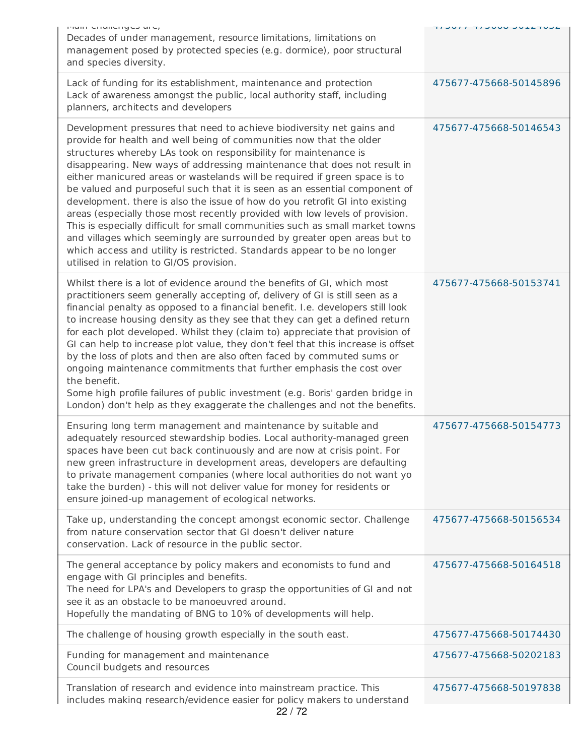| main chancityes are,<br>Decades of under management, resource limitations, limitations on<br>management posed by protected species (e.g. dormice), poor structural<br>and species diversity.                                                                                                                                                                                                                                                                                                                                                                                                                                                                                                                                                                                                                                                                                                                  | <b>NUMBER OUNCILE TIULE</b> |
|---------------------------------------------------------------------------------------------------------------------------------------------------------------------------------------------------------------------------------------------------------------------------------------------------------------------------------------------------------------------------------------------------------------------------------------------------------------------------------------------------------------------------------------------------------------------------------------------------------------------------------------------------------------------------------------------------------------------------------------------------------------------------------------------------------------------------------------------------------------------------------------------------------------|-----------------------------|
| Lack of funding for its establishment, maintenance and protection<br>Lack of awareness amongst the public, local authority staff, including<br>planners, architects and developers                                                                                                                                                                                                                                                                                                                                                                                                                                                                                                                                                                                                                                                                                                                            | 475677-475668-50145896      |
| Development pressures that need to achieve biodiversity net gains and<br>provide for health and well being of communities now that the older<br>structures whereby LAs took on responsibility for maintenance is<br>disappearing. New ways of addressing maintenance that does not result in<br>either manicured areas or wastelands will be required if green space is to<br>be valued and purposeful such that it is seen as an essential component of<br>development. there is also the issue of how do you retrofit GI into existing<br>areas (especially those most recently provided with low levels of provision.<br>This is especially difficult for small communities such as small market towns<br>and villages which seemingly are surrounded by greater open areas but to<br>which access and utility is restricted. Standards appear to be no longer<br>utilised in relation to GI/OS provision. | 475677-475668-50146543      |
| Whilst there is a lot of evidence around the benefits of GI, which most<br>practitioners seem generally accepting of, delivery of GI is still seen as a<br>financial penalty as opposed to a financial benefit. I.e. developers still look<br>to increase housing density as they see that they can get a defined return<br>for each plot developed. Whilst they (claim to) appreciate that provision of<br>GI can help to increase plot value, they don't feel that this increase is offset<br>by the loss of plots and then are also often faced by commuted sums or<br>ongoing maintenance commitments that further emphasis the cost over<br>the benefit.<br>Some high profile failures of public investment (e.g. Boris' garden bridge in<br>London) don't help as they exaggerate the challenges and not the benefits.                                                                                  | 475677-475668-50153741      |
| Ensuring long term management and maintenance by suitable and<br>adequately resourced stewardship bodies. Local authority-managed green<br>spaces have been cut back continuously and are now at crisis point. For<br>new green infrastructure in development areas, developers are defaulting<br>to private management companies (where local authorities do not want yo<br>take the burden) - this will not deliver value for money for residents or<br>ensure joined-up management of ecological networks.                                                                                                                                                                                                                                                                                                                                                                                                 | 475677-475668-50154773      |
| Take up, understanding the concept amongst economic sector. Challenge<br>from nature conservation sector that GI doesn't deliver nature<br>conservation. Lack of resource in the public sector.                                                                                                                                                                                                                                                                                                                                                                                                                                                                                                                                                                                                                                                                                                               | 475677-475668-50156534      |
| The general acceptance by policy makers and economists to fund and<br>engage with GI principles and benefits.<br>The need for LPA's and Developers to grasp the opportunities of GI and not<br>see it as an obstacle to be manoeuvred around.<br>Hopefully the mandating of BNG to 10% of developments will help.                                                                                                                                                                                                                                                                                                                                                                                                                                                                                                                                                                                             | 475677-475668-50164518      |
| The challenge of housing growth especially in the south east.                                                                                                                                                                                                                                                                                                                                                                                                                                                                                                                                                                                                                                                                                                                                                                                                                                                 | 475677-475668-50174430      |
| Funding for management and maintenance<br>Council budgets and resources                                                                                                                                                                                                                                                                                                                                                                                                                                                                                                                                                                                                                                                                                                                                                                                                                                       | 475677-475668-50202183      |
| Translation of research and evidence into mainstream practice. This<br>includes making research/evidence easier for policy makers to understand                                                                                                                                                                                                                                                                                                                                                                                                                                                                                                                                                                                                                                                                                                                                                               | 475677-475668-50197838      |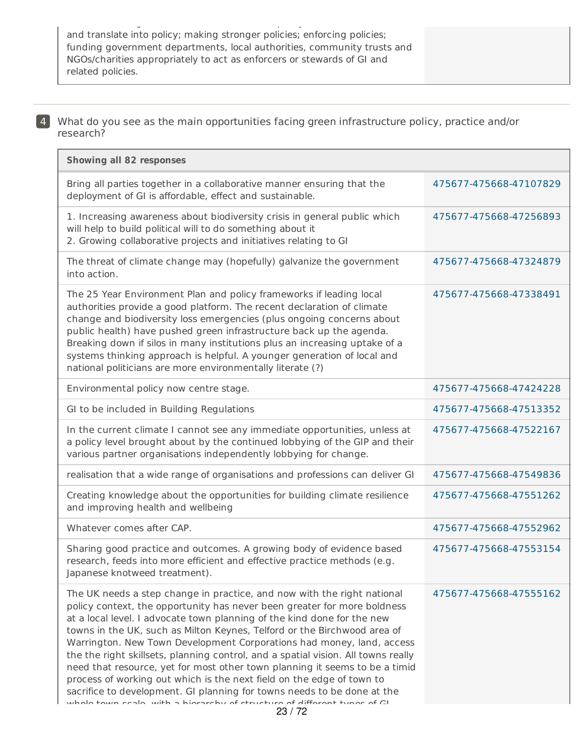and translate into policy; making stronger policies; enforcing policies; funding government departments, local authorities, community trusts and NGOs/charities appropriately to act as enforcers or stewards of GI and related policies.

includes making research/evidence easier for policy makers to understand

4 What do you see as the main opportunities facing green infrastructure policy, practice and/or research?

| <b>Showing all 82 responses</b>                                                                                                                                                                                                                                                                                                                                                                                                                                                                                                                                                                                                                                                                                                                                                                 |                        |
|-------------------------------------------------------------------------------------------------------------------------------------------------------------------------------------------------------------------------------------------------------------------------------------------------------------------------------------------------------------------------------------------------------------------------------------------------------------------------------------------------------------------------------------------------------------------------------------------------------------------------------------------------------------------------------------------------------------------------------------------------------------------------------------------------|------------------------|
| Bring all parties together in a collaborative manner ensuring that the<br>deployment of GI is affordable, effect and sustainable.                                                                                                                                                                                                                                                                                                                                                                                                                                                                                                                                                                                                                                                               | 475677-475668-47107829 |
| 1. Increasing awareness about biodiversity crisis in general public which<br>will help to build political will to do something about it<br>2. Growing collaborative projects and initiatives relating to GI                                                                                                                                                                                                                                                                                                                                                                                                                                                                                                                                                                                     | 475677-475668-47256893 |
| The threat of climate change may (hopefully) galvanize the government<br>into action.                                                                                                                                                                                                                                                                                                                                                                                                                                                                                                                                                                                                                                                                                                           | 475677-475668-47324879 |
| The 25 Year Environment Plan and policy frameworks if leading local<br>authorities provide a good platform. The recent declaration of climate<br>change and biodiversity loss emergencies (plus ongoing concerns about<br>public health) have pushed green infrastructure back up the agenda.<br>Breaking down if silos in many institutions plus an increasing uptake of a<br>systems thinking approach is helpful. A younger generation of local and<br>national politicians are more environmentally literate (?)                                                                                                                                                                                                                                                                            | 475677-475668-47338491 |
| Environmental policy now centre stage.                                                                                                                                                                                                                                                                                                                                                                                                                                                                                                                                                                                                                                                                                                                                                          | 475677-475668-47424228 |
| GI to be included in Building Regulations                                                                                                                                                                                                                                                                                                                                                                                                                                                                                                                                                                                                                                                                                                                                                       | 475677-475668-47513352 |
| In the current climate I cannot see any immediate opportunities, unless at<br>a policy level brought about by the continued lobbying of the GIP and their<br>various partner organisations independently lobbying for change.                                                                                                                                                                                                                                                                                                                                                                                                                                                                                                                                                                   | 475677-475668-47522167 |
| realisation that a wide range of organisations and professions can deliver GI                                                                                                                                                                                                                                                                                                                                                                                                                                                                                                                                                                                                                                                                                                                   | 475677-475668-47549836 |
| Creating knowledge about the opportunities for building climate resilience<br>and improving health and wellbeing                                                                                                                                                                                                                                                                                                                                                                                                                                                                                                                                                                                                                                                                                | 475677-475668-47551262 |
| Whatever comes after CAP.                                                                                                                                                                                                                                                                                                                                                                                                                                                                                                                                                                                                                                                                                                                                                                       | 475677-475668-47552962 |
| Sharing good practice and outcomes. A growing body of evidence based<br>research, feeds into more efficient and effective practice methods (e.g.<br>Japanese knotweed treatment).                                                                                                                                                                                                                                                                                                                                                                                                                                                                                                                                                                                                               | 475677-475668-47553154 |
| The UK needs a step change in practice, and now with the right national<br>policy context, the opportunity has never been greater for more boldness<br>at a local level. I advocate town planning of the kind done for the new<br>towns in the UK, such as Milton Keynes, Telford or the Birchwood area of<br>Warrington. New Town Development Corporations had money, land, access<br>the the right skillsets, planning control, and a spatial vision. All towns really<br>need that resource, yet for most other town planning it seems to be a timid<br>process of working out which is the next field on the edge of town to<br>sacrifice to development. GI planning for towns needs to be done at the<br>whole town ceale with a hierarchy of etructure of different tynes of CI<br>23/72 | 475677-475668-47555162 |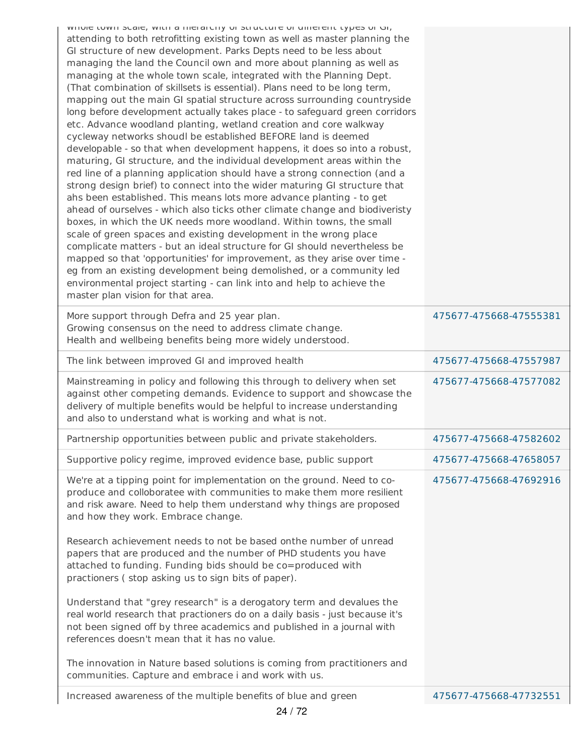| writter cown stare, with a merarchy or structure or unierent types or or,                                                                                                                                                                                                                                                                                                                                                                                                                                                                                                                                                                                                                                                                                                                                                                                                                                                                                                                                                                                                                                                                                                                                                                                                                                                                                                                                                                                                                                                                                                                                                                             |                        |
|-------------------------------------------------------------------------------------------------------------------------------------------------------------------------------------------------------------------------------------------------------------------------------------------------------------------------------------------------------------------------------------------------------------------------------------------------------------------------------------------------------------------------------------------------------------------------------------------------------------------------------------------------------------------------------------------------------------------------------------------------------------------------------------------------------------------------------------------------------------------------------------------------------------------------------------------------------------------------------------------------------------------------------------------------------------------------------------------------------------------------------------------------------------------------------------------------------------------------------------------------------------------------------------------------------------------------------------------------------------------------------------------------------------------------------------------------------------------------------------------------------------------------------------------------------------------------------------------------------------------------------------------------------|------------------------|
| attending to both retrofitting existing town as well as master planning the<br>GI structure of new development. Parks Depts need to be less about<br>managing the land the Council own and more about planning as well as<br>managing at the whole town scale, integrated with the Planning Dept.<br>(That combination of skillsets is essential). Plans need to be long term,<br>mapping out the main GI spatial structure across surrounding countryside<br>long before development actually takes place - to safeguard green corridors<br>etc. Advance woodland planting, wetland creation and core walkway<br>cycleway networks shoudl be established BEFORE land is deemed<br>developable - so that when development happens, it does so into a robust,<br>maturing, GI structure, and the individual development areas within the<br>red line of a planning application should have a strong connection (and a<br>strong design brief) to connect into the wider maturing GI structure that<br>ahs been established. This means lots more advance planting - to get<br>ahead of ourselves - which also ticks other climate change and biodiveristy<br>boxes, in which the UK needs more woodland. Within towns, the small<br>scale of green spaces and existing development in the wrong place<br>complicate matters - but an ideal structure for GI should nevertheless be<br>mapped so that 'opportunities' for improvement, as they arise over time -<br>eg from an existing development being demolished, or a community led<br>environmental project starting - can link into and help to achieve the<br>master plan vision for that area. |                        |
| More support through Defra and 25 year plan.<br>Growing consensus on the need to address climate change.<br>Health and wellbeing benefits being more widely understood.                                                                                                                                                                                                                                                                                                                                                                                                                                                                                                                                                                                                                                                                                                                                                                                                                                                                                                                                                                                                                                                                                                                                                                                                                                                                                                                                                                                                                                                                               | 475677-475668-47555381 |
| The link between improved GI and improved health                                                                                                                                                                                                                                                                                                                                                                                                                                                                                                                                                                                                                                                                                                                                                                                                                                                                                                                                                                                                                                                                                                                                                                                                                                                                                                                                                                                                                                                                                                                                                                                                      | 475677-475668-47557987 |
| Mainstreaming in policy and following this through to delivery when set<br>against other competing demands. Evidence to support and showcase the<br>delivery of multiple benefits would be helpful to increase understanding<br>and also to understand what is working and what is not.                                                                                                                                                                                                                                                                                                                                                                                                                                                                                                                                                                                                                                                                                                                                                                                                                                                                                                                                                                                                                                                                                                                                                                                                                                                                                                                                                               | 475677-475668-47577082 |
| Partnership opportunities between public and private stakeholders.                                                                                                                                                                                                                                                                                                                                                                                                                                                                                                                                                                                                                                                                                                                                                                                                                                                                                                                                                                                                                                                                                                                                                                                                                                                                                                                                                                                                                                                                                                                                                                                    | 475677-475668-47582602 |
| Supportive policy regime, improved evidence base, public support                                                                                                                                                                                                                                                                                                                                                                                                                                                                                                                                                                                                                                                                                                                                                                                                                                                                                                                                                                                                                                                                                                                                                                                                                                                                                                                                                                                                                                                                                                                                                                                      | 475677-475668-47658057 |
| We're at a tipping point for implementation on the ground. Need to co-<br>produce and colloboratee with communities to make them more resilient<br>and risk aware. Need to help them understand why things are proposed<br>and how they work. Embrace change.<br>Research achievement needs to not be based onthe number of unread<br>papers that are produced and the number of PHD students you have<br>attached to funding. Funding bids should be co=produced with<br>practioners (stop asking us to sign bits of paper).<br>Understand that "grey research" is a derogatory term and devalues the<br>real world research that practioners do on a daily basis - just because it's<br>not been signed off by three academics and published in a journal with<br>references doesn't mean that it has no value.<br>The innovation in Nature based solutions is coming from practitioners and                                                                                                                                                                                                                                                                                                                                                                                                                                                                                                                                                                                                                                                                                                                                                        | 475677-475668-47692916 |
| communities. Capture and embrace i and work with us.                                                                                                                                                                                                                                                                                                                                                                                                                                                                                                                                                                                                                                                                                                                                                                                                                                                                                                                                                                                                                                                                                                                                                                                                                                                                                                                                                                                                                                                                                                                                                                                                  | 475677-475668-47732551 |
| Increased awareness of the multiple benefits of blue and green<br>24/72                                                                                                                                                                                                                                                                                                                                                                                                                                                                                                                                                                                                                                                                                                                                                                                                                                                                                                                                                                                                                                                                                                                                                                                                                                                                                                                                                                                                                                                                                                                                                                               |                        |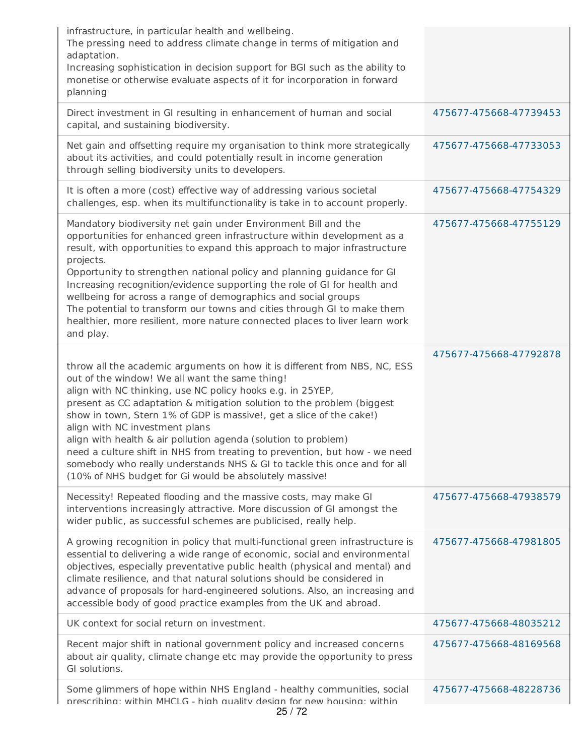| infrastructure, in particular health and wellbeing.<br>The pressing need to address climate change in terms of mitigation and<br>adaptation.<br>Increasing sophistication in decision support for BGI such as the ability to<br>monetise or otherwise evaluate aspects of it for incorporation in forward<br>planning                                                                                                                                                                                                                                                                                                                                               |                        |
|---------------------------------------------------------------------------------------------------------------------------------------------------------------------------------------------------------------------------------------------------------------------------------------------------------------------------------------------------------------------------------------------------------------------------------------------------------------------------------------------------------------------------------------------------------------------------------------------------------------------------------------------------------------------|------------------------|
| Direct investment in GI resulting in enhancement of human and social<br>capital, and sustaining biodiversity.                                                                                                                                                                                                                                                                                                                                                                                                                                                                                                                                                       | 475677-475668-47739453 |
| Net gain and offsetting require my organisation to think more strategically<br>about its activities, and could potentially result in income generation<br>through selling biodiversity units to developers.                                                                                                                                                                                                                                                                                                                                                                                                                                                         | 475677-475668-47733053 |
| It is often a more (cost) effective way of addressing various societal<br>challenges, esp. when its multifunctionality is take in to account properly.                                                                                                                                                                                                                                                                                                                                                                                                                                                                                                              | 475677-475668-47754329 |
| Mandatory biodiversity net gain under Environment Bill and the<br>opportunities for enhanced green infrastructure within development as a<br>result, with opportunities to expand this approach to major infrastructure<br>projects.<br>Opportunity to strengthen national policy and planning guidance for GI<br>Increasing recognition/evidence supporting the role of GI for health and<br>wellbeing for across a range of demographics and social groups<br>The potential to transform our towns and cities through GI to make them<br>healthier, more resilient, more nature connected places to liver learn work<br>and play.                                 | 475677-475668-47755129 |
| throw all the academic arguments on how it is different from NBS, NC, ESS<br>out of the window! We all want the same thing!<br>align with NC thinking, use NC policy hooks e.g. in 25YEP,<br>present as CC adaptation & mitigation solution to the problem (biggest<br>show in town, Stern 1% of GDP is massive!, get a slice of the cake!)<br>align with NC investment plans<br>align with health & air pollution agenda (solution to problem)<br>need a culture shift in NHS from treating to prevention, but how - we need<br>somebody who really understands NHS & GI to tackle this once and for all<br>(10% of NHS budget for Gi would be absolutely massive! | 475677-475668-47792878 |
| Necessity! Repeated flooding and the massive costs, may make GI<br>interventions increasingly attractive. More discussion of GI amongst the<br>wider public, as successful schemes are publicised, really help.                                                                                                                                                                                                                                                                                                                                                                                                                                                     | 475677-475668-47938579 |
| A growing recognition in policy that multi-functional green infrastructure is<br>essential to delivering a wide range of economic, social and environmental<br>objectives, especially preventative public health (physical and mental) and<br>climate resilience, and that natural solutions should be considered in<br>advance of proposals for hard-engineered solutions. Also, an increasing and<br>accessible body of good practice examples from the UK and abroad.                                                                                                                                                                                            | 475677-475668-47981805 |
| UK context for social return on investment.                                                                                                                                                                                                                                                                                                                                                                                                                                                                                                                                                                                                                         | 475677-475668-48035212 |
| Recent major shift in national government policy and increased concerns<br>about air quality, climate change etc may provide the opportunity to press<br>GI solutions.                                                                                                                                                                                                                                                                                                                                                                                                                                                                                              | 475677-475668-48169568 |
| Some glimmers of hope within NHS England - healthy communities, social<br>prescribing: within MHCLG - high quality design for new housing: within                                                                                                                                                                                                                                                                                                                                                                                                                                                                                                                   | 475677-475668-48228736 |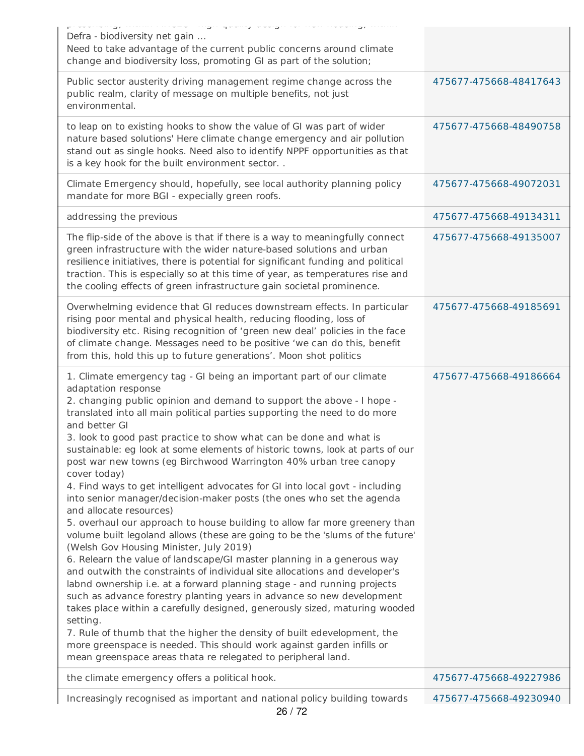| processing, mainternood angle quality acciging non-nousling, maine<br>Defra - biodiversity net gain<br>Need to take advantage of the current public concerns around climate<br>change and biodiversity loss, promoting GI as part of the solution;                                                                                                                                                                                                                                                                                                                                                                                                                                                                                                                                                                                                                                                                                                                                                                                                                                                                                                                                                                                                                                                                                                                                                                                                                                                                                     |                        |
|----------------------------------------------------------------------------------------------------------------------------------------------------------------------------------------------------------------------------------------------------------------------------------------------------------------------------------------------------------------------------------------------------------------------------------------------------------------------------------------------------------------------------------------------------------------------------------------------------------------------------------------------------------------------------------------------------------------------------------------------------------------------------------------------------------------------------------------------------------------------------------------------------------------------------------------------------------------------------------------------------------------------------------------------------------------------------------------------------------------------------------------------------------------------------------------------------------------------------------------------------------------------------------------------------------------------------------------------------------------------------------------------------------------------------------------------------------------------------------------------------------------------------------------|------------------------|
| Public sector austerity driving management regime change across the<br>public realm, clarity of message on multiple benefits, not just<br>environmental.                                                                                                                                                                                                                                                                                                                                                                                                                                                                                                                                                                                                                                                                                                                                                                                                                                                                                                                                                                                                                                                                                                                                                                                                                                                                                                                                                                               | 475677-475668-48417643 |
| to leap on to existing hooks to show the value of GI was part of wider<br>nature based solutions' Here climate change emergency and air pollution<br>stand out as single hooks. Need also to identify NPPF opportunities as that<br>is a key hook for the built environment sector                                                                                                                                                                                                                                                                                                                                                                                                                                                                                                                                                                                                                                                                                                                                                                                                                                                                                                                                                                                                                                                                                                                                                                                                                                                     | 475677-475668-48490758 |
| Climate Emergency should, hopefully, see local authority planning policy<br>mandate for more BGI - expecially green roofs.                                                                                                                                                                                                                                                                                                                                                                                                                                                                                                                                                                                                                                                                                                                                                                                                                                                                                                                                                                                                                                                                                                                                                                                                                                                                                                                                                                                                             | 475677-475668-49072031 |
| addressing the previous                                                                                                                                                                                                                                                                                                                                                                                                                                                                                                                                                                                                                                                                                                                                                                                                                                                                                                                                                                                                                                                                                                                                                                                                                                                                                                                                                                                                                                                                                                                | 475677-475668-49134311 |
| The flip-side of the above is that if there is a way to meaningfully connect<br>green infrastructure with the wider nature-based solutions and urban<br>resilience initiatives, there is potential for significant funding and political<br>traction. This is especially so at this time of year, as temperatures rise and<br>the cooling effects of green infrastructure gain societal prominence.                                                                                                                                                                                                                                                                                                                                                                                                                                                                                                                                                                                                                                                                                                                                                                                                                                                                                                                                                                                                                                                                                                                                    | 475677-475668-49135007 |
| Overwhelming evidence that GI reduces downstream effects. In particular<br>rising poor mental and physical health, reducing flooding, loss of<br>biodiversity etc. Rising recognition of 'green new deal' policies in the face<br>of climate change. Messages need to be positive 'we can do this, benefit<br>from this, hold this up to future generations'. Moon shot politics                                                                                                                                                                                                                                                                                                                                                                                                                                                                                                                                                                                                                                                                                                                                                                                                                                                                                                                                                                                                                                                                                                                                                       | 475677-475668-49185691 |
|                                                                                                                                                                                                                                                                                                                                                                                                                                                                                                                                                                                                                                                                                                                                                                                                                                                                                                                                                                                                                                                                                                                                                                                                                                                                                                                                                                                                                                                                                                                                        |                        |
| 1. Climate emergency tag - GI being an important part of our climate<br>adaptation response<br>2. changing public opinion and demand to support the above - I hope -<br>translated into all main political parties supporting the need to do more<br>and better GI<br>3. look to good past practice to show what can be done and what is<br>sustainable: eg look at some elements of historic towns, look at parts of our<br>post war new towns (eg Birchwood Warrington 40% urban tree canopy<br>cover today)<br>4. Find ways to get intelligent advocates for GI into local govt - including<br>into senior manager/decision-maker posts (the ones who set the agenda<br>and allocate resources)<br>5. overhaul our approach to house building to allow far more greenery than<br>volume built legoland allows (these are going to be the 'slums of the future'<br>(Welsh Gov Housing Minister, July 2019)<br>6. Relearn the value of landscape/GI master planning in a generous way<br>and outwith the constraints of individual site allocations and developer's<br>labnd ownership i.e. at a forward planning stage - and running projects<br>such as advance forestry planting years in advance so new development<br>takes place within a carefully designed, generously sized, maturing wooded<br>setting.<br>7. Rule of thumb that the higher the density of built edevelopment, the<br>more greenspace is needed. This should work against garden infills or<br>mean greenspace areas thata re relegated to peripheral land. | 475677-475668-49186664 |
| the climate emergency offers a political hook.                                                                                                                                                                                                                                                                                                                                                                                                                                                                                                                                                                                                                                                                                                                                                                                                                                                                                                                                                                                                                                                                                                                                                                                                                                                                                                                                                                                                                                                                                         | 475677-475668-49227986 |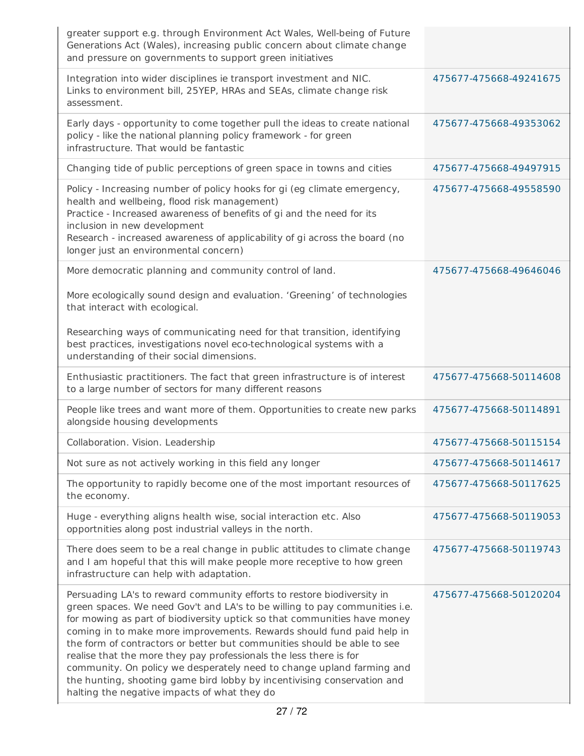| greater support e.g. through Environment Act Wales, Well-being of Future<br>Generations Act (Wales), increasing public concern about climate change<br>and pressure on governments to support green initiatives                                                                                                                                                                                                                                                                                                                                                                                                                                                |                        |
|----------------------------------------------------------------------------------------------------------------------------------------------------------------------------------------------------------------------------------------------------------------------------------------------------------------------------------------------------------------------------------------------------------------------------------------------------------------------------------------------------------------------------------------------------------------------------------------------------------------------------------------------------------------|------------------------|
| Integration into wider disciplines ie transport investment and NIC.<br>Links to environment bill, 25YEP, HRAs and SEAs, climate change risk<br>assessment.                                                                                                                                                                                                                                                                                                                                                                                                                                                                                                     | 475677-475668-49241675 |
| Early days - opportunity to come together pull the ideas to create national<br>policy - like the national planning policy framework - for green<br>infrastructure. That would be fantastic                                                                                                                                                                                                                                                                                                                                                                                                                                                                     | 475677-475668-49353062 |
| Changing tide of public perceptions of green space in towns and cities                                                                                                                                                                                                                                                                                                                                                                                                                                                                                                                                                                                         | 475677-475668-49497915 |
| Policy - Increasing number of policy hooks for gi (eg climate emergency,<br>health and wellbeing, flood risk management)<br>Practice - Increased awareness of benefits of gi and the need for its<br>inclusion in new development<br>Research - increased awareness of applicability of gi across the board (no<br>longer just an environmental concern)                                                                                                                                                                                                                                                                                                       | 475677-475668-49558590 |
| More democratic planning and community control of land.                                                                                                                                                                                                                                                                                                                                                                                                                                                                                                                                                                                                        | 475677-475668-49646046 |
| More ecologically sound design and evaluation. 'Greening' of technologies<br>that interact with ecological.                                                                                                                                                                                                                                                                                                                                                                                                                                                                                                                                                    |                        |
| Researching ways of communicating need for that transition, identifying<br>best practices, investigations novel eco-technological systems with a<br>understanding of their social dimensions.                                                                                                                                                                                                                                                                                                                                                                                                                                                                  |                        |
| Enthusiastic practitioners. The fact that green infrastructure is of interest<br>to a large number of sectors for many different reasons                                                                                                                                                                                                                                                                                                                                                                                                                                                                                                                       | 475677-475668-50114608 |
| People like trees and want more of them. Opportunities to create new parks<br>alongside housing developments                                                                                                                                                                                                                                                                                                                                                                                                                                                                                                                                                   | 475677-475668-50114891 |
| Collaboration. Vision. Leadership                                                                                                                                                                                                                                                                                                                                                                                                                                                                                                                                                                                                                              | 475677-475668-50115154 |
| Not sure as not actively working in this field any longer                                                                                                                                                                                                                                                                                                                                                                                                                                                                                                                                                                                                      | 475677-475668-50114617 |
| The opportunity to rapidly become one of the most important resources of<br>the economy.                                                                                                                                                                                                                                                                                                                                                                                                                                                                                                                                                                       | 475677-475668-50117625 |
| Huge - everything aligns health wise, social interaction etc. Also<br>opportnities along post industrial valleys in the north.                                                                                                                                                                                                                                                                                                                                                                                                                                                                                                                                 | 475677-475668-50119053 |
| There does seem to be a real change in public attitudes to climate change<br>and I am hopeful that this will make people more receptive to how green<br>infrastructure can help with adaptation.                                                                                                                                                                                                                                                                                                                                                                                                                                                               | 475677-475668-50119743 |
| Persuading LA's to reward community efforts to restore biodiversity in<br>green spaces. We need Gov't and LA's to be willing to pay communities i.e.<br>for mowing as part of biodiversity uptick so that communities have money<br>coming in to make more improvements. Rewards should fund paid help in<br>the form of contractors or better but communities should be able to see<br>realise that the more they pay professionals the less there is for<br>community. On policy we desperately need to change upland farming and<br>the hunting, shooting game bird lobby by incentivising conservation and<br>halting the negative impacts of what they do | 475677-475668-50120204 |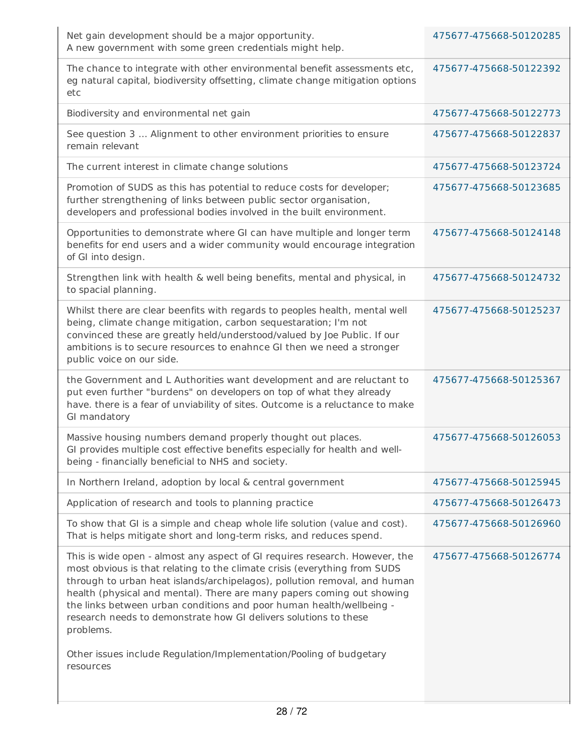| Net gain development should be a major opportunity.<br>A new government with some green credentials might help.                                                                                                                                                                                                                                                                                                                                                                                                                                              | 475677-475668-50120285 |
|--------------------------------------------------------------------------------------------------------------------------------------------------------------------------------------------------------------------------------------------------------------------------------------------------------------------------------------------------------------------------------------------------------------------------------------------------------------------------------------------------------------------------------------------------------------|------------------------|
| The chance to integrate with other environmental benefit assessments etc,<br>eg natural capital, biodiversity offsetting, climate change mitigation options<br>etc                                                                                                                                                                                                                                                                                                                                                                                           | 475677-475668-50122392 |
| Biodiversity and environmental net gain                                                                                                                                                                                                                                                                                                                                                                                                                                                                                                                      | 475677-475668-50122773 |
| See question 3  Alignment to other environment priorities to ensure<br>remain relevant                                                                                                                                                                                                                                                                                                                                                                                                                                                                       | 475677-475668-50122837 |
| The current interest in climate change solutions                                                                                                                                                                                                                                                                                                                                                                                                                                                                                                             | 475677-475668-50123724 |
| Promotion of SUDS as this has potential to reduce costs for developer;<br>further strengthening of links between public sector organisation,<br>developers and professional bodies involved in the built environment.                                                                                                                                                                                                                                                                                                                                        | 475677-475668-50123685 |
| Opportunities to demonstrate where GI can have multiple and longer term<br>benefits for end users and a wider community would encourage integration<br>of GI into design.                                                                                                                                                                                                                                                                                                                                                                                    | 475677-475668-50124148 |
| Strengthen link with health & well being benefits, mental and physical, in<br>to spacial planning.                                                                                                                                                                                                                                                                                                                                                                                                                                                           | 475677-475668-50124732 |
| Whilst there are clear beenfits with regards to peoples health, mental well<br>being, climate change mitigation, carbon sequestaration; I'm not<br>convinced these are greatly held/understood/valued by Joe Public. If our<br>ambitions is to secure resources to enahnce GI then we need a stronger<br>public voice on our side.                                                                                                                                                                                                                           | 475677-475668-50125237 |
| the Government and L Authorities want development and are reluctant to<br>put even further "burdens" on developers on top of what they already<br>have. there is a fear of unviability of sites. Outcome is a reluctance to make<br>GI mandatory                                                                                                                                                                                                                                                                                                             | 475677-475668-50125367 |
| Massive housing numbers demand properly thought out places.<br>GI provides multiple cost effective benefits especially for health and well-<br>being - financially beneficial to NHS and society.                                                                                                                                                                                                                                                                                                                                                            | 475677-475668-50126053 |
| In Northern Ireland, adoption by local & central government                                                                                                                                                                                                                                                                                                                                                                                                                                                                                                  | 475677-475668-50125945 |
| Application of research and tools to planning practice                                                                                                                                                                                                                                                                                                                                                                                                                                                                                                       | 475677-475668-50126473 |
| To show that GI is a simple and cheap whole life solution (value and cost).<br>That is helps mitigate short and long-term risks, and reduces spend.                                                                                                                                                                                                                                                                                                                                                                                                          | 475677-475668-50126960 |
| This is wide open - almost any aspect of GI requires research. However, the<br>most obvious is that relating to the climate crisis (everything from SUDS<br>through to urban heat islands/archipelagos), pollution removal, and human<br>health (physical and mental). There are many papers coming out showing<br>the links between urban conditions and poor human health/wellbeing -<br>research needs to demonstrate how GI delivers solutions to these<br>problems.<br>Other issues include Regulation/Implementation/Pooling of budgetary<br>resources | 475677-475668-50126774 |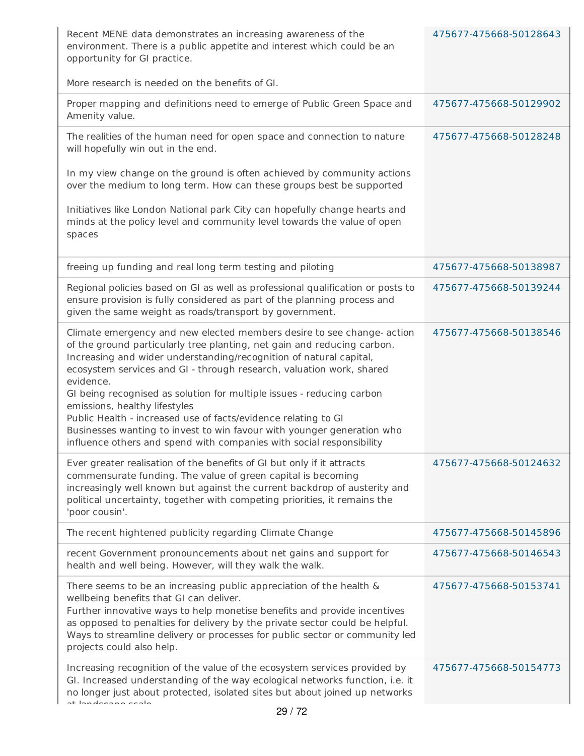| Recent MENE data demonstrates an increasing awareness of the<br>environment. There is a public appetite and interest which could be an<br>opportunity for GI practice.<br>More research is needed on the benefits of GI.                                                                                                                                                                                                                                                                                                                                                                                                                   | 475677-475668-50128643 |
|--------------------------------------------------------------------------------------------------------------------------------------------------------------------------------------------------------------------------------------------------------------------------------------------------------------------------------------------------------------------------------------------------------------------------------------------------------------------------------------------------------------------------------------------------------------------------------------------------------------------------------------------|------------------------|
| Proper mapping and definitions need to emerge of Public Green Space and<br>Amenity value.                                                                                                                                                                                                                                                                                                                                                                                                                                                                                                                                                  | 475677-475668-50129902 |
| The realities of the human need for open space and connection to nature<br>will hopefully win out in the end.<br>In my view change on the ground is often achieved by community actions                                                                                                                                                                                                                                                                                                                                                                                                                                                    | 475677-475668-50128248 |
| over the medium to long term. How can these groups best be supported<br>Initiatives like London National park City can hopefully change hearts and<br>minds at the policy level and community level towards the value of open<br>spaces                                                                                                                                                                                                                                                                                                                                                                                                    |                        |
| freeing up funding and real long term testing and piloting                                                                                                                                                                                                                                                                                                                                                                                                                                                                                                                                                                                 | 475677-475668-50138987 |
| Regional policies based on GI as well as professional qualification or posts to<br>ensure provision is fully considered as part of the planning process and<br>given the same weight as roads/transport by government.                                                                                                                                                                                                                                                                                                                                                                                                                     | 475677-475668-50139244 |
| Climate emergency and new elected members desire to see change- action<br>of the ground particularly tree planting, net gain and reducing carbon.<br>Increasing and wider understanding/recognition of natural capital,<br>ecosystem services and GI - through research, valuation work, shared<br>evidence.<br>GI being recognised as solution for multiple issues - reducing carbon<br>emissions, healthy lifestyles<br>Public Health - increased use of facts/evidence relating to GI<br>Businesses wanting to invest to win favour with younger generation who<br>influence others and spend with companies with social responsibility | 475677-475668-50138546 |
| Ever greater realisation of the benefits of GI but only if it attracts<br>commensurate funding. The value of green capital is becoming<br>increasingly well known but against the current backdrop of austerity and<br>political uncertainty, together with competing priorities, it remains the<br>'poor cousin'.                                                                                                                                                                                                                                                                                                                         | 475677-475668-50124632 |
| The recent hightened publicity regarding Climate Change                                                                                                                                                                                                                                                                                                                                                                                                                                                                                                                                                                                    | 475677-475668-50145896 |
| recent Government pronouncements about net gains and support for<br>health and well being. However, will they walk the walk.                                                                                                                                                                                                                                                                                                                                                                                                                                                                                                               | 475677-475668-50146543 |
| There seems to be an increasing public appreciation of the health &<br>wellbeing benefits that GI can deliver.<br>Further innovative ways to help monetise benefits and provide incentives<br>as opposed to penalties for delivery by the private sector could be helpful.<br>Ways to streamline delivery or processes for public sector or community led<br>projects could also help.                                                                                                                                                                                                                                                     | 475677-475668-50153741 |
| Increasing recognition of the value of the ecosystem services provided by<br>GI. Increased understanding of the way ecological networks function, i.e. it<br>no longer just about protected, isolated sites but about joined up networks<br>at landeenna eesla                                                                                                                                                                                                                                                                                                                                                                             | 475677-475668-50154773 |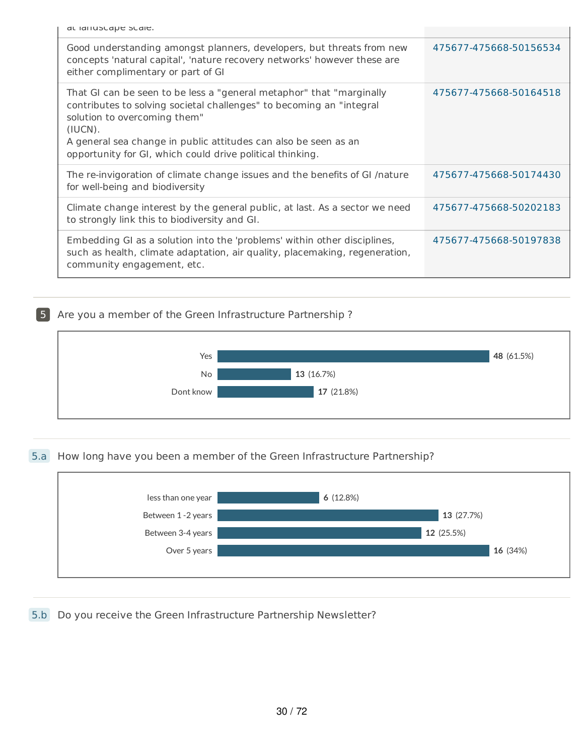| at idituscape scale. |  |
|----------------------|--|
|----------------------|--|

| dl idituscape scale.                                                                                                                                                                                                                                                                                                    |                        |
|-------------------------------------------------------------------------------------------------------------------------------------------------------------------------------------------------------------------------------------------------------------------------------------------------------------------------|------------------------|
| Good understanding amongst planners, developers, but threats from new<br>concepts 'natural capital', 'nature recovery networks' however these are<br>either complimentary or part of GI                                                                                                                                 | 475677-475668-50156534 |
| That GI can be seen to be less a "general metaphor" that "marginally<br>contributes to solving societal challenges" to becoming an "integral<br>solution to overcoming them"<br>(IUCN).<br>A general sea change in public attitudes can also be seen as an<br>opportunity for GI, which could drive political thinking. | 475677-475668-50164518 |
| The re-invigoration of climate change issues and the benefits of GI /nature<br>for well-being and biodiversity                                                                                                                                                                                                          | 475677-475668-50174430 |
| Climate change interest by the general public, at last. As a sector we need<br>to strongly link this to biodiversity and GI.                                                                                                                                                                                            | 475677-475668-50202183 |
| Embedding GI as a solution into the 'problems' within other disciplines,<br>such as health, climate adaptation, air quality, placemaking, regeneration,<br>community engagement, etc.                                                                                                                                   | 475677-475668-50197838 |

# 5 Are you a member of the Green Infrastructure Partnership ?



#### 5.a How long have you been a member of the Green Infrastructure Partnership?



## 5.b Do you receive the Green Infrastructure Partnership Newsletter?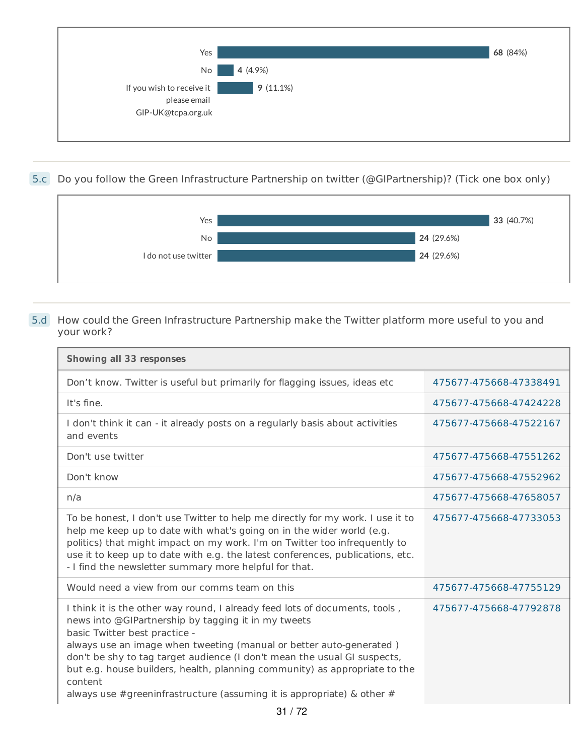

5.c Do you follow the Green Infrastructure Partnership on twitter (@GIPartnership)? (Tick one box only)



#### 5.d How could the Green Infrastructure Partnership make the Twitter platform more useful to you and your work?

| <b>Showing all 33 responses</b>                                                                                                                                                                                                                                                                                                                                                                                                                                                              |                        |
|----------------------------------------------------------------------------------------------------------------------------------------------------------------------------------------------------------------------------------------------------------------------------------------------------------------------------------------------------------------------------------------------------------------------------------------------------------------------------------------------|------------------------|
| Don't know. Twitter is useful but primarily for flagging issues, ideas etc                                                                                                                                                                                                                                                                                                                                                                                                                   | 475677-475668-47338491 |
| It's fine.                                                                                                                                                                                                                                                                                                                                                                                                                                                                                   | 475677-475668-47424228 |
| I don't think it can - it already posts on a regularly basis about activities<br>and events                                                                                                                                                                                                                                                                                                                                                                                                  | 475677-475668-47522167 |
| Don't use twitter                                                                                                                                                                                                                                                                                                                                                                                                                                                                            | 475677-475668-47551262 |
| Don't know                                                                                                                                                                                                                                                                                                                                                                                                                                                                                   | 475677-475668-47552962 |
| n/a                                                                                                                                                                                                                                                                                                                                                                                                                                                                                          | 475677-475668-47658057 |
| To be honest, I don't use Twitter to help me directly for my work. I use it to<br>help me keep up to date with what's going on in the wider world (e.g.<br>politics) that might impact on my work. I'm on Twitter too infrequently to<br>use it to keep up to date with e.g. the latest conferences, publications, etc.<br>- I find the newsletter summary more helpful for that.                                                                                                            | 475677-475668-47733053 |
| Would need a view from our comms team on this                                                                                                                                                                                                                                                                                                                                                                                                                                                | 475677-475668-47755129 |
| I think it is the other way round, I already feed lots of documents, tools,<br>news into @GIPartnership by tagging it in my tweets<br>basic Twitter best practice -<br>always use an image when tweeting (manual or better auto-generated)<br>don't be shy to tag target audience (I don't mean the usual GI suspects,<br>but e.g. house builders, health, planning community) as appropriate to the<br>content<br>always use #greeninfrastructure (assuming it is appropriate) $\&$ other # | 475677-475668-47792878 |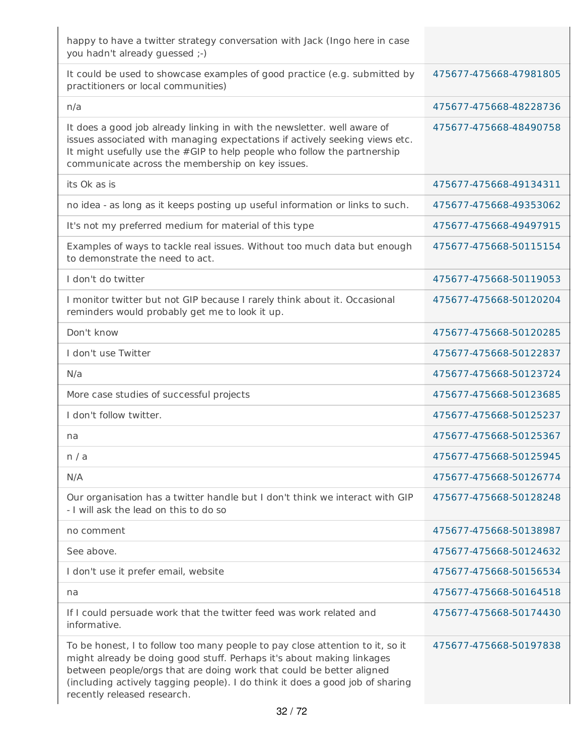| happy to have a twitter strategy conversation with Jack (Ingo here in case<br>you hadn't already guessed ;-)                                                                                                                                                                                                                                   |                        |
|------------------------------------------------------------------------------------------------------------------------------------------------------------------------------------------------------------------------------------------------------------------------------------------------------------------------------------------------|------------------------|
| It could be used to showcase examples of good practice (e.g. submitted by<br>practitioners or local communities)                                                                                                                                                                                                                               | 475677-475668-47981805 |
| n/a                                                                                                                                                                                                                                                                                                                                            | 475677-475668-48228736 |
| It does a good job already linking in with the newsletter. well aware of<br>issues associated with managing expectations if actively seeking views etc.<br>It might usefully use the #GIP to help people who follow the partnership<br>communicate across the membership on key issues.                                                        | 475677-475668-48490758 |
| its Ok as is                                                                                                                                                                                                                                                                                                                                   | 475677-475668-49134311 |
| no idea - as long as it keeps posting up useful information or links to such.                                                                                                                                                                                                                                                                  | 475677-475668-49353062 |
| It's not my preferred medium for material of this type                                                                                                                                                                                                                                                                                         | 475677-475668-49497915 |
| Examples of ways to tackle real issues. Without too much data but enough<br>to demonstrate the need to act.                                                                                                                                                                                                                                    | 475677-475668-50115154 |
| I don't do twitter                                                                                                                                                                                                                                                                                                                             | 475677-475668-50119053 |
| I monitor twitter but not GIP because I rarely think about it. Occasional<br>reminders would probably get me to look it up.                                                                                                                                                                                                                    | 475677-475668-50120204 |
| Don't know                                                                                                                                                                                                                                                                                                                                     | 475677-475668-50120285 |
| I don't use Twitter                                                                                                                                                                                                                                                                                                                            | 475677-475668-50122837 |
| N/a                                                                                                                                                                                                                                                                                                                                            | 475677-475668-50123724 |
| More case studies of successful projects                                                                                                                                                                                                                                                                                                       | 475677-475668-50123685 |
| I don't follow twitter.                                                                                                                                                                                                                                                                                                                        | 475677-475668-50125237 |
| na                                                                                                                                                                                                                                                                                                                                             | 475677-475668-50125367 |
| n / a                                                                                                                                                                                                                                                                                                                                          | 475677-475668-50125945 |
| N/A                                                                                                                                                                                                                                                                                                                                            | 475677-475668-50126774 |
| Our organisation has a twitter handle but I don't think we interact with GIP<br>- I will ask the lead on this to do so                                                                                                                                                                                                                         | 475677-475668-50128248 |
| no comment                                                                                                                                                                                                                                                                                                                                     | 475677-475668-50138987 |
| See above.                                                                                                                                                                                                                                                                                                                                     | 475677-475668-50124632 |
| I don't use it prefer email, website                                                                                                                                                                                                                                                                                                           | 475677-475668-50156534 |
| na                                                                                                                                                                                                                                                                                                                                             | 475677-475668-50164518 |
| If I could persuade work that the twitter feed was work related and<br>informative.                                                                                                                                                                                                                                                            | 475677-475668-50174430 |
| To be honest, I to follow too many people to pay close attention to it, so it<br>might already be doing good stuff. Perhaps it's about making linkages<br>between people/orgs that are doing work that could be better aligned<br>(including actively tagging people). I do think it does a good job of sharing<br>recently released research. | 475677-475668-50197838 |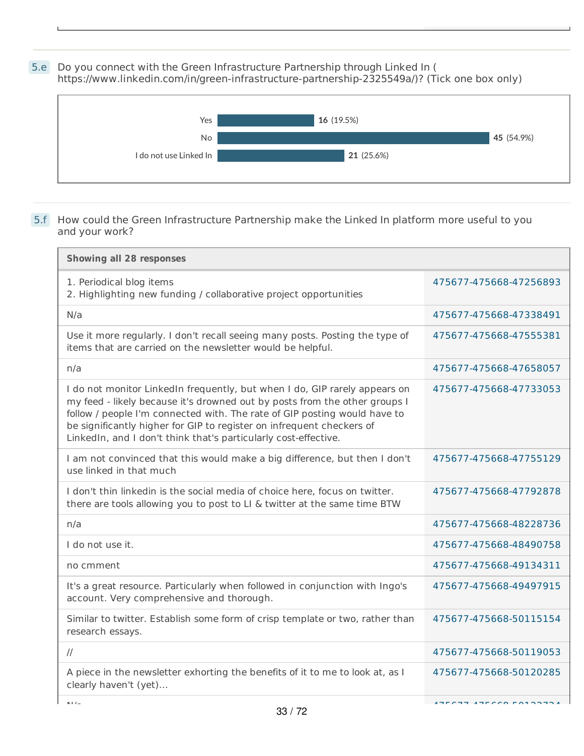5.e Do you connect with the Green Infrastructure Partnership through Linked In ( https://www.linkedin.com/in/green-infrastructure-partnership-2325549a/)? (Tick one box only)



## 5.f How could the Green Infrastructure Partnership make the Linked In platform more useful to you and your work?

| <b>Showing all 28 responses</b>                                                                                                                                                                                                                                                                                                                                                   |                        |
|-----------------------------------------------------------------------------------------------------------------------------------------------------------------------------------------------------------------------------------------------------------------------------------------------------------------------------------------------------------------------------------|------------------------|
| 1. Periodical blog items<br>2. Highlighting new funding / collaborative project opportunities                                                                                                                                                                                                                                                                                     | 475677-475668-47256893 |
| N/a                                                                                                                                                                                                                                                                                                                                                                               | 475677-475668-47338491 |
| Use it more regularly. I don't recall seeing many posts. Posting the type of<br>items that are carried on the newsletter would be helpful.                                                                                                                                                                                                                                        | 475677-475668-47555381 |
| n/a                                                                                                                                                                                                                                                                                                                                                                               | 475677-475668-47658057 |
| I do not monitor LinkedIn frequently, but when I do, GIP rarely appears on<br>my feed - likely because it's drowned out by posts from the other groups I<br>follow / people I'm connected with. The rate of GIP posting would have to<br>be significantly higher for GIP to register on infrequent checkers of<br>LinkedIn, and I don't think that's particularly cost-effective. | 475677-475668-47733053 |
| I am not convinced that this would make a big difference, but then I don't<br>use linked in that much                                                                                                                                                                                                                                                                             | 475677-475668-47755129 |
| I don't thin linkedin is the social media of choice here, focus on twitter.<br>there are tools allowing you to post to LI & twitter at the same time BTW                                                                                                                                                                                                                          | 475677-475668-47792878 |
| n/a                                                                                                                                                                                                                                                                                                                                                                               | 475677-475668-48228736 |
| I do not use it.                                                                                                                                                                                                                                                                                                                                                                  | 475677-475668-48490758 |
| no cmment                                                                                                                                                                                                                                                                                                                                                                         | 475677-475668-49134311 |
| It's a great resource. Particularly when followed in conjunction with Ingo's<br>account. Very comprehensive and thorough.                                                                                                                                                                                                                                                         | 475677-475668-49497915 |
| Similar to twitter. Establish some form of crisp template or two, rather than<br>research essays.                                                                                                                                                                                                                                                                                 | 475677-475668-50115154 |
| $\frac{1}{2}$                                                                                                                                                                                                                                                                                                                                                                     | 475677-475668-50119053 |
| A piece in the newsletter exhorting the benefits of it to me to look at, as I<br>clearly haven't (yet)                                                                                                                                                                                                                                                                            | 475677-475668-50120285 |
| $A + I$                                                                                                                                                                                                                                                                                                                                                                           | 175577 175550 50102701 |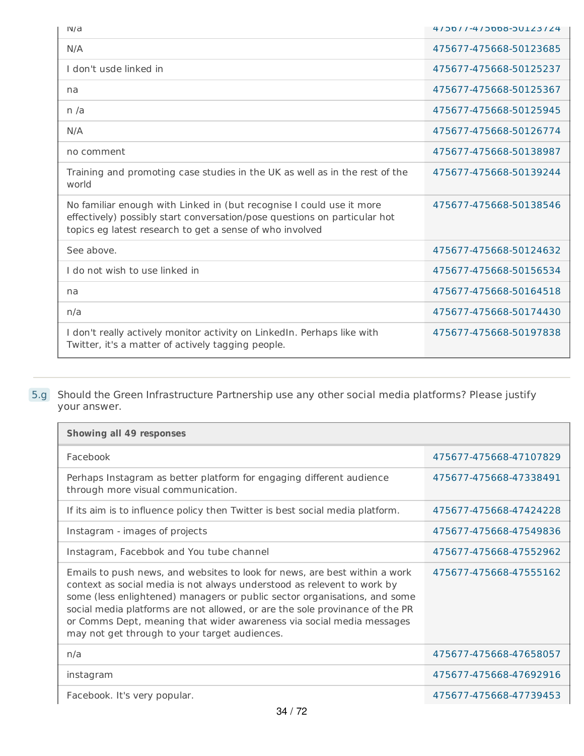| IVd                                                                                                                                                                                                           | 4/00//-4/0006-00123/24 |
|---------------------------------------------------------------------------------------------------------------------------------------------------------------------------------------------------------------|------------------------|
| N/A                                                                                                                                                                                                           | 475677-475668-50123685 |
| I don't usde linked in                                                                                                                                                                                        | 475677-475668-50125237 |
| na                                                                                                                                                                                                            | 475677-475668-50125367 |
| n/a                                                                                                                                                                                                           | 475677-475668-50125945 |
| N/A                                                                                                                                                                                                           | 475677-475668-50126774 |
| no comment                                                                                                                                                                                                    | 475677-475668-50138987 |
| Training and promoting case studies in the UK as well as in the rest of the<br>world                                                                                                                          | 475677-475668-50139244 |
| No familiar enough with Linked in (but recognise I could use it more<br>effectively) possibly start conversation/pose questions on particular hot<br>topics eg latest research to get a sense of who involved | 475677-475668-50138546 |
| See above.                                                                                                                                                                                                    | 475677-475668-50124632 |
| I do not wish to use linked in                                                                                                                                                                                | 475677-475668-50156534 |
| na                                                                                                                                                                                                            | 475677-475668-50164518 |
| n/a                                                                                                                                                                                                           | 475677-475668-50174430 |
| I don't really actively monitor activity on LinkedIn. Perhaps like with<br>Twitter, it's a matter of actively tagging people.                                                                                 | 475677-475668-50197838 |

#### 5.g Should the Green Infrastructure Partnership use any other social media platforms? Please justify your answer.

| <b>Showing all 49 responses</b>                                                                                                                                                                                                                                                                                                                                                                                                              |                        |  |
|----------------------------------------------------------------------------------------------------------------------------------------------------------------------------------------------------------------------------------------------------------------------------------------------------------------------------------------------------------------------------------------------------------------------------------------------|------------------------|--|
| Facebook                                                                                                                                                                                                                                                                                                                                                                                                                                     | 475677-475668-47107829 |  |
| Perhaps Instagram as better platform for engaging different audience<br>through more visual communication.                                                                                                                                                                                                                                                                                                                                   | 475677-475668-47338491 |  |
| If its aim is to influence policy then Twitter is best social media platform.                                                                                                                                                                                                                                                                                                                                                                | 475677-475668-47424228 |  |
| Instagram - images of projects                                                                                                                                                                                                                                                                                                                                                                                                               | 475677-475668-47549836 |  |
| Instagram, Facebbok and You tube channel                                                                                                                                                                                                                                                                                                                                                                                                     | 475677-475668-47552962 |  |
| Emails to push news, and websites to look for news, are best within a work<br>context as social media is not always understood as relevent to work by<br>some (less enlightened) managers or public sector organisations, and some<br>social media platforms are not allowed, or are the sole provinance of the PR<br>or Comms Dept, meaning that wider awareness via social media messages<br>may not get through to your target audiences. | 475677-475668-47555162 |  |
| n/a                                                                                                                                                                                                                                                                                                                                                                                                                                          | 475677-475668-47658057 |  |
| instagram                                                                                                                                                                                                                                                                                                                                                                                                                                    | 475677-475668-47692916 |  |
| Facebook. It's very popular.                                                                                                                                                                                                                                                                                                                                                                                                                 | 475677-475668-47739453 |  |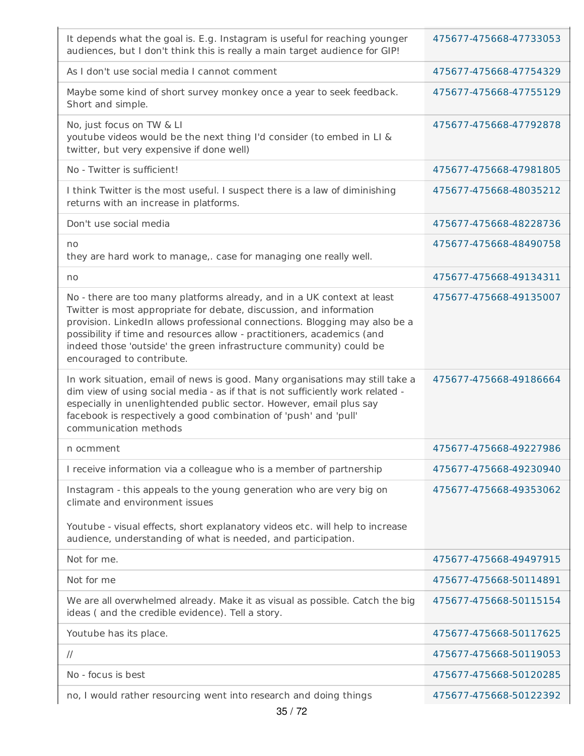| It depends what the goal is. E.g. Instagram is useful for reaching younger<br>audiences, but I don't think this is really a main target audience for GIP!                                                                                                                                                                                                                                                    | 475677-475668-47733053 |
|--------------------------------------------------------------------------------------------------------------------------------------------------------------------------------------------------------------------------------------------------------------------------------------------------------------------------------------------------------------------------------------------------------------|------------------------|
| As I don't use social media I cannot comment                                                                                                                                                                                                                                                                                                                                                                 | 475677-475668-47754329 |
| Maybe some kind of short survey monkey once a year to seek feedback.<br>Short and simple.                                                                                                                                                                                                                                                                                                                    | 475677-475668-47755129 |
| No, just focus on TW & LI<br>youtube videos would be the next thing I'd consider (to embed in LI &<br>twitter, but very expensive if done well)                                                                                                                                                                                                                                                              | 475677-475668-47792878 |
| No - Twitter is sufficient!                                                                                                                                                                                                                                                                                                                                                                                  | 475677-475668-47981805 |
| I think Twitter is the most useful. I suspect there is a law of diminishing<br>returns with an increase in platforms.                                                                                                                                                                                                                                                                                        | 475677-475668-48035212 |
| Don't use social media                                                                                                                                                                                                                                                                                                                                                                                       | 475677-475668-48228736 |
| no<br>they are hard work to manage,. case for managing one really well.                                                                                                                                                                                                                                                                                                                                      | 475677-475668-48490758 |
| no                                                                                                                                                                                                                                                                                                                                                                                                           | 475677-475668-49134311 |
| No - there are too many platforms already, and in a UK context at least<br>Twitter is most appropriate for debate, discussion, and information<br>provision. LinkedIn allows professional connections. Blogging may also be a<br>possibility if time and resources allow - practitioners, academics (and<br>indeed those 'outside' the green infrastructure community) could be<br>encouraged to contribute. | 475677-475668-49135007 |
| In work situation, email of news is good. Many organisations may still take a<br>dim view of using social media - as if that is not sufficiently work related -<br>especially in unenlightended public sector. However, email plus say<br>facebook is respectively a good combination of 'push' and 'pull'<br>communication methods                                                                          | 475677-475668-49186664 |
| n ocmment                                                                                                                                                                                                                                                                                                                                                                                                    | 475677-475668-49227986 |
| I receive information via a colleague who is a member of partnership                                                                                                                                                                                                                                                                                                                                         | 475677-475668-49230940 |
| Instagram - this appeals to the young generation who are very big on<br>climate and environment issues                                                                                                                                                                                                                                                                                                       | 475677-475668-49353062 |
| Youtube - visual effects, short explanatory videos etc. will help to increase<br>audience, understanding of what is needed, and participation.                                                                                                                                                                                                                                                               |                        |
| Not for me.                                                                                                                                                                                                                                                                                                                                                                                                  | 475677-475668-49497915 |
| Not for me                                                                                                                                                                                                                                                                                                                                                                                                   | 475677-475668-50114891 |
| We are all overwhelmed already. Make it as visual as possible. Catch the big<br>ideas (and the credible evidence). Tell a story.                                                                                                                                                                                                                                                                             | 475677-475668-50115154 |
| Youtube has its place.                                                                                                                                                                                                                                                                                                                                                                                       | 475677-475668-50117625 |
| $\frac{1}{2}$                                                                                                                                                                                                                                                                                                                                                                                                | 475677-475668-50119053 |
| No - focus is best                                                                                                                                                                                                                                                                                                                                                                                           | 475677-475668-50120285 |
| no, I would rather resourcing went into research and doing things                                                                                                                                                                                                                                                                                                                                            | 475677-475668-50122392 |

×.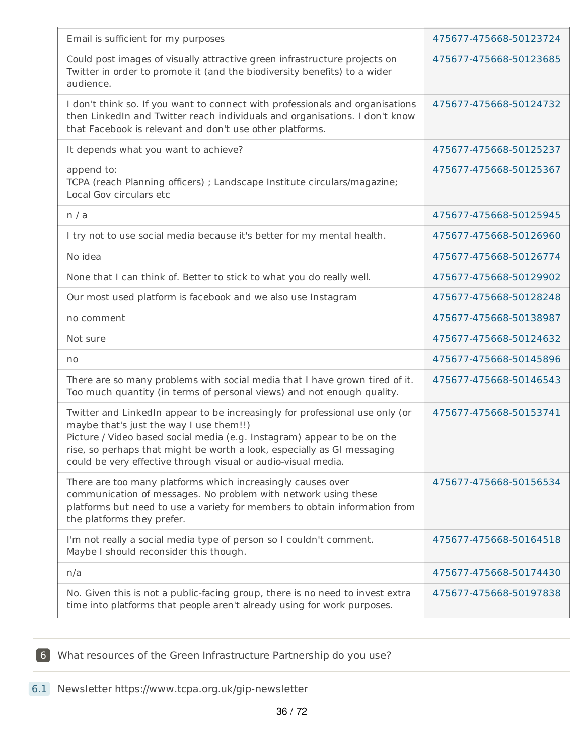| Email is sufficient for my purposes                                                                                                                                                                                                                                                                                                            | 475677-475668-50123724 |
|------------------------------------------------------------------------------------------------------------------------------------------------------------------------------------------------------------------------------------------------------------------------------------------------------------------------------------------------|------------------------|
| Could post images of visually attractive green infrastructure projects on<br>Twitter in order to promote it (and the biodiversity benefits) to a wider<br>audience.                                                                                                                                                                            | 475677-475668-50123685 |
| I don't think so. If you want to connect with professionals and organisations<br>then LinkedIn and Twitter reach individuals and organisations. I don't know<br>that Facebook is relevant and don't use other platforms.                                                                                                                       | 475677-475668-50124732 |
| It depends what you want to achieve?                                                                                                                                                                                                                                                                                                           | 475677-475668-50125237 |
| append to:<br>TCPA (reach Planning officers) ; Landscape Institute circulars/magazine;<br>Local Gov circulars etc                                                                                                                                                                                                                              | 475677-475668-50125367 |
| n / a                                                                                                                                                                                                                                                                                                                                          | 475677-475668-50125945 |
| I try not to use social media because it's better for my mental health.                                                                                                                                                                                                                                                                        | 475677-475668-50126960 |
| No idea                                                                                                                                                                                                                                                                                                                                        | 475677-475668-50126774 |
| None that I can think of. Better to stick to what you do really well.                                                                                                                                                                                                                                                                          | 475677-475668-50129902 |
| Our most used platform is facebook and we also use Instagram                                                                                                                                                                                                                                                                                   | 475677-475668-50128248 |
| no comment                                                                                                                                                                                                                                                                                                                                     | 475677-475668-50138987 |
| Not sure                                                                                                                                                                                                                                                                                                                                       | 475677-475668-50124632 |
| no                                                                                                                                                                                                                                                                                                                                             | 475677-475668-50145896 |
| There are so many problems with social media that I have grown tired of it.<br>Too much quantity (in terms of personal views) and not enough quality.                                                                                                                                                                                          | 475677-475668-50146543 |
| Twitter and LinkedIn appear to be increasingly for professional use only (or<br>maybe that's just the way I use them!!)<br>Picture / Video based social media (e.g. Instagram) appear to be on the<br>rise, so perhaps that might be worth a look, especially as GI messaging<br>could be very effective through visual or audio-visual media. | 475677-475668-50153741 |
| There are too many platforms which increasingly causes over<br>communication of messages. No problem with network using these<br>platforms but need to use a variety for members to obtain information from<br>the platforms they prefer.                                                                                                      | 475677-475668-50156534 |
| I'm not really a social media type of person so I couldn't comment.<br>Maybe I should reconsider this though.                                                                                                                                                                                                                                  | 475677-475668-50164518 |
| n/a                                                                                                                                                                                                                                                                                                                                            | 475677-475668-50174430 |
| No. Given this is not a public-facing group, there is no need to invest extra<br>time into platforms that people aren't already using for work purposes.                                                                                                                                                                                       | 475677-475668-50197838 |

6 What resources of the Green Infrastructure Partnership do you use?

6.1 Newsletter https://www.tcpa.org.uk/gip-newsletter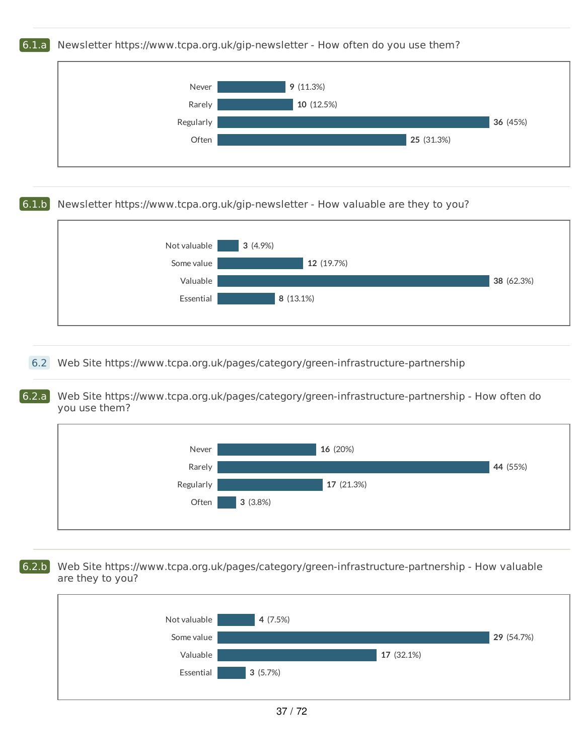## 6.1.a Newsletter https://www.tcpa.org.uk/gip-newsletter - How often do you use them?



## 6.1.b Newsletter https://www.tcpa.org.uk/gip-newsletter - How valuable are they to you?



## 6.2 Web Site https://www.tcpa.org.uk/pages/category/green-infrastructure-partnership

6.2.a Web Site https://www.tcpa.org.uk/pages/category/green-infrastructure-partnership - How often do you use them?



6.2.b Web Site https://www.tcpa.org.uk/pages/category/green-infrastructure-partnership - How valuable are they to you?

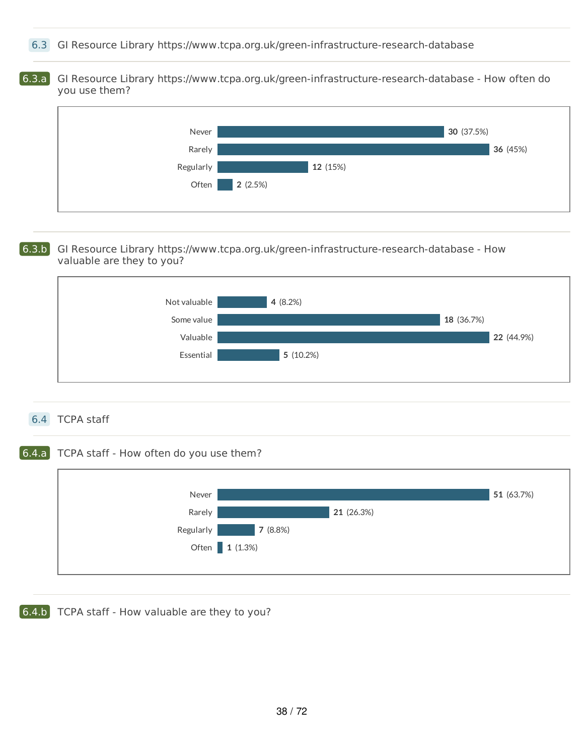6.3 GI Resource Library https://www.tcpa.org.uk/green-infrastructure-research-database

6.3.a GI Resource Library https://www.tcpa.org.uk/green-infrastructure-research-database - How often do you use them?



#### 6.3.b GI Resource Library https://www.tcpa.org.uk/green-infrastructure-research-database - How valuable are they to you?



## 6.4 TCPA staff

## 6.4.a TCPA staff - How often do you use them?



**6.4.b** TCPA staff - How valuable are they to you?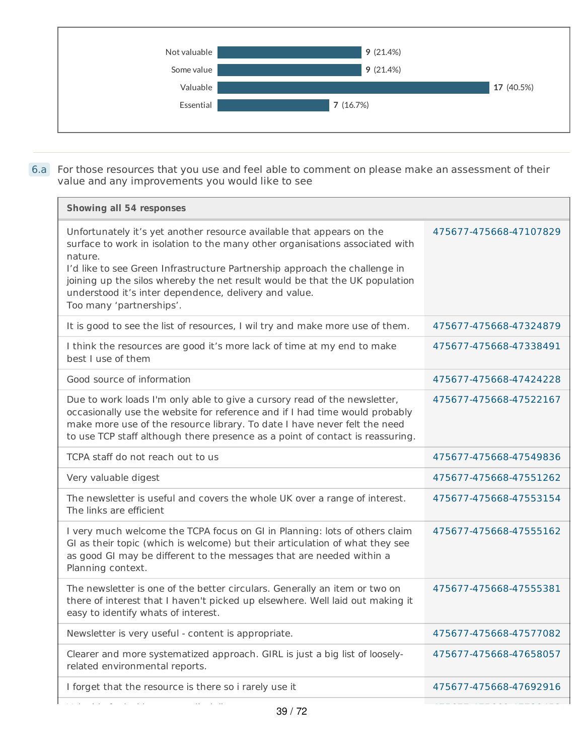

6.a For those resources that you use and feel able to comment on please make an assessment of their value and any improvements you would like to see

| Showing all 54 responses                                                                                                                                                                                                                                                                                                                                                                                           |                        |
|--------------------------------------------------------------------------------------------------------------------------------------------------------------------------------------------------------------------------------------------------------------------------------------------------------------------------------------------------------------------------------------------------------------------|------------------------|
| Unfortunately it's yet another resource available that appears on the<br>surface to work in isolation to the many other organisations associated with<br>nature.<br>I'd like to see Green Infrastructure Partnership approach the challenge in<br>joining up the silos whereby the net result would be that the UK population<br>understood it's inter dependence, delivery and value.<br>Too many 'partnerships'. | 475677-475668-47107829 |
| It is good to see the list of resources, I wil try and make more use of them.                                                                                                                                                                                                                                                                                                                                      | 475677-475668-47324879 |
| I think the resources are good it's more lack of time at my end to make<br>best I use of them                                                                                                                                                                                                                                                                                                                      | 475677-475668-47338491 |
| Good source of information                                                                                                                                                                                                                                                                                                                                                                                         | 475677-475668-47424228 |
| Due to work loads I'm only able to give a cursory read of the newsletter,<br>occasionally use the website for reference and if I had time would probably<br>make more use of the resource library. To date I have never felt the need<br>to use TCP staff although there presence as a point of contact is reassuring.                                                                                             | 475677-475668-47522167 |
| TCPA staff do not reach out to us                                                                                                                                                                                                                                                                                                                                                                                  | 475677-475668-47549836 |
| Very valuable digest                                                                                                                                                                                                                                                                                                                                                                                               | 475677-475668-47551262 |
| The newsletter is useful and covers the whole UK over a range of interest.<br>The links are efficient                                                                                                                                                                                                                                                                                                              | 475677-475668-47553154 |
| I very much welcome the TCPA focus on GI in Planning: lots of others claim<br>GI as their topic (which is welcome) but their articulation of what they see<br>as good GI may be different to the messages that are needed within a<br>Planning context.                                                                                                                                                            | 475677-475668-47555162 |
| The newsletter is one of the better circulars. Generally an item or two on<br>there of interest that I haven't picked up elsewhere. Well laid out making it<br>easy to identify whats of interest.                                                                                                                                                                                                                 | 475677-475668-47555381 |
| Newsletter is very useful - content is appropriate.                                                                                                                                                                                                                                                                                                                                                                | 475677-475668-47577082 |
| Clearer and more systematized approach. GIRL is just a big list of loosely-<br>related environmental reports.                                                                                                                                                                                                                                                                                                      | 475677-475668-47658057 |
| I forget that the resource is there so i rarely use it                                                                                                                                                                                                                                                                                                                                                             | 475677-475668-47692916 |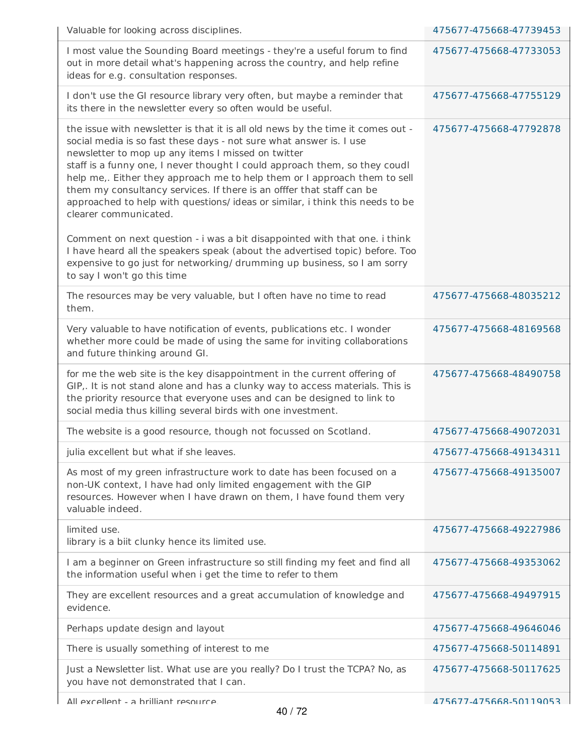| Valuable for looking across disciplines.                                                                                                                                                                                                                                                                                                                                                                                                                                                                                                                   | 475677-475668-47739453 |
|------------------------------------------------------------------------------------------------------------------------------------------------------------------------------------------------------------------------------------------------------------------------------------------------------------------------------------------------------------------------------------------------------------------------------------------------------------------------------------------------------------------------------------------------------------|------------------------|
| I most value the Sounding Board meetings - they're a useful forum to find<br>out in more detail what's happening across the country, and help refine<br>ideas for e.g. consultation responses.                                                                                                                                                                                                                                                                                                                                                             | 475677-475668-47733053 |
| I don't use the GI resource library very often, but maybe a reminder that<br>its there in the newsletter every so often would be useful.                                                                                                                                                                                                                                                                                                                                                                                                                   | 475677-475668-47755129 |
| the issue with newsletter is that it is all old news by the time it comes out -<br>social media is so fast these days - not sure what answer is. I use<br>newsletter to mop up any items I missed on twitter<br>staff is a funny one, I never thought I could approach them, so they coudl<br>help me,. Either they approach me to help them or I approach them to sell<br>them my consultancy services. If there is an offfer that staff can be<br>approached to help with questions/ ideas or similar, i think this needs to be<br>clearer communicated. | 475677-475668-47792878 |
| Comment on next question - i was a bit disappointed with that one. i think<br>I have heard all the speakers speak (about the advertised topic) before. Too<br>expensive to go just for networking/ drumming up business, so I am sorry<br>to say I won't go this time                                                                                                                                                                                                                                                                                      |                        |
| The resources may be very valuable, but I often have no time to read<br>them.                                                                                                                                                                                                                                                                                                                                                                                                                                                                              | 475677-475668-48035212 |
| Very valuable to have notification of events, publications etc. I wonder<br>whether more could be made of using the same for inviting collaborations<br>and future thinking around GI.                                                                                                                                                                                                                                                                                                                                                                     | 475677-475668-48169568 |
| for me the web site is the key disappointment in the current offering of<br>GIP,. It is not stand alone and has a clunky way to access materials. This is<br>the priority resource that everyone uses and can be designed to link to<br>social media thus killing several birds with one investment.                                                                                                                                                                                                                                                       | 475677-475668-48490758 |
| The website is a good resource, though not focussed on Scotland.                                                                                                                                                                                                                                                                                                                                                                                                                                                                                           | 475677-475668-49072031 |
| julia excellent but what if she leaves.                                                                                                                                                                                                                                                                                                                                                                                                                                                                                                                    | 475677-475668-49134311 |
| As most of my green infrastructure work to date has been focused on a<br>non-UK context, I have had only limited engagement with the GIP<br>resources. However when I have drawn on them, I have found them very<br>valuable indeed.                                                                                                                                                                                                                                                                                                                       | 475677-475668-49135007 |
| limited use.<br>library is a biit clunky hence its limited use.                                                                                                                                                                                                                                                                                                                                                                                                                                                                                            | 475677-475668-49227986 |
| I am a beginner on Green infrastructure so still finding my feet and find all<br>the information useful when i get the time to refer to them                                                                                                                                                                                                                                                                                                                                                                                                               | 475677-475668-49353062 |
| They are excellent resources and a great accumulation of knowledge and<br>evidence.                                                                                                                                                                                                                                                                                                                                                                                                                                                                        | 475677-475668-49497915 |
| Perhaps update design and layout                                                                                                                                                                                                                                                                                                                                                                                                                                                                                                                           | 475677-475668-49646046 |
| There is usually something of interest to me                                                                                                                                                                                                                                                                                                                                                                                                                                                                                                               | 475677-475668-50114891 |
| Just a Newsletter list. What use are you really? Do I trust the TCPA? No, as<br>you have not demonstrated that I can.                                                                                                                                                                                                                                                                                                                                                                                                                                      | 475677-475668-50117625 |
| All excellent - a hrilliant resource                                                                                                                                                                                                                                                                                                                                                                                                                                                                                                                       | 475677-475668-50119053 |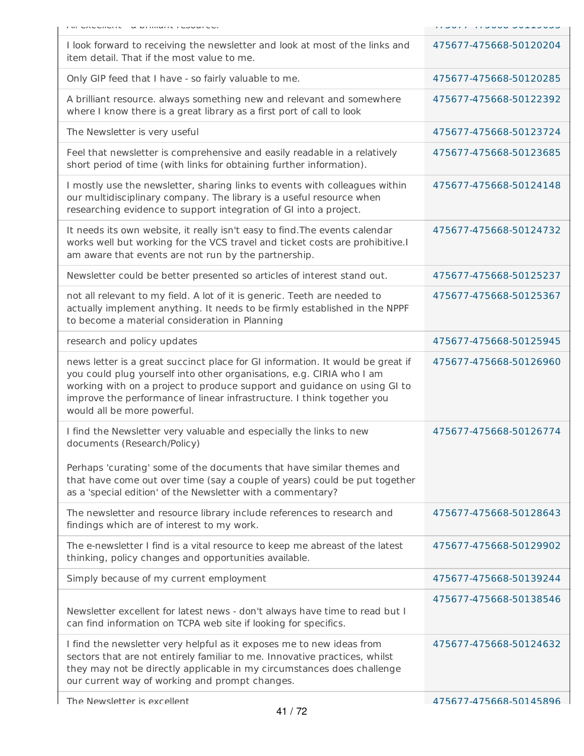| Furnitude of the manufacture of the contraction of the contraction of the contraction of the contraction of the contraction of the contraction of the contraction of the contraction of the contraction of the contraction of                                                                                                                | <b>CONTENT DONNA LINE LINE</b> |
|----------------------------------------------------------------------------------------------------------------------------------------------------------------------------------------------------------------------------------------------------------------------------------------------------------------------------------------------|--------------------------------|
| I look forward to receiving the newsletter and look at most of the links and<br>item detail. That if the most value to me.                                                                                                                                                                                                                   | 475677-475668-50120204         |
| Only GIP feed that I have - so fairly valuable to me.                                                                                                                                                                                                                                                                                        | 475677-475668-50120285         |
| A brilliant resource. always something new and relevant and somewhere<br>where I know there is a great library as a first port of call to look                                                                                                                                                                                               | 475677-475668-50122392         |
| The Newsletter is very useful                                                                                                                                                                                                                                                                                                                | 475677-475668-50123724         |
| Feel that newsletter is comprehensive and easily readable in a relatively<br>short period of time (with links for obtaining further information).                                                                                                                                                                                            | 475677-475668-50123685         |
| I mostly use the newsletter, sharing links to events with colleagues within<br>our multidisciplinary company. The library is a useful resource when<br>researching evidence to support integration of GI into a project.                                                                                                                     | 475677-475668-50124148         |
| It needs its own website, it really isn't easy to find. The events calendar<br>works well but working for the VCS travel and ticket costs are prohibitive.I<br>am aware that events are not run by the partnership.                                                                                                                          | 475677-475668-50124732         |
| Newsletter could be better presented so articles of interest stand out.                                                                                                                                                                                                                                                                      | 475677-475668-50125237         |
| not all relevant to my field. A lot of it is generic. Teeth are needed to<br>actually implement anything. It needs to be firmly established in the NPPF<br>to become a material consideration in Planning                                                                                                                                    | 475677-475668-50125367         |
| research and policy updates                                                                                                                                                                                                                                                                                                                  | 475677-475668-50125945         |
| news letter is a great succinct place for GI information. It would be great if<br>you could plug yourself into other organisations, e.g. CIRIA who I am<br>working with on a project to produce support and guidance on using GI to<br>improve the performance of linear infrastructure. I think together you<br>would all be more powerful. | 475677-475668-50126960         |
| I find the Newsletter very valuable and especially the links to new<br>documents (Research/Policy)<br>Perhaps 'curating' some of the documents that have similar themes and<br>that have come out over time (say a couple of years) could be put together<br>as a 'special edition' of the Newsletter with a commentary?                     | 475677-475668-50126774         |
| The newsletter and resource library include references to research and<br>findings which are of interest to my work.                                                                                                                                                                                                                         | 475677-475668-50128643         |
| The e-newsletter I find is a vital resource to keep me abreast of the latest<br>thinking, policy changes and opportunities available.                                                                                                                                                                                                        | 475677-475668-50129902         |
| Simply because of my current employment                                                                                                                                                                                                                                                                                                      | 475677-475668-50139244         |
| Newsletter excellent for latest news - don't always have time to read but I<br>can find information on TCPA web site if looking for specifics.                                                                                                                                                                                               | 475677-475668-50138546         |
| I find the newsletter very helpful as it exposes me to new ideas from<br>sectors that are not entirely familiar to me. Innovative practices, whilst<br>they may not be directly applicable in my circumstances does challenge<br>our current way of working and prompt changes.                                                              | 475677-475668-50124632         |
|                                                                                                                                                                                                                                                                                                                                              |                                |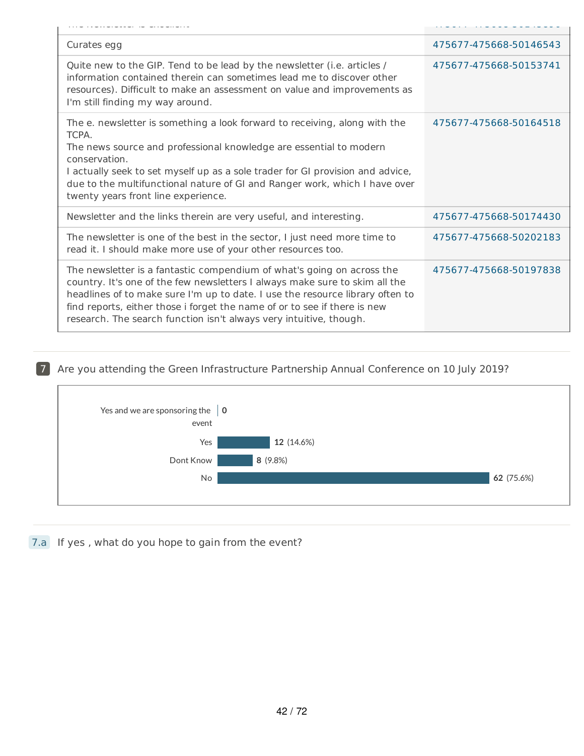| Curates egg                                                                                                                                                                                                                                                                                                                                                                               | 475677-475668-50146543 |
|-------------------------------------------------------------------------------------------------------------------------------------------------------------------------------------------------------------------------------------------------------------------------------------------------------------------------------------------------------------------------------------------|------------------------|
| Quite new to the GIP. Tend to be lead by the newsletter (i.e. articles /<br>information contained therein can sometimes lead me to discover other<br>resources). Difficult to make an assessment on value and improvements as<br>I'm still finding my way around.                                                                                                                         | 475677-475668-50153741 |
| The e. newsletter is something a look forward to receiving, along with the<br>TCPA.<br>The news source and professional knowledge are essential to modern<br>conservation.<br>I actually seek to set myself up as a sole trader for GI provision and advice,<br>due to the multifunctional nature of GI and Ranger work, which I have over<br>twenty years front line experience.         | 475677-475668-50164518 |
| Newsletter and the links therein are very useful, and interesting.                                                                                                                                                                                                                                                                                                                        | 475677-475668-50174430 |
| The newsletter is one of the best in the sector, I just need more time to<br>read it. I should make more use of your other resources too.                                                                                                                                                                                                                                                 | 475677-475668-50202183 |
| The newsletter is a fantastic compendium of what's going on across the<br>country. It's one of the few newsletters I always make sure to skim all the<br>headlines of to make sure I'm up to date. I use the resource library often to<br>find reports, either those i forget the name of or to see if there is new<br>research. The search function isn't always very intuitive, though. | 475677-475668-50197838 |

# 7 Are you attending the Green Infrastructure Partnership Annual Conference on 10 July 2019?



7.a If yes , what do you hope to gain from the event?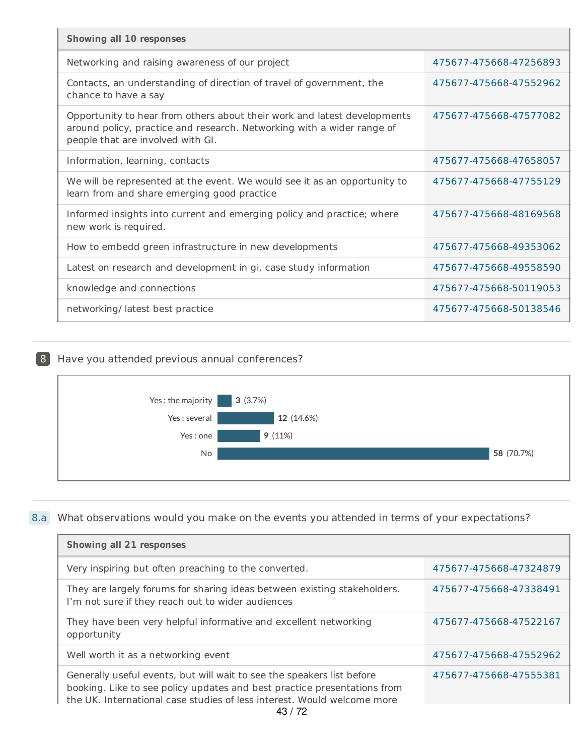| <b>Showing all 10 responses</b>                                                                                                                                                         |                        |
|-----------------------------------------------------------------------------------------------------------------------------------------------------------------------------------------|------------------------|
| Networking and raising awareness of our project                                                                                                                                         | 475677-475668-47256893 |
| Contacts, an understanding of direction of travel of government, the<br>chance to have a say                                                                                            | 475677-475668-47552962 |
| Opportunity to hear from others about their work and latest developments<br>around policy, practice and research. Networking with a wider range of<br>people that are involved with GI. | 475677-475668-47577082 |
| Information, learning, contacts                                                                                                                                                         | 475677-475668-47658057 |
| We will be represented at the event. We would see it as an opportunity to<br>learn from and share emerging good practice                                                                | 475677-475668-47755129 |
| Informed insights into current and emerging policy and practice; where<br>new work is required.                                                                                         | 475677-475668-48169568 |
| How to embedd green infrastructure in new developments                                                                                                                                  | 475677-475668-49353062 |
| Latest on research and development in gi, case study information                                                                                                                        | 475677-475668-49558590 |
| knowledge and connections                                                                                                                                                               | 475677-475668-50119053 |
| networking/latest best practice                                                                                                                                                         | 475677-475668-50138546 |

## 8 Have you attended previous annual conferences?



## 8.a What observations would you make on the events you attended in terms of your expectations?

| Showing all 21 responses                                                                                                                                                                                                      |                        |
|-------------------------------------------------------------------------------------------------------------------------------------------------------------------------------------------------------------------------------|------------------------|
| Very inspiring but often preaching to the converted.                                                                                                                                                                          | 475677-475668-47324879 |
| They are largely forums for sharing ideas between existing stakeholders.<br>I'm not sure if they reach out to wider audiences                                                                                                 | 475677-475668-47338491 |
| They have been very helpful informative and excellent networking<br>opportunity                                                                                                                                               | 475677-475668-47522167 |
| Well worth it as a networking event                                                                                                                                                                                           | 475677-475668-47552962 |
| Generally useful events, but will wait to see the speakers list before<br>booking. Like to see policy updates and best practice presentations from<br>the UK. International case studies of less interest. Would welcome more | 475677-475668-47555381 |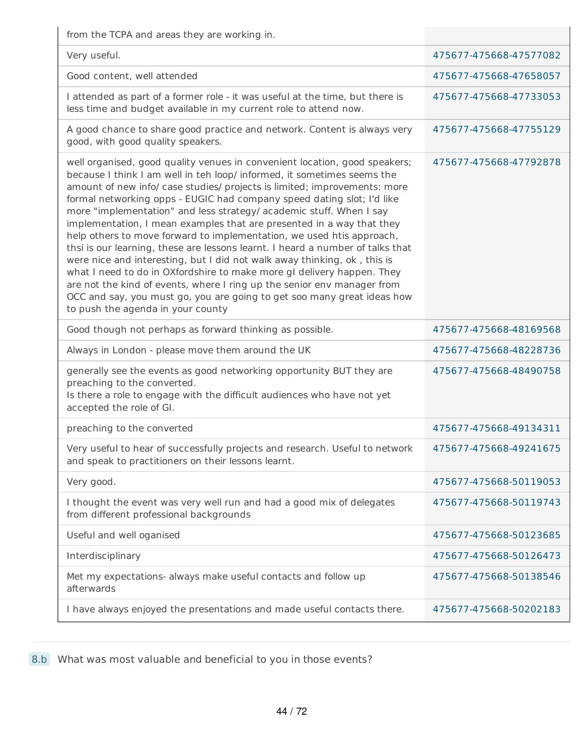from the TCPA and areas they are working in.

| $\overline{11}$ of the term of the dictable they are working inte                                                                                                                                                                                                                                                                                                                                                                                                                                                                                                                                                                                                                                                                                                                                                                                                                                                                                                        |                        |
|--------------------------------------------------------------------------------------------------------------------------------------------------------------------------------------------------------------------------------------------------------------------------------------------------------------------------------------------------------------------------------------------------------------------------------------------------------------------------------------------------------------------------------------------------------------------------------------------------------------------------------------------------------------------------------------------------------------------------------------------------------------------------------------------------------------------------------------------------------------------------------------------------------------------------------------------------------------------------|------------------------|
| Very useful.                                                                                                                                                                                                                                                                                                                                                                                                                                                                                                                                                                                                                                                                                                                                                                                                                                                                                                                                                             | 475677-475668-47577082 |
| Good content, well attended                                                                                                                                                                                                                                                                                                                                                                                                                                                                                                                                                                                                                                                                                                                                                                                                                                                                                                                                              | 475677-475668-47658057 |
| I attended as part of a former role - it was useful at the time, but there is<br>less time and budget available in my current role to attend now.                                                                                                                                                                                                                                                                                                                                                                                                                                                                                                                                                                                                                                                                                                                                                                                                                        | 475677-475668-47733053 |
| A good chance to share good practice and network. Content is always very<br>good, with good quality speakers.                                                                                                                                                                                                                                                                                                                                                                                                                                                                                                                                                                                                                                                                                                                                                                                                                                                            | 475677-475668-47755129 |
| well organised, good quality venues in convenient location, good speakers;<br>because I think I am well in teh loop/ informed, it sometimes seems the<br>amount of new info/ case studies/ projects is limited; improvements: more<br>formal networking opps - EUGIC had company speed dating slot; I'd like<br>more "implementation" and less strategy/ academic stuff. When I say<br>implementation, I mean examples that are presented in a way that they<br>help others to move forward to implementation, we used htis approach,<br>thsi is our learning, these are lessons learnt. I heard a number of talks that<br>were nice and interesting, but I did not walk away thinking, ok, this is<br>what I need to do in OXfordshire to make more gI delivery happen. They<br>are not the kind of events, where I ring up the senior env manager from<br>OCC and say, you must go, you are going to get soo many great ideas how<br>to push the agenda in your county | 475677-475668-47792878 |
| Good though not perhaps as forward thinking as possible.                                                                                                                                                                                                                                                                                                                                                                                                                                                                                                                                                                                                                                                                                                                                                                                                                                                                                                                 | 475677-475668-48169568 |
| Always in London - please move them around the UK                                                                                                                                                                                                                                                                                                                                                                                                                                                                                                                                                                                                                                                                                                                                                                                                                                                                                                                        | 475677-475668-48228736 |
| generally see the events as good networking opportunity BUT they are<br>preaching to the converted.<br>Is there a role to engage with the difficult audiences who have not yet<br>accepted the role of GI.                                                                                                                                                                                                                                                                                                                                                                                                                                                                                                                                                                                                                                                                                                                                                               | 475677-475668-48490758 |
| preaching to the converted                                                                                                                                                                                                                                                                                                                                                                                                                                                                                                                                                                                                                                                                                                                                                                                                                                                                                                                                               | 475677-475668-49134311 |
| Very useful to hear of successfully projects and research. Useful to network<br>and speak to practitioners on their lessons learnt.                                                                                                                                                                                                                                                                                                                                                                                                                                                                                                                                                                                                                                                                                                                                                                                                                                      | 475677-475668-49241675 |
| Very good.                                                                                                                                                                                                                                                                                                                                                                                                                                                                                                                                                                                                                                                                                                                                                                                                                                                                                                                                                               | 475677-475668-50119053 |
| I thought the event was very well run and had a good mix of delegates<br>from different professional backgrounds                                                                                                                                                                                                                                                                                                                                                                                                                                                                                                                                                                                                                                                                                                                                                                                                                                                         | 475677-475668-50119743 |
| Useful and well oganised                                                                                                                                                                                                                                                                                                                                                                                                                                                                                                                                                                                                                                                                                                                                                                                                                                                                                                                                                 | 475677-475668-50123685 |
| Interdisciplinary                                                                                                                                                                                                                                                                                                                                                                                                                                                                                                                                                                                                                                                                                                                                                                                                                                                                                                                                                        | 475677-475668-50126473 |
| Met my expectations- always make useful contacts and follow up<br>afterwards                                                                                                                                                                                                                                                                                                                                                                                                                                                                                                                                                                                                                                                                                                                                                                                                                                                                                             | 475677-475668-50138546 |
| I have always enjoyed the presentations and made useful contacts there.                                                                                                                                                                                                                                                                                                                                                                                                                                                                                                                                                                                                                                                                                                                                                                                                                                                                                                  | 475677-475668-50202183 |
|                                                                                                                                                                                                                                                                                                                                                                                                                                                                                                                                                                                                                                                                                                                                                                                                                                                                                                                                                                          |                        |

8.b What was most valuable and beneficial to you in those events?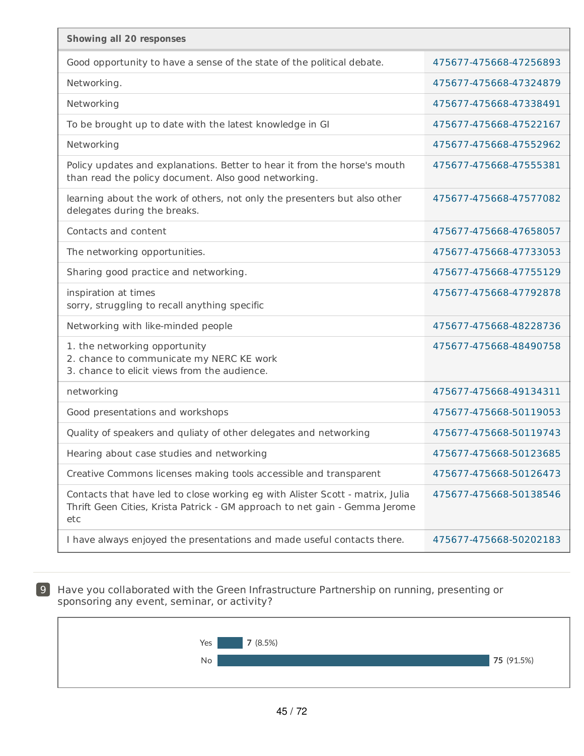| <b>Showing all 20 responses</b>                                                                                                                                     |                        |
|---------------------------------------------------------------------------------------------------------------------------------------------------------------------|------------------------|
| Good opportunity to have a sense of the state of the political debate.                                                                                              | 475677-475668-47256893 |
| Networking.                                                                                                                                                         | 475677-475668-47324879 |
| Networking                                                                                                                                                          | 475677-475668-47338491 |
| To be brought up to date with the latest knowledge in GI                                                                                                            | 475677-475668-47522167 |
| Networking                                                                                                                                                          | 475677-475668-47552962 |
| Policy updates and explanations. Better to hear it from the horse's mouth<br>than read the policy document. Also good networking.                                   | 475677-475668-47555381 |
| learning about the work of others, not only the presenters but also other<br>delegates during the breaks.                                                           | 475677-475668-47577082 |
| Contacts and content                                                                                                                                                | 475677-475668-47658057 |
| The networking opportunities.                                                                                                                                       | 475677-475668-47733053 |
| Sharing good practice and networking.                                                                                                                               | 475677-475668-47755129 |
| inspiration at times<br>sorry, struggling to recall anything specific                                                                                               | 475677-475668-47792878 |
| Networking with like-minded people                                                                                                                                  | 475677-475668-48228736 |
| 1. the networking opportunity<br>2. chance to communicate my NERC KE work<br>3. chance to elicit views from the audience.                                           | 475677-475668-48490758 |
| networking                                                                                                                                                          | 475677-475668-49134311 |
| Good presentations and workshops                                                                                                                                    | 475677-475668-50119053 |
| Quality of speakers and quliaty of other delegates and networking                                                                                                   | 475677-475668-50119743 |
| Hearing about case studies and networking                                                                                                                           | 475677-475668-50123685 |
| Creative Commons licenses making tools accessible and transparent                                                                                                   | 475677-475668-50126473 |
| Contacts that have led to close working eg with Alister Scott - matrix, Julia<br>Thrift Geen Cities, Krista Patrick - GM approach to net gain - Gemma Jerome<br>etc | 475677-475668-50138546 |
| I have always enjoyed the presentations and made useful contacts there.                                                                                             | 475677-475668-50202183 |

9 Have you collaborated with the Green Infrastructure Partnership on running, presenting or sponsoring any event, seminar, or activity?

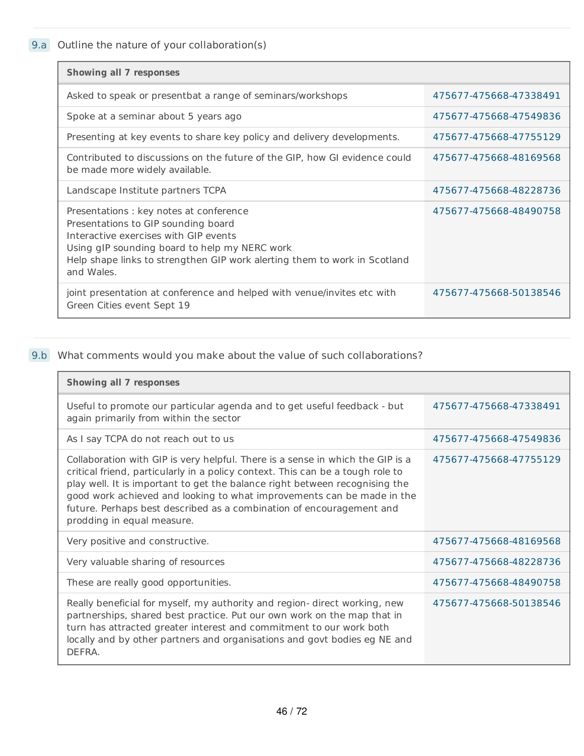9.a Outline the nature of your collaboration(s)

| <b>Showing all 7 responses</b>                                                                                                                                                                                                                                      |                        |
|---------------------------------------------------------------------------------------------------------------------------------------------------------------------------------------------------------------------------------------------------------------------|------------------------|
| Asked to speak or presentbat a range of seminars/workshops                                                                                                                                                                                                          | 475677-475668-47338491 |
| Spoke at a seminar about 5 years ago                                                                                                                                                                                                                                | 475677-475668-47549836 |
| Presenting at key events to share key policy and delivery developments.                                                                                                                                                                                             | 475677-475668-47755129 |
| Contributed to discussions on the future of the GIP, how GI evidence could<br>be made more widely available.                                                                                                                                                        | 475677-475668-48169568 |
| Landscape Institute partners TCPA                                                                                                                                                                                                                                   | 475677-475668-48228736 |
| Presentations : key notes at conference<br>Presentations to GIP sounding board<br>Interactive exercises with GIP events<br>Using gIP sounding board to help my NERC work<br>Help shape links to strengthen GIP work alerting them to work in Scotland<br>and Wales. | 475677-475668-48490758 |
| joint presentation at conference and helped with venue/invites etc with<br>Green Cities event Sept 19                                                                                                                                                               | 475677-475668-50138546 |

# 9.b What comments would you make about the value of such collaborations?

| <b>Showing all 7 responses</b>                                                                                                                                                                                                                                                                                                                                                                                                  |                        |
|---------------------------------------------------------------------------------------------------------------------------------------------------------------------------------------------------------------------------------------------------------------------------------------------------------------------------------------------------------------------------------------------------------------------------------|------------------------|
| Useful to promote our particular agenda and to get useful feedback - but<br>again primarily from within the sector                                                                                                                                                                                                                                                                                                              | 475677-475668-47338491 |
| As I say TCPA do not reach out to us                                                                                                                                                                                                                                                                                                                                                                                            | 475677-475668-47549836 |
| Collaboration with GIP is very helpful. There is a sense in which the GIP is a<br>critical friend, particularly in a policy context. This can be a tough role to<br>play well. It is important to get the balance right between recognising the<br>good work achieved and looking to what improvements can be made in the<br>future. Perhaps best described as a combination of encouragement and<br>prodding in equal measure. | 475677-475668-47755129 |
| Very positive and constructive.                                                                                                                                                                                                                                                                                                                                                                                                 | 475677-475668-48169568 |
| Very valuable sharing of resources                                                                                                                                                                                                                                                                                                                                                                                              | 475677-475668-48228736 |
| These are really good opportunities.                                                                                                                                                                                                                                                                                                                                                                                            | 475677-475668-48490758 |
| Really beneficial for myself, my authority and region- direct working, new<br>partnerships, shared best practice. Put our own work on the map that in<br>turn has attracted greater interest and commitment to our work both<br>locally and by other partners and organisations and govt bodies eg NE and<br>DEFRA.                                                                                                             | 475677-475668-50138546 |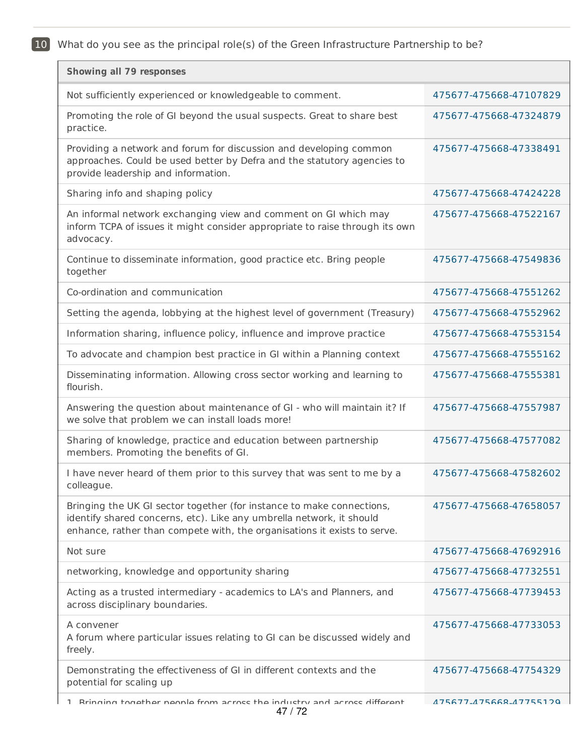10 What do you see as the principal role(s) of the Green Infrastructure Partnership to be?

| <b>Showing all 79 responses</b>                                                                                                                                                                                           |                        |
|---------------------------------------------------------------------------------------------------------------------------------------------------------------------------------------------------------------------------|------------------------|
| Not sufficiently experienced or knowledgeable to comment.                                                                                                                                                                 | 475677-475668-47107829 |
| Promoting the role of GI beyond the usual suspects. Great to share best<br>practice.                                                                                                                                      | 475677-475668-47324879 |
| Providing a network and forum for discussion and developing common<br>approaches. Could be used better by Defra and the statutory agencies to<br>provide leadership and information.                                      | 475677-475668-47338491 |
| Sharing info and shaping policy                                                                                                                                                                                           | 475677-475668-47424228 |
| An informal network exchanging view and comment on GI which may<br>inform TCPA of issues it might consider appropriate to raise through its own<br>advocacy.                                                              | 475677-475668-47522167 |
| Continue to disseminate information, good practice etc. Bring people<br>together                                                                                                                                          | 475677-475668-47549836 |
| Co-ordination and communication                                                                                                                                                                                           | 475677-475668-47551262 |
| Setting the agenda, lobbying at the highest level of government (Treasury)                                                                                                                                                | 475677-475668-47552962 |
| Information sharing, influence policy, influence and improve practice                                                                                                                                                     | 475677-475668-47553154 |
| To advocate and champion best practice in GI within a Planning context                                                                                                                                                    | 475677-475668-47555162 |
| Disseminating information. Allowing cross sector working and learning to<br>flourish.                                                                                                                                     | 475677-475668-47555381 |
| Answering the question about maintenance of GI - who will maintain it? If<br>we solve that problem we can install loads more!                                                                                             | 475677-475668-47557987 |
| Sharing of knowledge, practice and education between partnership<br>members. Promoting the benefits of GI.                                                                                                                | 475677-475668-47577082 |
| I have never heard of them prior to this survey that was sent to me by a<br>colleague.                                                                                                                                    | 475677-475668-47582602 |
| Bringing the UK GI sector together (for instance to make connections,<br>identify shared concerns, etc). Like any umbrella network, it should<br>enhance, rather than compete with, the organisations it exists to serve. | 475677-475668-47658057 |
| Not sure                                                                                                                                                                                                                  | 475677-475668-47692916 |
| networking, knowledge and opportunity sharing                                                                                                                                                                             | 475677-475668-47732551 |
| Acting as a trusted intermediary - academics to LA's and Planners, and<br>across disciplinary boundaries.                                                                                                                 | 475677-475668-47739453 |
| A convener<br>A forum where particular issues relating to GI can be discussed widely and<br>freely.                                                                                                                       | 475677-475668-47733053 |
| Demonstrating the effectiveness of GI in different contexts and the<br>potential for scaling up                                                                                                                           | 475677-475668-47754329 |
| Rrinning tonather neonle from across the industry and across different<br>$\mathbf{1}$<br>47 / 72                                                                                                                         | 475677.475668.47755120 |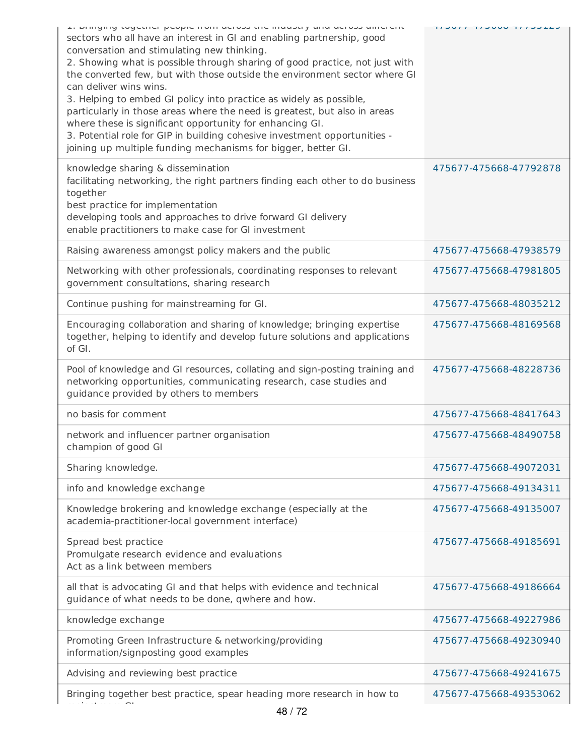| ב. מחווץוווץ נטשכנווכו powple ווטווו מכוטשט נווכ ווועשטנוץ מווע מכוטשט מוווכוכות<br>sectors who all have an interest in GI and enabling partnership, good<br>conversation and stimulating new thinking.<br>2. Showing what is possible through sharing of good practice, not just with<br>the converted few, but with those outside the environment sector where GI<br>can deliver wins wins.<br>3. Helping to embed GI policy into practice as widely as possible,<br>particularly in those areas where the need is greatest, but also in areas<br>where these is significant opportunity for enhancing GI.<br>3. Potential role for GIP in building cohesive investment opportunities -<br>joining up multiple funding mechanisms for bigger, better GI. | <u>כ גבטעון דיטטטטן דין וטטן</u> |
|------------------------------------------------------------------------------------------------------------------------------------------------------------------------------------------------------------------------------------------------------------------------------------------------------------------------------------------------------------------------------------------------------------------------------------------------------------------------------------------------------------------------------------------------------------------------------------------------------------------------------------------------------------------------------------------------------------------------------------------------------------|----------------------------------|
| knowledge sharing & dissemination<br>facilitating networking, the right partners finding each other to do business<br>together<br>best practice for implementation<br>developing tools and approaches to drive forward GI delivery<br>enable practitioners to make case for GI investment                                                                                                                                                                                                                                                                                                                                                                                                                                                                  | 475677-475668-47792878           |
| Raising awareness amongst policy makers and the public                                                                                                                                                                                                                                                                                                                                                                                                                                                                                                                                                                                                                                                                                                     | 475677-475668-47938579           |
| Networking with other professionals, coordinating responses to relevant<br>government consultations, sharing research                                                                                                                                                                                                                                                                                                                                                                                                                                                                                                                                                                                                                                      | 475677-475668-47981805           |
| Continue pushing for mainstreaming for GI.                                                                                                                                                                                                                                                                                                                                                                                                                                                                                                                                                                                                                                                                                                                 | 475677-475668-48035212           |
| Encouraging collaboration and sharing of knowledge; bringing expertise<br>together, helping to identify and develop future solutions and applications<br>of GI.                                                                                                                                                                                                                                                                                                                                                                                                                                                                                                                                                                                            | 475677-475668-48169568           |
| Pool of knowledge and GI resources, collating and sign-posting training and<br>networking opportunities, communicating research, case studies and<br>guidance provided by others to members                                                                                                                                                                                                                                                                                                                                                                                                                                                                                                                                                                | 475677-475668-48228736           |
| no basis for comment                                                                                                                                                                                                                                                                                                                                                                                                                                                                                                                                                                                                                                                                                                                                       | 475677-475668-48417643           |
| network and influencer partner organisation<br>champion of good GI                                                                                                                                                                                                                                                                                                                                                                                                                                                                                                                                                                                                                                                                                         | 475677-475668-48490758           |
| Sharing knowledge.                                                                                                                                                                                                                                                                                                                                                                                                                                                                                                                                                                                                                                                                                                                                         | 475677-475668-49072031           |
| info and knowledge exchange                                                                                                                                                                                                                                                                                                                                                                                                                                                                                                                                                                                                                                                                                                                                | 475677-475668-49134311           |
| Knowledge brokering and knowledge exchange (especially at the<br>academia-practitioner-local government interface)                                                                                                                                                                                                                                                                                                                                                                                                                                                                                                                                                                                                                                         | 475677-475668-49135007           |
| Spread best practice<br>Promulgate research evidence and evaluations<br>Act as a link between members                                                                                                                                                                                                                                                                                                                                                                                                                                                                                                                                                                                                                                                      | 475677-475668-49185691           |
| all that is advocating GI and that helps with evidence and technical<br>guidance of what needs to be done, qwhere and how.                                                                                                                                                                                                                                                                                                                                                                                                                                                                                                                                                                                                                                 | 475677-475668-49186664           |
| knowledge exchange                                                                                                                                                                                                                                                                                                                                                                                                                                                                                                                                                                                                                                                                                                                                         | 475677-475668-49227986           |
| Promoting Green Infrastructure & networking/providing<br>information/signposting good examples                                                                                                                                                                                                                                                                                                                                                                                                                                                                                                                                                                                                                                                             | 475677-475668-49230940           |
| Advising and reviewing best practice                                                                                                                                                                                                                                                                                                                                                                                                                                                                                                                                                                                                                                                                                                                       | 475677-475668-49241675           |
| Bringing together best practice, spear heading more research in how to<br>10/70                                                                                                                                                                                                                                                                                                                                                                                                                                                                                                                                                                                                                                                                            | 475677-475668-49353062           |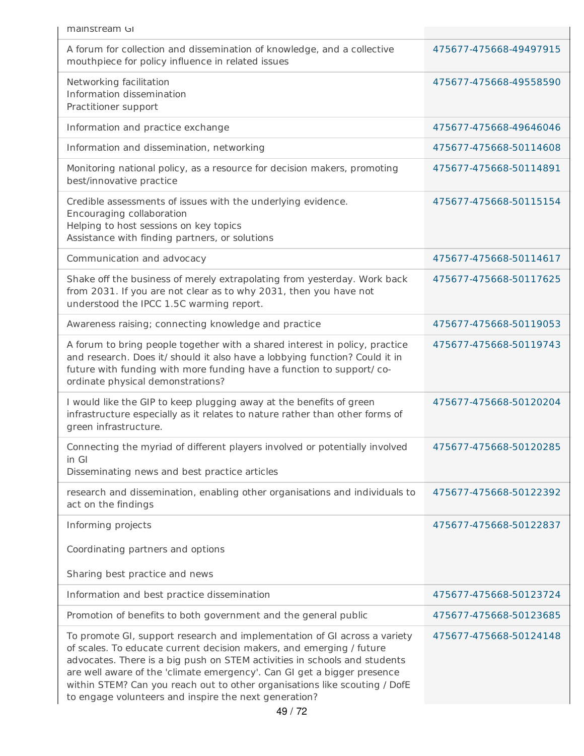| mainstream GI                                                                                                                                                                                                                                                                                                                                                                                                                                    |                        |
|--------------------------------------------------------------------------------------------------------------------------------------------------------------------------------------------------------------------------------------------------------------------------------------------------------------------------------------------------------------------------------------------------------------------------------------------------|------------------------|
| A forum for collection and dissemination of knowledge, and a collective<br>mouthpiece for policy influence in related issues                                                                                                                                                                                                                                                                                                                     | 475677-475668-49497915 |
| Networking facilitation<br>Information dissemination<br>Practitioner support                                                                                                                                                                                                                                                                                                                                                                     | 475677-475668-49558590 |
| Information and practice exchange                                                                                                                                                                                                                                                                                                                                                                                                                | 475677-475668-49646046 |
| Information and dissemination, networking                                                                                                                                                                                                                                                                                                                                                                                                        | 475677-475668-50114608 |
| Monitoring national policy, as a resource for decision makers, promoting<br>best/innovative practice                                                                                                                                                                                                                                                                                                                                             | 475677-475668-50114891 |
| Credible assessments of issues with the underlying evidence.<br>Encouraging collaboration<br>Helping to host sessions on key topics<br>Assistance with finding partners, or solutions                                                                                                                                                                                                                                                            | 475677-475668-50115154 |
| Communication and advocacy                                                                                                                                                                                                                                                                                                                                                                                                                       | 475677-475668-50114617 |
| Shake off the business of merely extrapolating from yesterday. Work back<br>from 2031. If you are not clear as to why 2031, then you have not<br>understood the IPCC 1.5C warming report.                                                                                                                                                                                                                                                        | 475677-475668-50117625 |
| Awareness raising; connecting knowledge and practice                                                                                                                                                                                                                                                                                                                                                                                             | 475677-475668-50119053 |
| A forum to bring people together with a shared interest in policy, practice<br>and research. Does it/ should it also have a lobbying function? Could it in<br>future with funding with more funding have a function to support/co-<br>ordinate physical demonstrations?                                                                                                                                                                          | 475677-475668-50119743 |
| I would like the GIP to keep plugging away at the benefits of green<br>infrastructure especially as it relates to nature rather than other forms of<br>green infrastructure.                                                                                                                                                                                                                                                                     | 475677-475668-50120204 |
| Connecting the myriad of different players involved or potentially involved<br>in Gl<br>Disseminating news and best practice articles                                                                                                                                                                                                                                                                                                            | 475677-475668-50120285 |
| research and dissemination, enabling other organisations and individuals to<br>act on the findings                                                                                                                                                                                                                                                                                                                                               | 475677-475668-50122392 |
| Informing projects                                                                                                                                                                                                                                                                                                                                                                                                                               | 475677-475668-50122837 |
| Coordinating partners and options                                                                                                                                                                                                                                                                                                                                                                                                                |                        |
| Sharing best practice and news                                                                                                                                                                                                                                                                                                                                                                                                                   |                        |
| Information and best practice dissemination                                                                                                                                                                                                                                                                                                                                                                                                      | 475677-475668-50123724 |
| Promotion of benefits to both government and the general public                                                                                                                                                                                                                                                                                                                                                                                  | 475677-475668-50123685 |
| To promote GI, support research and implementation of GI across a variety<br>of scales. To educate current decision makers, and emerging / future<br>advocates. There is a big push on STEM activities in schools and students<br>are well aware of the 'climate emergency'. Can GI get a bigger presence<br>within STEM? Can you reach out to other organisations like scouting / DofE<br>to engage volunteers and inspire the next generation? | 475677-475668-50124148 |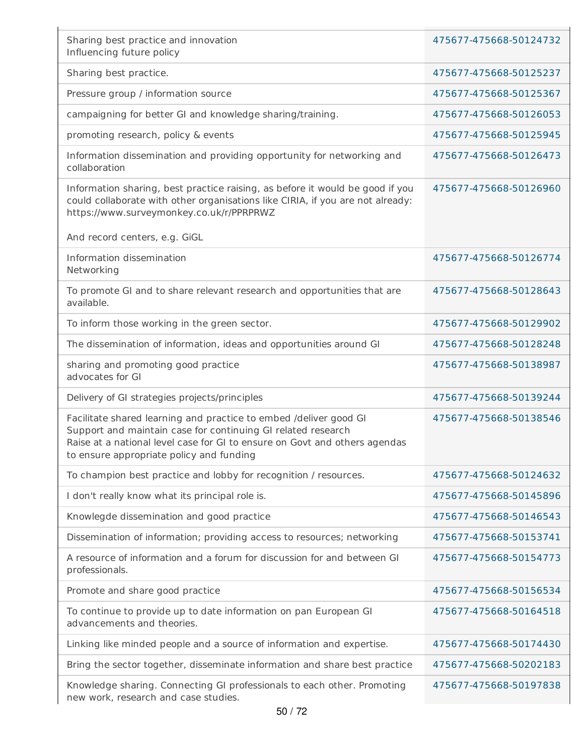| Sharing best practice and innovation<br>Influencing future policy                                                                                                                                                                                           | 475677-475668-50124732 |
|-------------------------------------------------------------------------------------------------------------------------------------------------------------------------------------------------------------------------------------------------------------|------------------------|
| Sharing best practice.                                                                                                                                                                                                                                      | 475677-475668-50125237 |
| Pressure group / information source                                                                                                                                                                                                                         | 475677-475668-50125367 |
| campaigning for better GI and knowledge sharing/training.                                                                                                                                                                                                   | 475677-475668-50126053 |
| promoting research, policy & events                                                                                                                                                                                                                         | 475677-475668-50125945 |
| Information dissemination and providing opportunity for networking and<br>collaboration                                                                                                                                                                     | 475677-475668-50126473 |
| Information sharing, best practice raising, as before it would be good if you<br>could collaborate with other organisations like CIRIA, if you are not already:<br>https://www.surveymonkey.co.uk/r/PPRPRWZ                                                 | 475677-475668-50126960 |
| And record centers, e.g. GiGL                                                                                                                                                                                                                               |                        |
| Information dissemination<br>Networking                                                                                                                                                                                                                     | 475677-475668-50126774 |
| To promote GI and to share relevant research and opportunities that are<br>available.                                                                                                                                                                       | 475677-475668-50128643 |
| To inform those working in the green sector.                                                                                                                                                                                                                | 475677-475668-50129902 |
| The dissemination of information, ideas and opportunities around GI                                                                                                                                                                                         | 475677-475668-50128248 |
| sharing and promoting good practice<br>advocates for GI                                                                                                                                                                                                     | 475677-475668-50138987 |
| Delivery of GI strategies projects/principles                                                                                                                                                                                                               | 475677-475668-50139244 |
| Facilitate shared learning and practice to embed /deliver good GI<br>Support and maintain case for continuing GI related research<br>Raise at a national level case for GI to ensure on Govt and others agendas<br>to ensure appropriate policy and funding | 475677-475668-50138546 |
| To champion best practice and lobby for recognition / resources.                                                                                                                                                                                            | 475677-475668-50124632 |
| I don't really know what its principal role is.                                                                                                                                                                                                             | 475677-475668-50145896 |
| Knowlegde dissemination and good practice                                                                                                                                                                                                                   | 475677-475668-50146543 |
| Dissemination of information; providing access to resources; networking                                                                                                                                                                                     | 475677-475668-50153741 |
| A resource of information and a forum for discussion for and between GI<br>professionals.                                                                                                                                                                   | 475677-475668-50154773 |
| Promote and share good practice                                                                                                                                                                                                                             | 475677-475668-50156534 |
| To continue to provide up to date information on pan European GI<br>advancements and theories.                                                                                                                                                              | 475677-475668-50164518 |
| Linking like minded people and a source of information and expertise.                                                                                                                                                                                       | 475677-475668-50174430 |
| Bring the sector together, disseminate information and share best practice                                                                                                                                                                                  | 475677-475668-50202183 |
| Knowledge sharing. Connecting GI professionals to each other. Promoting<br>new work, research and case studies.                                                                                                                                             | 475677-475668-50197838 |

×.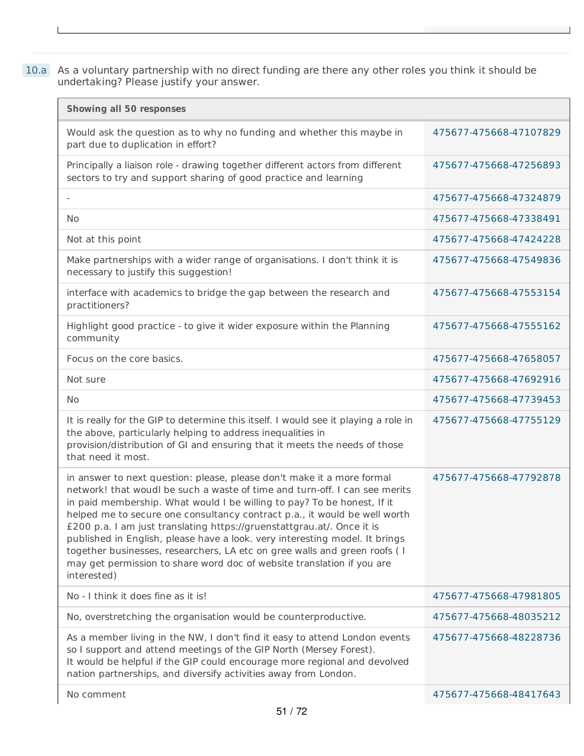10.a As a voluntary partnership with no direct funding are there any other roles you think it should be undertaking? Please justify your answer.

J.

I

| <b>Showing all 50 responses</b>                                                                                                                                                                                                                                                                                                                                                                                                                                                                                                                                                                                                              |                        |
|----------------------------------------------------------------------------------------------------------------------------------------------------------------------------------------------------------------------------------------------------------------------------------------------------------------------------------------------------------------------------------------------------------------------------------------------------------------------------------------------------------------------------------------------------------------------------------------------------------------------------------------------|------------------------|
| Would ask the question as to why no funding and whether this maybe in<br>part due to duplication in effort?                                                                                                                                                                                                                                                                                                                                                                                                                                                                                                                                  | 475677-475668-47107829 |
| Principally a liaison role - drawing together different actors from different<br>sectors to try and support sharing of good practice and learning                                                                                                                                                                                                                                                                                                                                                                                                                                                                                            | 475677-475668-47256893 |
|                                                                                                                                                                                                                                                                                                                                                                                                                                                                                                                                                                                                                                              | 475677-475668-47324879 |
| <b>No</b>                                                                                                                                                                                                                                                                                                                                                                                                                                                                                                                                                                                                                                    | 475677-475668-47338491 |
| Not at this point                                                                                                                                                                                                                                                                                                                                                                                                                                                                                                                                                                                                                            | 475677-475668-47424228 |
| Make partnerships with a wider range of organisations. I don't think it is<br>necessary to justify this suggestion!                                                                                                                                                                                                                                                                                                                                                                                                                                                                                                                          | 475677-475668-47549836 |
| interface with academics to bridge the gap between the research and<br>practitioners?                                                                                                                                                                                                                                                                                                                                                                                                                                                                                                                                                        | 475677-475668-47553154 |
| Highlight good practice - to give it wider exposure within the Planning<br>community                                                                                                                                                                                                                                                                                                                                                                                                                                                                                                                                                         | 475677-475668-47555162 |
| Focus on the core basics.                                                                                                                                                                                                                                                                                                                                                                                                                                                                                                                                                                                                                    | 475677-475668-47658057 |
| Not sure                                                                                                                                                                                                                                                                                                                                                                                                                                                                                                                                                                                                                                     | 475677-475668-47692916 |
| <b>No</b>                                                                                                                                                                                                                                                                                                                                                                                                                                                                                                                                                                                                                                    | 475677-475668-47739453 |
| It is really for the GIP to determine this itself. I would see it playing a role in<br>the above, particularly helping to address inequalities in<br>provision/distribution of GI and ensuring that it meets the needs of those<br>that need it most.                                                                                                                                                                                                                                                                                                                                                                                        | 475677-475668-47755129 |
| in answer to next question: please, please don't make it a more formal<br>network! that woudl be such a waste of time and turn-off. I can see merits<br>in paid membership. What would I be willing to pay? To be honest, If it<br>helped me to secure one consultancy contract p.a., it would be well worth<br>£200 p.a. I am just translating https://gruenstattgrau.at/. Once it is<br>published in English, please have a look. very interesting model. It brings<br>together businesses, researchers, LA etc on gree walls and green roofs ( I<br>may get permission to share word doc of website translation if you are<br>interested) | 475677-475668-47792878 |
| No - I think it does fine as it is!                                                                                                                                                                                                                                                                                                                                                                                                                                                                                                                                                                                                          | 475677-475668-47981805 |
| No, overstretching the organisation would be counterproductive.                                                                                                                                                                                                                                                                                                                                                                                                                                                                                                                                                                              | 475677-475668-48035212 |
| As a member living in the NW, I don't find it easy to attend London events<br>so I support and attend meetings of the GIP North (Mersey Forest).<br>It would be helpful if the GIP could encourage more regional and devolved<br>nation partnerships, and diversify activities away from London.                                                                                                                                                                                                                                                                                                                                             | 475677-475668-48228736 |
| No comment                                                                                                                                                                                                                                                                                                                                                                                                                                                                                                                                                                                                                                   | 475677-475668-48417643 |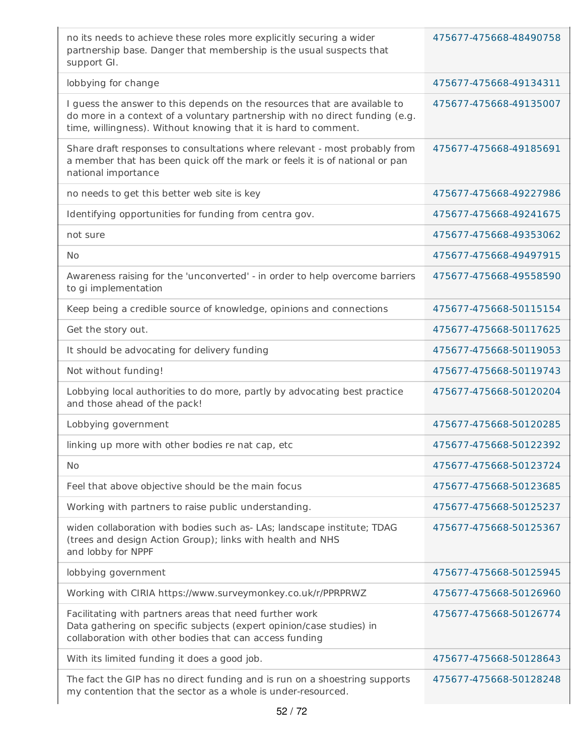| no its needs to achieve these roles more explicitly securing a wider<br>partnership base. Danger that membership is the usual suspects that<br>support GI.                                                                   | 475677-475668-48490758 |
|------------------------------------------------------------------------------------------------------------------------------------------------------------------------------------------------------------------------------|------------------------|
| lobbying for change                                                                                                                                                                                                          | 475677-475668-49134311 |
| I guess the answer to this depends on the resources that are available to<br>do more in a context of a voluntary partnership with no direct funding (e.g.<br>time, willingness). Without knowing that it is hard to comment. | 475677-475668-49135007 |
| Share draft responses to consultations where relevant - most probably from<br>a member that has been quick off the mark or feels it is of national or pan<br>national importance                                             | 475677-475668-49185691 |
| no needs to get this better web site is key                                                                                                                                                                                  | 475677-475668-49227986 |
| Identifying opportunities for funding from centra gov.                                                                                                                                                                       | 475677-475668-49241675 |
| not sure                                                                                                                                                                                                                     | 475677-475668-49353062 |
| <b>No</b>                                                                                                                                                                                                                    | 475677-475668-49497915 |
| Awareness raising for the 'unconverted' - in order to help overcome barriers<br>to gi implementation                                                                                                                         | 475677-475668-49558590 |
| Keep being a credible source of knowledge, opinions and connections                                                                                                                                                          | 475677-475668-50115154 |
| Get the story out.                                                                                                                                                                                                           | 475677-475668-50117625 |
| It should be advocating for delivery funding                                                                                                                                                                                 | 475677-475668-50119053 |
| Not without funding!                                                                                                                                                                                                         | 475677-475668-50119743 |
| Lobbying local authorities to do more, partly by advocating best practice<br>and those ahead of the pack!                                                                                                                    | 475677-475668-50120204 |
| Lobbying government                                                                                                                                                                                                          | 475677-475668-50120285 |
| linking up more with other bodies re nat cap, etc                                                                                                                                                                            | 475677-475668-50122392 |
| No                                                                                                                                                                                                                           | 475677-475668-50123724 |
| Feel that above objective should be the main focus                                                                                                                                                                           | 475677-475668-50123685 |
| Working with partners to raise public understanding.                                                                                                                                                                         | 475677-475668-50125237 |
| widen collaboration with bodies such as- LAs; landscape institute; TDAG<br>(trees and design Action Group); links with health and NHS<br>and lobby for NPPF                                                                  | 475677-475668-50125367 |
| lobbying government                                                                                                                                                                                                          | 475677-475668-50125945 |
| Working with CIRIA https://www.surveymonkey.co.uk/r/PPRPRWZ                                                                                                                                                                  | 475677-475668-50126960 |
| Facilitating with partners areas that need further work<br>Data gathering on specific subjects (expert opinion/case studies) in<br>collaboration with other bodies that can access funding                                   | 475677-475668-50126774 |
| With its limited funding it does a good job.                                                                                                                                                                                 | 475677-475668-50128643 |
| The fact the GIP has no direct funding and is run on a shoestring supports<br>my contention that the sector as a whole is under-resourced.                                                                                   | 475677-475668-50128248 |
|                                                                                                                                                                                                                              |                        |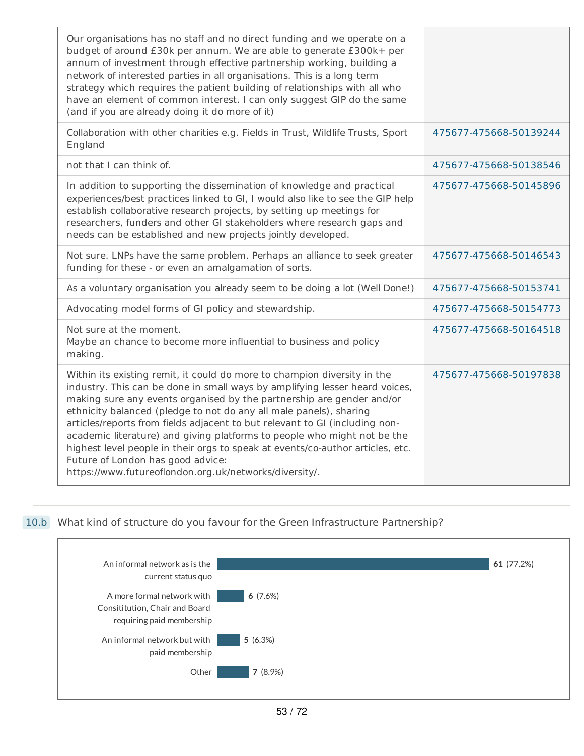| Our organisations has no staff and no direct funding and we operate on a<br>budget of around £30k per annum. We are able to generate £300k+ per<br>annum of investment through effective partnership working, building a<br>network of interested parties in all organisations. This is a long term<br>strategy which requires the patient building of relationships with all who<br>have an element of common interest. I can only suggest GIP do the same<br>(and if you are already doing it do more of it)                                                                                                                                     |                        |
|----------------------------------------------------------------------------------------------------------------------------------------------------------------------------------------------------------------------------------------------------------------------------------------------------------------------------------------------------------------------------------------------------------------------------------------------------------------------------------------------------------------------------------------------------------------------------------------------------------------------------------------------------|------------------------|
| Collaboration with other charities e.g. Fields in Trust, Wildlife Trusts, Sport<br>England                                                                                                                                                                                                                                                                                                                                                                                                                                                                                                                                                         | 475677-475668-50139244 |
| not that I can think of.                                                                                                                                                                                                                                                                                                                                                                                                                                                                                                                                                                                                                           | 475677-475668-50138546 |
| In addition to supporting the dissemination of knowledge and practical<br>experiences/best practices linked to GI, I would also like to see the GIP help<br>establish collaborative research projects, by setting up meetings for<br>researchers, funders and other GI stakeholders where research gaps and<br>needs can be established and new projects jointly developed.                                                                                                                                                                                                                                                                        | 475677-475668-50145896 |
| Not sure. LNPs have the same problem. Perhaps an alliance to seek greater<br>funding for these - or even an amalgamation of sorts.                                                                                                                                                                                                                                                                                                                                                                                                                                                                                                                 | 475677-475668-50146543 |
| As a voluntary organisation you already seem to be doing a lot (Well Done!)                                                                                                                                                                                                                                                                                                                                                                                                                                                                                                                                                                        | 475677-475668-50153741 |
| Advocating model forms of GI policy and stewardship.                                                                                                                                                                                                                                                                                                                                                                                                                                                                                                                                                                                               | 475677-475668-50154773 |
| Not sure at the moment.<br>Maybe an chance to become more influential to business and policy<br>making.                                                                                                                                                                                                                                                                                                                                                                                                                                                                                                                                            | 475677-475668-50164518 |
| Within its existing remit, it could do more to champion diversity in the<br>industry. This can be done in small ways by amplifying lesser heard voices,<br>making sure any events organised by the partnership are gender and/or<br>ethnicity balanced (pledge to not do any all male panels), sharing<br>articles/reports from fields adjacent to but relevant to GI (including non-<br>academic literature) and giving platforms to people who might not be the<br>highest level people in their orgs to speak at events/co-author articles, etc.<br>Future of London has good advice:<br>https://www.futureoflondon.org.uk/networks/diversity/. | 475677-475668-50197838 |

## 10.b What kind of structure do you favour for the Green Infrastructure Partnership?

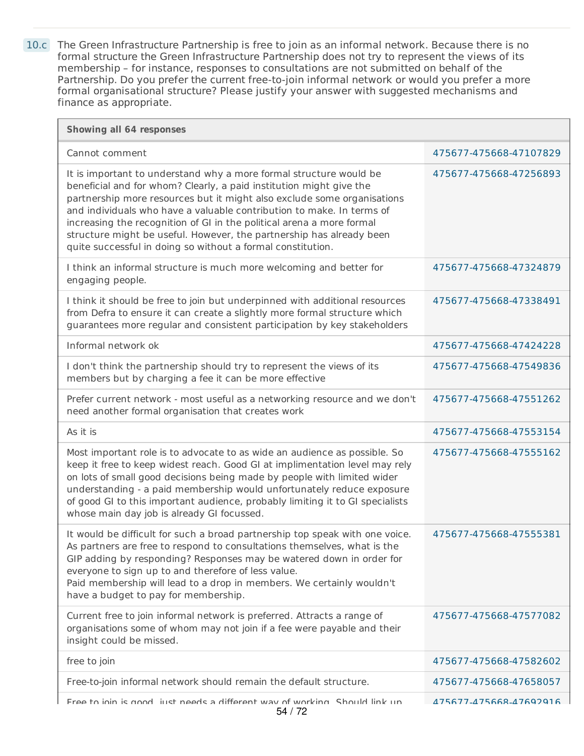10.c The Green Infrastructure Partnership is free to join as an informal network. Because there is no formal structure the Green Infrastructure Partnership does not try to represent the views of its membership – for instance, responses to consultations are not submitted on behalf of the Partnership. Do you prefer the current free-to-join informal network or would you prefer a more formal organisational structure? Please justify your answer with suggested mechanisms and finance as appropriate.

| Showing all 64 responses                                                                                                                                                                                                                                                                                                                                                                                                                                                                                      |                        |
|---------------------------------------------------------------------------------------------------------------------------------------------------------------------------------------------------------------------------------------------------------------------------------------------------------------------------------------------------------------------------------------------------------------------------------------------------------------------------------------------------------------|------------------------|
| Cannot comment                                                                                                                                                                                                                                                                                                                                                                                                                                                                                                | 475677-475668-47107829 |
| It is important to understand why a more formal structure would be<br>beneficial and for whom? Clearly, a paid institution might give the<br>partnership more resources but it might also exclude some organisations<br>and individuals who have a valuable contribution to make. In terms of<br>increasing the recognition of GI in the political arena a more formal<br>structure might be useful. However, the partnership has already been<br>quite successful in doing so without a formal constitution. | 475677-475668-47256893 |
| I think an informal structure is much more welcoming and better for<br>engaging people.                                                                                                                                                                                                                                                                                                                                                                                                                       | 475677-475668-47324879 |
| I think it should be free to join but underpinned with additional resources<br>from Defra to ensure it can create a slightly more formal structure which<br>guarantees more regular and consistent participation by key stakeholders                                                                                                                                                                                                                                                                          | 475677-475668-47338491 |
| Informal network ok                                                                                                                                                                                                                                                                                                                                                                                                                                                                                           | 475677-475668-47424228 |
| I don't think the partnership should try to represent the views of its<br>members but by charging a fee it can be more effective                                                                                                                                                                                                                                                                                                                                                                              | 475677-475668-47549836 |
| Prefer current network - most useful as a networking resource and we don't<br>need another formal organisation that creates work                                                                                                                                                                                                                                                                                                                                                                              | 475677-475668-47551262 |
| As it is                                                                                                                                                                                                                                                                                                                                                                                                                                                                                                      | 475677-475668-47553154 |
| Most important role is to advocate to as wide an audience as possible. So<br>keep it free to keep widest reach. Good GI at implimentation level may rely<br>on lots of small good decisions being made by people with limited wider<br>understanding - a paid membership would unfortunately reduce exposure<br>of good GI to this important audience, probably limiting it to GI specialists<br>whose main day job is already GI focussed.                                                                   | 475677-475668-47555162 |
| It would be difficult for such a broad partnership top speak with one voice.<br>As partners are free to respond to consultations themselves, what is the<br>GIP adding by responding? Responses may be watered down in order for<br>everyone to sign up to and therefore of less value.<br>Paid membership will lead to a drop in members. We certainly wouldn't<br>have a budget to pay for membership.                                                                                                      | 475677-475668-47555381 |
| Current free to join informal network is preferred. Attracts a range of<br>organisations some of whom may not join if a fee were payable and their<br>insight could be missed.                                                                                                                                                                                                                                                                                                                                | 475677-475668-47577082 |
| free to join                                                                                                                                                                                                                                                                                                                                                                                                                                                                                                  | 475677-475668-47582602 |
| Free-to-join informal network should remain the default structure.                                                                                                                                                                                                                                                                                                                                                                                                                                            | 475677-475668-47658057 |
| Free to join is good, just needs a different way of working. Should link up<br>54 / 72                                                                                                                                                                                                                                                                                                                                                                                                                        | 475677-475668-47692916 |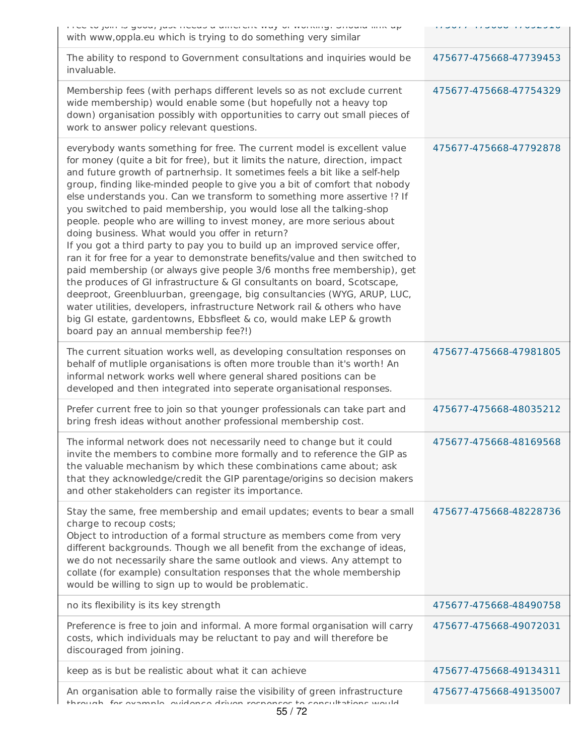| i i do to join io good, juoc noduo a umorone way or working. Onoulu iline up<br>with www, oppla.eu which is trying to do something very similar                                                                                                                                                                                                                                                                                                                                                                                                                                                                                                                                                                                                                                                                                                                                                                                                                                                                                                                                                                                                                                                      | ULL LOUUU TI UULLUU    |
|------------------------------------------------------------------------------------------------------------------------------------------------------------------------------------------------------------------------------------------------------------------------------------------------------------------------------------------------------------------------------------------------------------------------------------------------------------------------------------------------------------------------------------------------------------------------------------------------------------------------------------------------------------------------------------------------------------------------------------------------------------------------------------------------------------------------------------------------------------------------------------------------------------------------------------------------------------------------------------------------------------------------------------------------------------------------------------------------------------------------------------------------------------------------------------------------------|------------------------|
| The ability to respond to Government consultations and inquiries would be<br>invaluable.                                                                                                                                                                                                                                                                                                                                                                                                                                                                                                                                                                                                                                                                                                                                                                                                                                                                                                                                                                                                                                                                                                             | 475677-475668-47739453 |
| Membership fees (with perhaps different levels so as not exclude current<br>wide membership) would enable some (but hopefully not a heavy top<br>down) organisation possibly with opportunities to carry out small pieces of<br>work to answer policy relevant questions.                                                                                                                                                                                                                                                                                                                                                                                                                                                                                                                                                                                                                                                                                                                                                                                                                                                                                                                            | 475677-475668-47754329 |
| everybody wants something for free. The current model is excellent value<br>for money (quite a bit for free), but it limits the nature, direction, impact<br>and future growth of partnerhsip. It sometimes feels a bit like a self-help<br>group, finding like-minded people to give you a bit of comfort that nobody<br>else understands you. Can we transform to something more assertive !? If<br>you switched to paid membership, you would lose all the talking-shop<br>people. people who are willing to invest money, are more serious about<br>doing business. What would you offer in return?<br>If you got a third party to pay you to build up an improved service offer,<br>ran it for free for a year to demonstrate benefits/value and then switched to<br>paid membership (or always give people 3/6 months free membership), get<br>the produces of GI infrastructure & GI consultants on board, Scotscape,<br>deeproot, Greenbluurban, greengage, big consultancies (WYG, ARUP, LUC,<br>water utilities, developers, infrastructure Network rail & others who have<br>big GI estate, gardentowns, Ebbsfleet & co, would make LEP & growth<br>board pay an annual membership fee?!) | 475677-475668-47792878 |
| The current situation works well, as developing consultation responses on<br>behalf of mutliple organisations is often more trouble than it's worth! An<br>informal network works well where general shared positions can be<br>developed and then integrated into seperate organisational responses.                                                                                                                                                                                                                                                                                                                                                                                                                                                                                                                                                                                                                                                                                                                                                                                                                                                                                                | 475677-475668-47981805 |
| Prefer current free to join so that younger professionals can take part and<br>bring fresh ideas without another professional membership cost.                                                                                                                                                                                                                                                                                                                                                                                                                                                                                                                                                                                                                                                                                                                                                                                                                                                                                                                                                                                                                                                       | 475677-475668-48035212 |
| The informal network does not necessarily need to change but it could<br>invite the members to combine more formally and to reference the GIP as<br>the valuable mechanism by which these combinations came about; ask<br>that they acknowledge/credit the GIP parentage/origins so decision makers<br>and other stakeholders can register its importance.                                                                                                                                                                                                                                                                                                                                                                                                                                                                                                                                                                                                                                                                                                                                                                                                                                           | 475677-475668-48169568 |
| Stay the same, free membership and email updates; events to bear a small<br>charge to recoup costs;<br>Object to introduction of a formal structure as members come from very<br>different backgrounds. Though we all benefit from the exchange of ideas,<br>we do not necessarily share the same outlook and views. Any attempt to<br>collate (for example) consultation responses that the whole membership<br>would be willing to sign up to would be problematic.                                                                                                                                                                                                                                                                                                                                                                                                                                                                                                                                                                                                                                                                                                                                | 475677-475668-48228736 |
| no its flexibility is its key strength                                                                                                                                                                                                                                                                                                                                                                                                                                                                                                                                                                                                                                                                                                                                                                                                                                                                                                                                                                                                                                                                                                                                                               | 475677-475668-48490758 |
| Preference is free to join and informal. A more formal organisation will carry<br>costs, which individuals may be reluctant to pay and will therefore be<br>discouraged from joining.                                                                                                                                                                                                                                                                                                                                                                                                                                                                                                                                                                                                                                                                                                                                                                                                                                                                                                                                                                                                                | 475677-475668-49072031 |
| keep as is but be realistic about what it can achieve                                                                                                                                                                                                                                                                                                                                                                                                                                                                                                                                                                                                                                                                                                                                                                                                                                                                                                                                                                                                                                                                                                                                                | 475677-475668-49134311 |
| An organisation able to formally raise the visibility of green infrastructure<br>through for evention evidence driven reconnect to concultations would                                                                                                                                                                                                                                                                                                                                                                                                                                                                                                                                                                                                                                                                                                                                                                                                                                                                                                                                                                                                                                               | 475677-475668-49135007 |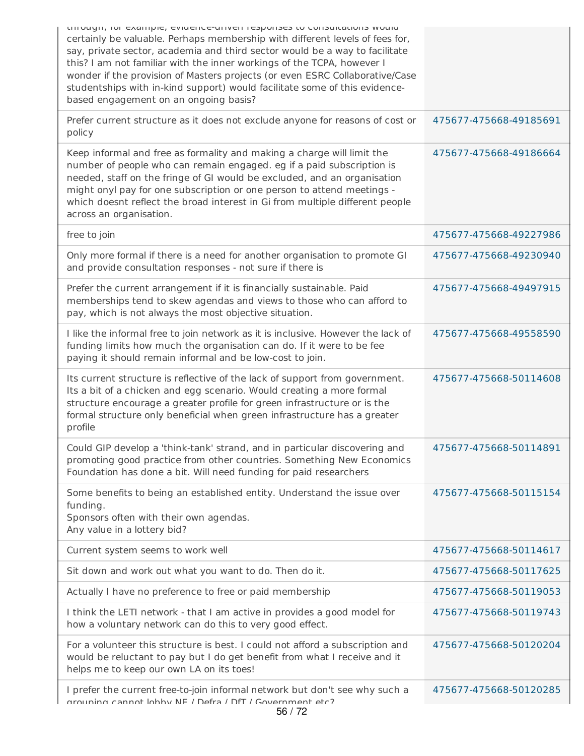| tinough, ior example, evidence-dirven responses to consultations would<br>certainly be valuable. Perhaps membership with different levels of fees for,<br>say, private sector, academia and third sector would be a way to facilitate<br>this? I am not familiar with the inner workings of the TCPA, however I<br>wonder if the provision of Masters projects (or even ESRC Collaborative/Case<br>studentships with in-kind support) would facilitate some of this evidence-<br>based engagement on an ongoing basis? |                        |
|------------------------------------------------------------------------------------------------------------------------------------------------------------------------------------------------------------------------------------------------------------------------------------------------------------------------------------------------------------------------------------------------------------------------------------------------------------------------------------------------------------------------|------------------------|
| Prefer current structure as it does not exclude anyone for reasons of cost or<br>policy                                                                                                                                                                                                                                                                                                                                                                                                                                | 475677-475668-49185691 |
| Keep informal and free as formality and making a charge will limit the<br>number of people who can remain engaged. eg if a paid subscription is<br>needed, staff on the fringe of GI would be excluded, and an organisation<br>might onyl pay for one subscription or one person to attend meetings -<br>which doesnt reflect the broad interest in Gi from multiple different people<br>across an organisation.                                                                                                       | 475677-475668-49186664 |
| free to join                                                                                                                                                                                                                                                                                                                                                                                                                                                                                                           | 475677-475668-49227986 |
| Only more formal if there is a need for another organisation to promote GI<br>and provide consultation responses - not sure if there is                                                                                                                                                                                                                                                                                                                                                                                | 475677-475668-49230940 |
| Prefer the current arrangement if it is financially sustainable. Paid<br>memberships tend to skew agendas and views to those who can afford to<br>pay, which is not always the most objective situation.                                                                                                                                                                                                                                                                                                               | 475677-475668-49497915 |
| I like the informal free to join network as it is inclusive. However the lack of<br>funding limits how much the organisation can do. If it were to be fee<br>paying it should remain informal and be low-cost to join.                                                                                                                                                                                                                                                                                                 | 475677-475668-49558590 |
| Its current structure is reflective of the lack of support from government.<br>Its a bit of a chicken and egg scenario. Would creating a more formal<br>structure encourage a greater profile for green infrastructure or is the<br>formal structure only beneficial when green infrastructure has a greater<br>profile                                                                                                                                                                                                | 475677-475668-50114608 |
| Could GIP develop a 'think-tank' strand, and in particular discovering and<br>promoting good practice from other countries. Something New Economics<br>Foundation has done a bit. Will need funding for paid researchers                                                                                                                                                                                                                                                                                               | 475677-475668-50114891 |
| Some benefits to being an established entity. Understand the issue over<br>funding.<br>Sponsors often with their own agendas.<br>Any value in a lottery bid?                                                                                                                                                                                                                                                                                                                                                           | 475677-475668-50115154 |
| Current system seems to work well                                                                                                                                                                                                                                                                                                                                                                                                                                                                                      | 475677-475668-50114617 |
| Sit down and work out what you want to do. Then do it.                                                                                                                                                                                                                                                                                                                                                                                                                                                                 | 475677-475668-50117625 |
| Actually I have no preference to free or paid membership                                                                                                                                                                                                                                                                                                                                                                                                                                                               | 475677-475668-50119053 |
| I think the LETI network - that I am active in provides a good model for<br>how a voluntary network can do this to very good effect.                                                                                                                                                                                                                                                                                                                                                                                   | 475677-475668-50119743 |
| For a volunteer this structure is best. I could not afford a subscription and<br>would be reluctant to pay but I do get benefit from what I receive and it<br>helps me to keep our own LA on its toes!                                                                                                                                                                                                                                                                                                                 | 475677-475668-50120204 |
| I prefer the current free-to-join informal network but don't see why such a<br>arouning cannot lobby NF / Defra / DfT / Government etc?                                                                                                                                                                                                                                                                                                                                                                                | 475677-475668-50120285 |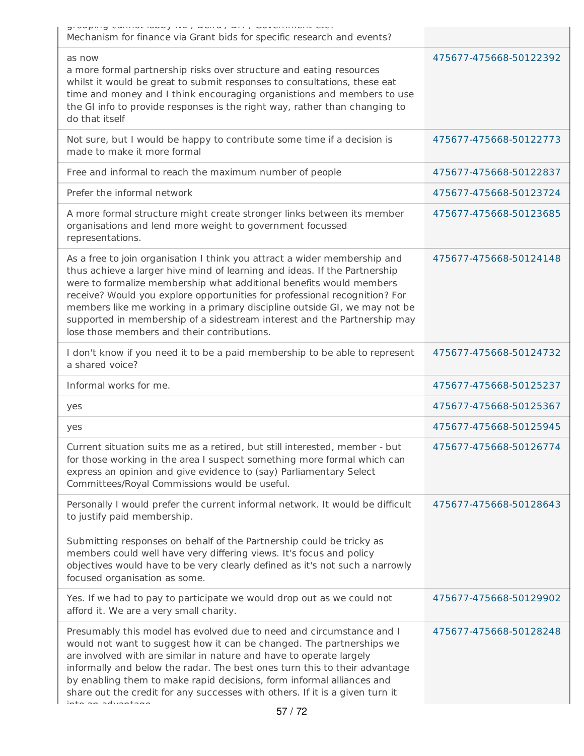| Sinahuid common lovely lie / molla / mil / moleculingue cent<br>Mechanism for finance via Grant bids for specific research and events?                                                                                                                                                                                                                                                                                                                                                                              |                        |
|---------------------------------------------------------------------------------------------------------------------------------------------------------------------------------------------------------------------------------------------------------------------------------------------------------------------------------------------------------------------------------------------------------------------------------------------------------------------------------------------------------------------|------------------------|
| as now<br>a more formal partnership risks over structure and eating resources<br>whilst it would be great to submit responses to consultations, these eat<br>time and money and I think encouraging organistions and members to use<br>the GI info to provide responses is the right way, rather than changing to<br>do that itself                                                                                                                                                                                 | 475677-475668-50122392 |
| Not sure, but I would be happy to contribute some time if a decision is<br>made to make it more formal                                                                                                                                                                                                                                                                                                                                                                                                              | 475677-475668-50122773 |
| Free and informal to reach the maximum number of people                                                                                                                                                                                                                                                                                                                                                                                                                                                             | 475677-475668-50122837 |
| Prefer the informal network                                                                                                                                                                                                                                                                                                                                                                                                                                                                                         | 475677-475668-50123724 |
| A more formal structure might create stronger links between its member<br>organisations and lend more weight to government focussed<br>representations.                                                                                                                                                                                                                                                                                                                                                             | 475677-475668-50123685 |
| As a free to join organisation I think you attract a wider membership and<br>thus achieve a larger hive mind of learning and ideas. If the Partnership<br>were to formalize membership what additional benefits would members<br>receive? Would you explore opportunities for professional recognition? For<br>members like me working in a primary discipline outside GI, we may not be<br>supported in membership of a sidestream interest and the Partnership may<br>lose those members and their contributions. | 475677-475668-50124148 |
| I don't know if you need it to be a paid membership to be able to represent<br>a shared voice?                                                                                                                                                                                                                                                                                                                                                                                                                      | 475677-475668-50124732 |
| Informal works for me.                                                                                                                                                                                                                                                                                                                                                                                                                                                                                              | 475677-475668-50125237 |
| yes                                                                                                                                                                                                                                                                                                                                                                                                                                                                                                                 | 475677-475668-50125367 |
| yes                                                                                                                                                                                                                                                                                                                                                                                                                                                                                                                 | 475677-475668-50125945 |
| Current situation suits me as a retired, but still interested, member - but<br>for those working in the area I suspect something more formal which can<br>express an opinion and give evidence to (say) Parliamentary Select<br>Committees/Royal Commissions would be useful.                                                                                                                                                                                                                                       | 475677-475668-50126774 |
| Personally I would prefer the current informal network. It would be difficult<br>to justify paid membership.<br>Submitting responses on behalf of the Partnership could be tricky as<br>members could well have very differing views. It's focus and policy<br>objectives would have to be very clearly defined as it's not such a narrowly<br>focused organisation as some.                                                                                                                                        | 475677-475668-50128643 |
| Yes. If we had to pay to participate we would drop out as we could not<br>afford it. We are a very small charity.                                                                                                                                                                                                                                                                                                                                                                                                   | 475677-475668-50129902 |
| Presumably this model has evolved due to need and circumstance and I<br>would not want to suggest how it can be changed. The partnerships we<br>are involved with are similar in nature and have to operate largely<br>informally and below the radar. The best ones turn this to their advantage<br>by enabling them to make rapid decisions, form informal alliances and<br>share out the credit for any successes with others. If it is a given turn it<br>inta an aduantana                                     | 475677-475668-50128248 |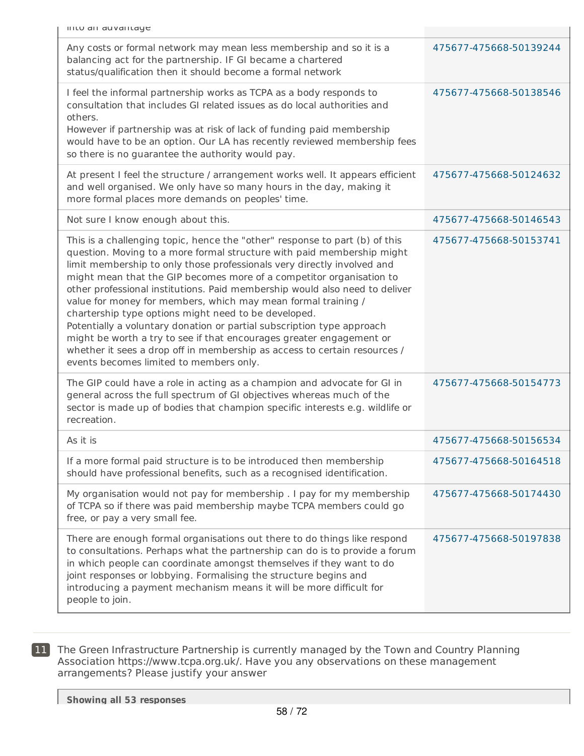| Any costs or formal network may mean less membership and so it is a<br>balancing act for the partnership. IF GI became a chartered<br>status/qualification then it should become a formal network                                                                                                                                                                                                                                                                                                                                                                                                                                                                                                                                                                                          | 475677-475668-50139244 |
|--------------------------------------------------------------------------------------------------------------------------------------------------------------------------------------------------------------------------------------------------------------------------------------------------------------------------------------------------------------------------------------------------------------------------------------------------------------------------------------------------------------------------------------------------------------------------------------------------------------------------------------------------------------------------------------------------------------------------------------------------------------------------------------------|------------------------|
| I feel the informal partnership works as TCPA as a body responds to<br>consultation that includes GI related issues as do local authorities and<br>others.<br>However if partnership was at risk of lack of funding paid membership<br>would have to be an option. Our LA has recently reviewed membership fees<br>so there is no guarantee the authority would pay.                                                                                                                                                                                                                                                                                                                                                                                                                       | 475677-475668-50138546 |
| At present I feel the structure / arrangement works well. It appears efficient<br>and well organised. We only have so many hours in the day, making it<br>more formal places more demands on peoples' time.                                                                                                                                                                                                                                                                                                                                                                                                                                                                                                                                                                                | 475677-475668-50124632 |
| Not sure I know enough about this.                                                                                                                                                                                                                                                                                                                                                                                                                                                                                                                                                                                                                                                                                                                                                         | 475677-475668-50146543 |
| This is a challenging topic, hence the "other" response to part (b) of this<br>question. Moving to a more formal structure with paid membership might<br>limit membership to only those professionals very directly involved and<br>might mean that the GIP becomes more of a competitor organisation to<br>other professional institutions. Paid membership would also need to deliver<br>value for money for members, which may mean formal training /<br>chartership type options might need to be developed.<br>Potentially a voluntary donation or partial subscription type approach<br>might be worth a try to see if that encourages greater engagement or<br>whether it sees a drop off in membership as access to certain resources /<br>events becomes limited to members only. | 475677-475668-50153741 |
| The GIP could have a role in acting as a champion and advocate for GI in<br>general across the full spectrum of GI objectives whereas much of the<br>sector is made up of bodies that champion specific interests e.g. wildlife or<br>recreation.                                                                                                                                                                                                                                                                                                                                                                                                                                                                                                                                          | 475677-475668-50154773 |
| As it is                                                                                                                                                                                                                                                                                                                                                                                                                                                                                                                                                                                                                                                                                                                                                                                   | 475677-475668-50156534 |
| If a more formal paid structure is to be introduced then membership<br>should have professional benefits, such as a recognised identification.                                                                                                                                                                                                                                                                                                                                                                                                                                                                                                                                                                                                                                             | 475677-475668-50164518 |
| My organisation would not pay for membership . I pay for my membership<br>of TCPA so if there was paid membership maybe TCPA members could go<br>free, or pay a very small fee.                                                                                                                                                                                                                                                                                                                                                                                                                                                                                                                                                                                                            | 475677-475668-50174430 |
| There are enough formal organisations out there to do things like respond<br>to consultations. Perhaps what the partnership can do is to provide a forum<br>in which people can coordinate amongst themselves if they want to do<br>joint responses or lobbying. Formalising the structure begins and<br>introducing a payment mechanism means it will be more difficult for<br>people to join.                                                                                                                                                                                                                                                                                                                                                                                            | 475677-475668-50197838 |

11 The Green Infrastructure Partnership is currently managed by the Town and Country Planning Association https://www.tcpa.org.uk/. Have you any observations on these management arrangements? Please justify your answer

into an advantage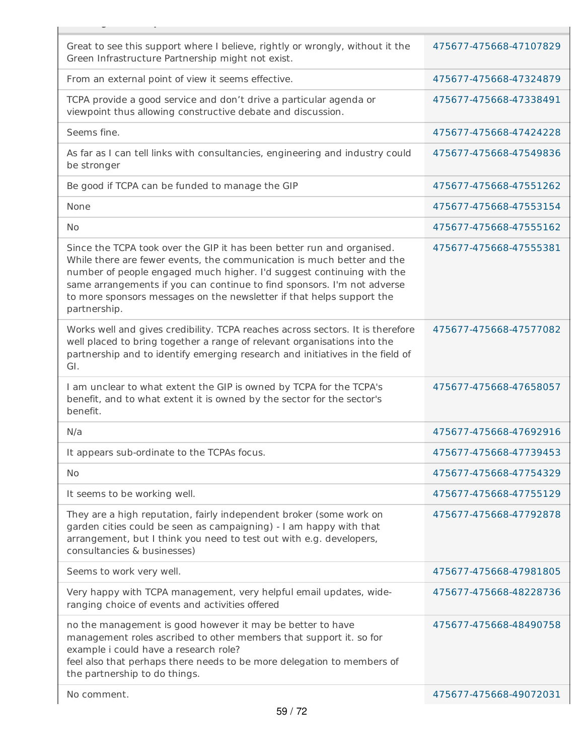| Great to see this support where I believe, rightly or wrongly, without it the<br>Green Infrastructure Partnership might not exist.                                                                                                                                                                                                                                                            | 475677-475668-47107829 |
|-----------------------------------------------------------------------------------------------------------------------------------------------------------------------------------------------------------------------------------------------------------------------------------------------------------------------------------------------------------------------------------------------|------------------------|
| From an external point of view it seems effective.                                                                                                                                                                                                                                                                                                                                            | 475677-475668-47324879 |
| TCPA provide a good service and don't drive a particular agenda or<br>viewpoint thus allowing constructive debate and discussion.                                                                                                                                                                                                                                                             | 475677-475668-47338491 |
| Seems fine.                                                                                                                                                                                                                                                                                                                                                                                   | 475677-475668-47424228 |
| As far as I can tell links with consultancies, engineering and industry could<br>be stronger                                                                                                                                                                                                                                                                                                  | 475677-475668-47549836 |
| Be good if TCPA can be funded to manage the GIP                                                                                                                                                                                                                                                                                                                                               | 475677-475668-47551262 |
| None                                                                                                                                                                                                                                                                                                                                                                                          | 475677-475668-47553154 |
| No                                                                                                                                                                                                                                                                                                                                                                                            | 475677-475668-47555162 |
| Since the TCPA took over the GIP it has been better run and organised.<br>While there are fewer events, the communication is much better and the<br>number of people engaged much higher. I'd suggest continuing with the<br>same arrangements if you can continue to find sponsors. I'm not adverse<br>to more sponsors messages on the newsletter if that helps support the<br>partnership. | 475677-475668-47555381 |
| Works well and gives credibility. TCPA reaches across sectors. It is therefore<br>well placed to bring together a range of relevant organisations into the<br>partnership and to identify emerging research and initiatives in the field of<br>GI.                                                                                                                                            | 475677-475668-47577082 |
| I am unclear to what extent the GIP is owned by TCPA for the TCPA's<br>benefit, and to what extent it is owned by the sector for the sector's<br>benefit.                                                                                                                                                                                                                                     | 475677-475668-47658057 |
| N/a                                                                                                                                                                                                                                                                                                                                                                                           | 475677-475668-47692916 |
| It appears sub-ordinate to the TCPAs focus.                                                                                                                                                                                                                                                                                                                                                   | 475677-475668-47739453 |
| <b>No</b>                                                                                                                                                                                                                                                                                                                                                                                     | 475677-475668-47754329 |
| It seems to be working well.                                                                                                                                                                                                                                                                                                                                                                  | 475677-475668-47755129 |
| They are a high reputation, fairly independent broker (some work on<br>garden cities could be seen as campaigning) - I am happy with that<br>arrangement, but I think you need to test out with e.g. developers,<br>consultancies & businesses)                                                                                                                                               | 475677-475668-47792878 |
| Seems to work very well.                                                                                                                                                                                                                                                                                                                                                                      | 475677-475668-47981805 |
| Very happy with TCPA management, very helpful email updates, wide-<br>ranging choice of events and activities offered                                                                                                                                                                                                                                                                         | 475677-475668-48228736 |
| no the management is good however it may be better to have<br>management roles ascribed to other members that support it. so for<br>example i could have a research role?<br>feel also that perhaps there needs to be more delegation to members of<br>the partnership to do things.                                                                                                          | 475677-475668-48490758 |
| No comment.                                                                                                                                                                                                                                                                                                                                                                                   | 475677-475668-49072031 |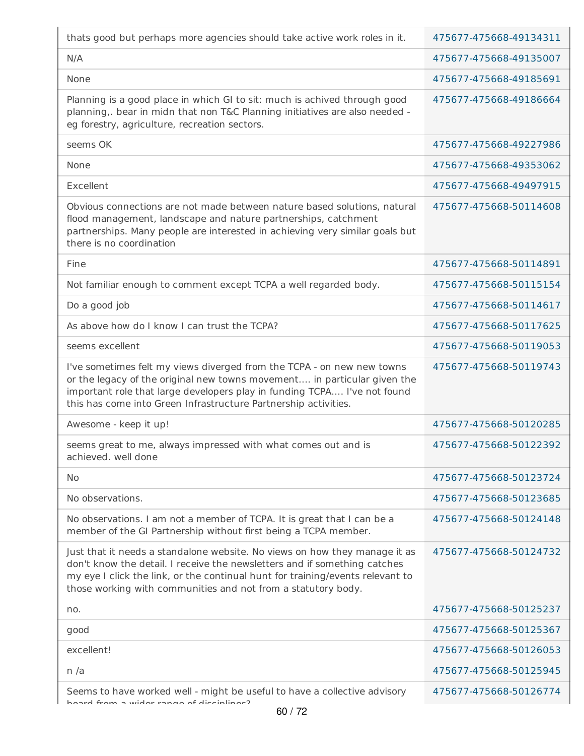| thats good but perhaps more agencies should take active work roles in it.                                                                                                                                                                                                                                  | 475677-475668-49134311 |
|------------------------------------------------------------------------------------------------------------------------------------------------------------------------------------------------------------------------------------------------------------------------------------------------------------|------------------------|
| N/A                                                                                                                                                                                                                                                                                                        | 475677-475668-49135007 |
| None                                                                                                                                                                                                                                                                                                       | 475677-475668-49185691 |
| Planning is a good place in which GI to sit: much is achived through good<br>planning,. bear in midn that non T&C Planning initiatives are also needed -<br>eg forestry, agriculture, recreation sectors.                                                                                                  | 475677-475668-49186664 |
| seems OK                                                                                                                                                                                                                                                                                                   | 475677-475668-49227986 |
| None                                                                                                                                                                                                                                                                                                       | 475677-475668-49353062 |
| Excellent                                                                                                                                                                                                                                                                                                  | 475677-475668-49497915 |
| Obvious connections are not made between nature based solutions, natural<br>flood management, landscape and nature partnerships, catchment<br>partnerships. Many people are interested in achieving very similar goals but<br>there is no coordination                                                     | 475677-475668-50114608 |
| Fine                                                                                                                                                                                                                                                                                                       | 475677-475668-50114891 |
| Not familiar enough to comment except TCPA a well regarded body.                                                                                                                                                                                                                                           | 475677-475668-50115154 |
| Do a good job                                                                                                                                                                                                                                                                                              | 475677-475668-50114617 |
| As above how do I know I can trust the TCPA?                                                                                                                                                                                                                                                               | 475677-475668-50117625 |
| seems excellent                                                                                                                                                                                                                                                                                            | 475677-475668-50119053 |
| I've sometimes felt my views diverged from the TCPA - on new new towns<br>or the legacy of the original new towns movement in particular given the<br>important role that large developers play in funding TCPA I've not found<br>this has come into Green Infrastructure Partnership activities.          | 475677-475668-50119743 |
| Awesome - keep it up!                                                                                                                                                                                                                                                                                      | 475677-475668-50120285 |
| seems great to me, always impressed with what comes out and is<br>achieved, well done                                                                                                                                                                                                                      | 475677-475668-50122392 |
| <b>No</b>                                                                                                                                                                                                                                                                                                  | 475677-475668-50123724 |
| No observations.                                                                                                                                                                                                                                                                                           | 475677-475668-50123685 |
| No observations. I am not a member of TCPA. It is great that I can be a<br>member of the GI Partnership without first being a TCPA member.                                                                                                                                                                 | 475677-475668-50124148 |
| Just that it needs a standalone website. No views on how they manage it as<br>don't know the detail. I receive the newsletters and if something catches<br>my eye I click the link, or the continual hunt for training/events relevant to<br>those working with communities and not from a statutory body. | 475677-475668-50124732 |
| no.                                                                                                                                                                                                                                                                                                        | 475677-475668-50125237 |
| good                                                                                                                                                                                                                                                                                                       | 475677-475668-50125367 |
| excellent!                                                                                                                                                                                                                                                                                                 | 475677-475668-50126053 |
| n/a                                                                                                                                                                                                                                                                                                        | 475677-475668-50125945 |
| Seems to have worked well - might be useful to have a collective advisory<br>hoard from a wider range of disciplings?                                                                                                                                                                                      | 475677-475668-50126774 |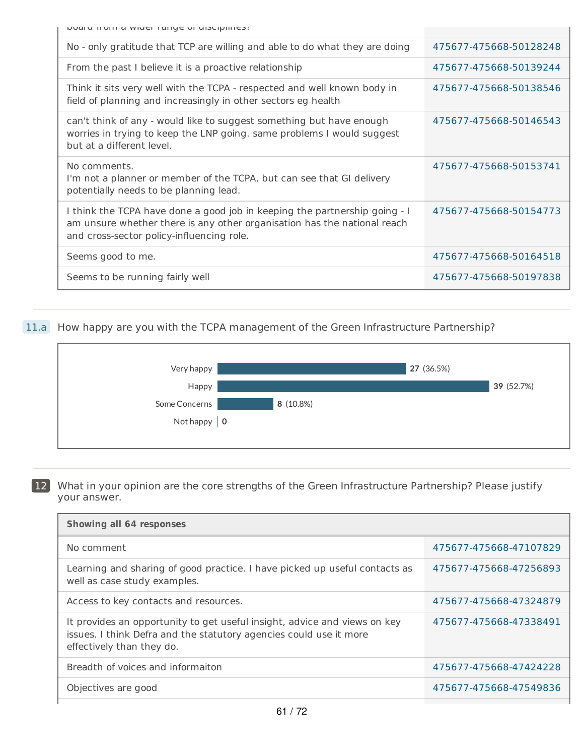board from a wider range of disciplines?

| No - only gratitude that TCP are willing and able to do what they are doing                                                                                                                         | 475677-475668-50128248 |
|-----------------------------------------------------------------------------------------------------------------------------------------------------------------------------------------------------|------------------------|
| From the past I believe it is a proactive relationship                                                                                                                                              | 475677-475668-50139244 |
| Think it sits very well with the TCPA - respected and well known body in<br>field of planning and increasingly in other sectors eg health                                                           | 475677-475668-50138546 |
| can't think of any - would like to suggest something but have enough<br>worries in trying to keep the LNP going. same problems I would suggest<br>but at a different level.                         | 475677-475668-50146543 |
| No comments.<br>I'm not a planner or member of the TCPA, but can see that GI delivery<br>potentially needs to be planning lead.                                                                     | 475677-475668-50153741 |
| I think the TCPA have done a good job in keeping the partnership going - I<br>am unsure whether there is any other organisation has the national reach<br>and cross-sector policy-influencing role. | 475677-475668-50154773 |
| Seems good to me.                                                                                                                                                                                   | 475677-475668-50164518 |
| Seems to be running fairly well                                                                                                                                                                     | 475677-475668-50197838 |

## 11.a How happy are you with the TCPA management of the Green Infrastructure Partnership?



12 What in your opinion are the core strengths of the Green Infrastructure Partnership? Please justify your answer.

| Showing all 64 responses                                                                                                                                                     |                        |
|------------------------------------------------------------------------------------------------------------------------------------------------------------------------------|------------------------|
| No comment                                                                                                                                                                   | 475677-475668-47107829 |
| Learning and sharing of good practice. I have picked up useful contacts as<br>well as case study examples.                                                                   | 475677-475668-47256893 |
| Access to key contacts and resources.                                                                                                                                        | 475677-475668-47324879 |
| It provides an opportunity to get useful insight, advice and views on key<br>issues. I think Defra and the statutory agencies could use it more<br>effectively than they do. | 475677-475668-47338491 |
| Breadth of voices and informaiton                                                                                                                                            | 475677-475668-47424228 |
| Objectives are good                                                                                                                                                          | 475677-475668-47549836 |
|                                                                                                                                                                              |                        |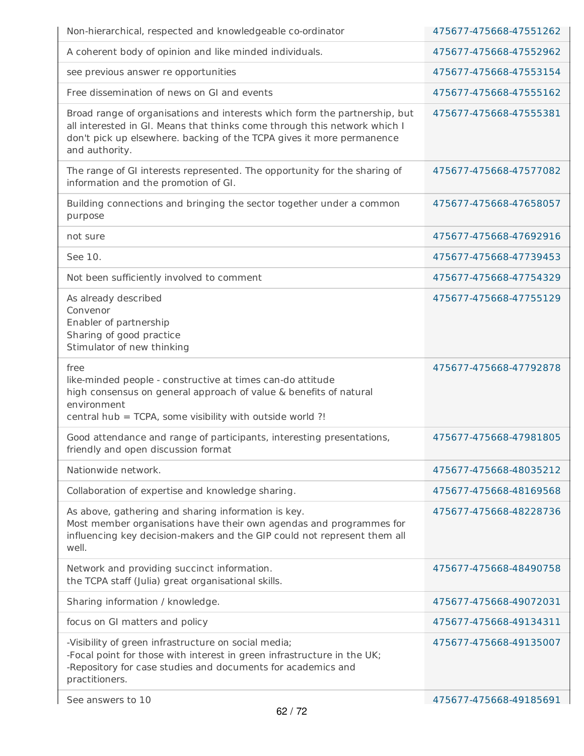| Non-hierarchical, respected and knowledgeable co-ordinator                                                                                                                                                                                         | 475677-475668-47551262 |
|----------------------------------------------------------------------------------------------------------------------------------------------------------------------------------------------------------------------------------------------------|------------------------|
| A coherent body of opinion and like minded individuals.                                                                                                                                                                                            | 475677-475668-47552962 |
| see previous answer re opportunities                                                                                                                                                                                                               | 475677-475668-47553154 |
| Free dissemination of news on GI and events                                                                                                                                                                                                        | 475677-475668-47555162 |
| Broad range of organisations and interests which form the partnership, but<br>all interested in GI. Means that thinks come through this network which I<br>don't pick up elsewhere. backing of the TCPA gives it more permanence<br>and authority. | 475677-475668-47555381 |
| The range of GI interests represented. The opportunity for the sharing of<br>information and the promotion of GI.                                                                                                                                  | 475677-475668-47577082 |
| Building connections and bringing the sector together under a common<br>purpose                                                                                                                                                                    | 475677-475668-47658057 |
| not sure                                                                                                                                                                                                                                           | 475677-475668-47692916 |
| See 10.                                                                                                                                                                                                                                            | 475677-475668-47739453 |
| Not been sufficiently involved to comment                                                                                                                                                                                                          | 475677-475668-47754329 |
| As already described<br>Convenor<br>Enabler of partnership<br>Sharing of good practice<br>Stimulator of new thinking                                                                                                                               | 475677-475668-47755129 |
| free<br>like-minded people - constructive at times can-do attitude<br>high consensus on general approach of value & benefits of natural<br>environment<br>central hub = TCPA, some visibility with outside world ?!                                | 475677-475668-47792878 |
| Good attendance and range of participants, interesting presentations,<br>friendly and open discussion format                                                                                                                                       | 475677-475668-47981805 |
| Nationwide network.                                                                                                                                                                                                                                | 475677-475668-48035212 |
| Collaboration of expertise and knowledge sharing.                                                                                                                                                                                                  | 475677-475668-48169568 |
| As above, gathering and sharing information is key.<br>Most member organisations have their own agendas and programmes for<br>influencing key decision-makers and the GIP could not represent them all<br>well.                                    | 475677-475668-48228736 |
| Network and providing succinct information.<br>the TCPA staff (Julia) great organisational skills.                                                                                                                                                 | 475677-475668-48490758 |
| Sharing information / knowledge.                                                                                                                                                                                                                   | 475677-475668-49072031 |
| focus on GI matters and policy                                                                                                                                                                                                                     | 475677-475668-49134311 |
| -Visibility of green infrastructure on social media;<br>-Focal point for those with interest in green infrastructure in the UK;<br>-Repository for case studies and documents for academics and<br>practitioners.                                  | 475677-475668-49135007 |
| See answers to 10                                                                                                                                                                                                                                  | 475677-475668-49185691 |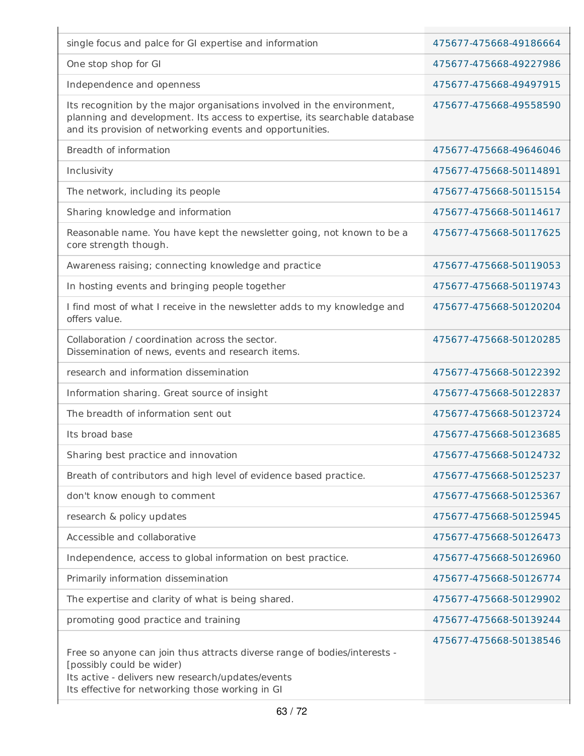| single focus and palce for GI expertise and information                                                                                                                                                            | 475677-475668-49186664 |
|--------------------------------------------------------------------------------------------------------------------------------------------------------------------------------------------------------------------|------------------------|
| One stop shop for GI                                                                                                                                                                                               | 475677-475668-49227986 |
| Independence and openness                                                                                                                                                                                          | 475677-475668-49497915 |
| Its recognition by the major organisations involved in the environment,<br>planning and development. Its access to expertise, its searchable database<br>and its provision of networking events and opportunities. | 475677-475668-49558590 |
| Breadth of information                                                                                                                                                                                             | 475677-475668-49646046 |
| Inclusivity                                                                                                                                                                                                        | 475677-475668-50114891 |
| The network, including its people                                                                                                                                                                                  | 475677-475668-50115154 |
| Sharing knowledge and information                                                                                                                                                                                  | 475677-475668-50114617 |
| Reasonable name. You have kept the newsletter going, not known to be a<br>core strength though.                                                                                                                    | 475677-475668-50117625 |
| Awareness raising; connecting knowledge and practice                                                                                                                                                               | 475677-475668-50119053 |
| In hosting events and bringing people together                                                                                                                                                                     | 475677-475668-50119743 |
| I find most of what I receive in the newsletter adds to my knowledge and<br>offers value.                                                                                                                          | 475677-475668-50120204 |
| Collaboration / coordination across the sector.<br>Dissemination of news, events and research items.                                                                                                               | 475677-475668-50120285 |
| research and information dissemination                                                                                                                                                                             | 475677-475668-50122392 |
| Information sharing. Great source of insight                                                                                                                                                                       | 475677-475668-50122837 |
| The breadth of information sent out                                                                                                                                                                                | 475677-475668-50123724 |
| Its broad base                                                                                                                                                                                                     | 475677-475668-50123685 |
| Sharing best practice and innovation                                                                                                                                                                               | 475677-475668-50124732 |
| Breath of contributors and high level of evidence based practice.                                                                                                                                                  | 475677-475668-50125237 |
| don't know enough to comment                                                                                                                                                                                       | 475677-475668-50125367 |
| research & policy updates                                                                                                                                                                                          | 475677-475668-50125945 |
| Accessible and collaborative                                                                                                                                                                                       | 475677-475668-50126473 |
| Independence, access to global information on best practice.                                                                                                                                                       | 475677-475668-50126960 |
| Primarily information dissemination                                                                                                                                                                                | 475677-475668-50126774 |
| The expertise and clarity of what is being shared.                                                                                                                                                                 | 475677-475668-50129902 |
| promoting good practice and training                                                                                                                                                                               | 475677-475668-50139244 |
| Free so anyone can join thus attracts diverse range of bodies/interests -<br>[possibly could be wider)<br>Its active - delivers new research/updates/events<br>Its effective for networking those working in GI    | 475677-475668-50138546 |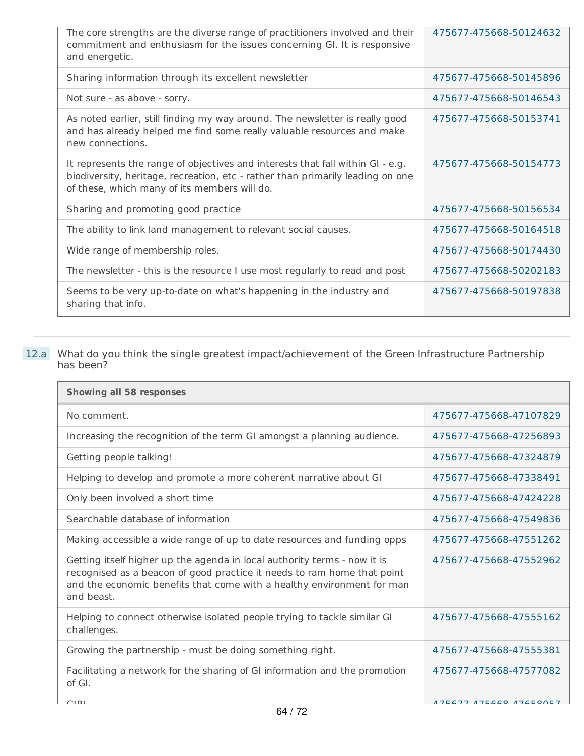| The core strengths are the diverse range of practitioners involved and their<br>commitment and enthusiasm for the issues concerning GI. It is responsive<br>and energetic.                                       | 475677-475668-50124632 |
|------------------------------------------------------------------------------------------------------------------------------------------------------------------------------------------------------------------|------------------------|
| Sharing information through its excellent newsletter                                                                                                                                                             | 475677-475668-50145896 |
| Not sure - as above - sorry.                                                                                                                                                                                     | 475677-475668-50146543 |
| As noted earlier, still finding my way around. The newsletter is really good<br>and has already helped me find some really valuable resources and make<br>new connections.                                       | 475677-475668-50153741 |
| It represents the range of objectives and interests that fall within GI - e.g.<br>biodiversity, heritage, recreation, etc - rather than primarily leading on one<br>of these, which many of its members will do. | 475677-475668-50154773 |
| Sharing and promoting good practice                                                                                                                                                                              | 475677-475668-50156534 |
| The ability to link land management to relevant social causes.                                                                                                                                                   | 475677-475668-50164518 |
| Wide range of membership roles.                                                                                                                                                                                  | 475677-475668-50174430 |
| The newsletter - this is the resource I use most regularly to read and post                                                                                                                                      | 475677-475668-50202183 |
| Seems to be very up-to-date on what's happening in the industry and<br>sharing that info.                                                                                                                        | 475677-475668-50197838 |

#### 12.a What do you think the single greatest impact/achievement of the Green Infrastructure Partnership has been?

| <b>Showing all 58 responses</b>                                                                                                                                                                                                             |                        |
|---------------------------------------------------------------------------------------------------------------------------------------------------------------------------------------------------------------------------------------------|------------------------|
| No comment.                                                                                                                                                                                                                                 | 475677-475668-47107829 |
| Increasing the recognition of the term GI amongst a planning audience.                                                                                                                                                                      | 475677-475668-47256893 |
| Getting people talking!                                                                                                                                                                                                                     | 475677-475668-47324879 |
| Helping to develop and promote a more coherent narrative about GI                                                                                                                                                                           | 475677-475668-47338491 |
| Only been involved a short time                                                                                                                                                                                                             | 475677-475668-47424228 |
| Searchable database of information                                                                                                                                                                                                          | 475677-475668-47549836 |
| Making accessible a wide range of up to date resources and funding opps                                                                                                                                                                     | 475677-475668-47551262 |
| Getting itself higher up the agenda in local authority terms - now it is<br>recognised as a beacon of good practice it needs to ram home that point<br>and the economic benefits that come with a healthy environment for man<br>and beast. | 475677-475668-47552962 |
| Helping to connect otherwise isolated people trying to tackle similar GI<br>challenges.                                                                                                                                                     | 475677-475668-47555162 |
| Growing the partnership - must be doing something right.                                                                                                                                                                                    | 475677-475668-47555381 |
| Facilitating a network for the sharing of GI information and the promotion<br>of GI.                                                                                                                                                        | 475677-475668-47577082 |
| CIDI                                                                                                                                                                                                                                        | 17567717566817658057   |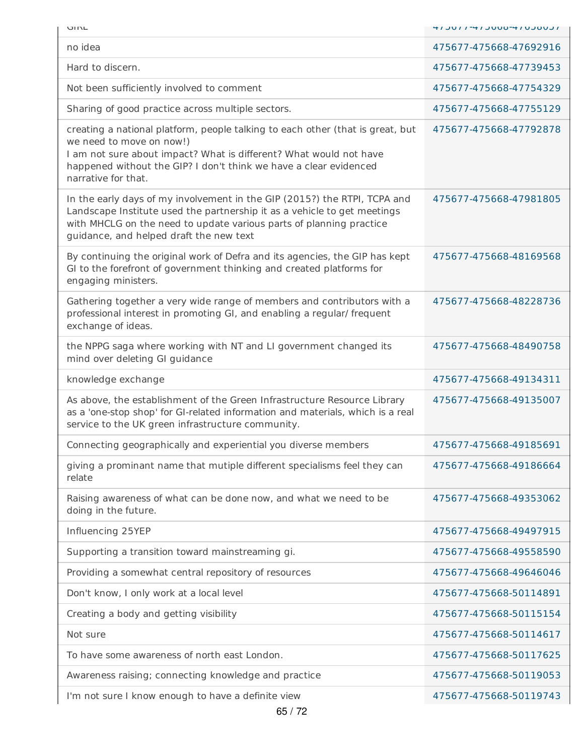| UINL                                                                                                                                                                                                                                                                         | 1 LUOLU 1 -4 JUULU 1 -1 JULU |
|------------------------------------------------------------------------------------------------------------------------------------------------------------------------------------------------------------------------------------------------------------------------------|------------------------------|
| no idea                                                                                                                                                                                                                                                                      | 475677-475668-47692916       |
| Hard to discern.                                                                                                                                                                                                                                                             | 475677-475668-47739453       |
| Not been sufficiently involved to comment                                                                                                                                                                                                                                    | 475677-475668-47754329       |
| Sharing of good practice across multiple sectors.                                                                                                                                                                                                                            | 475677-475668-47755129       |
| creating a national platform, people talking to each other (that is great, but<br>we need to move on now!)<br>I am not sure about impact? What is different? What would not have<br>happened without the GIP? I don't think we have a clear evidenced<br>narrative for that. | 475677-475668-47792878       |
| In the early days of my involvement in the GIP (2015?) the RTPI, TCPA and<br>Landscape Institute used the partnership it as a vehicle to get meetings<br>with MHCLG on the need to update various parts of planning practice<br>guidance, and helped draft the new text      | 475677-475668-47981805       |
| By continuing the original work of Defra and its agencies, the GIP has kept<br>GI to the forefront of government thinking and created platforms for<br>engaging ministers.                                                                                                   | 475677-475668-48169568       |
| Gathering together a very wide range of members and contributors with a<br>professional interest in promoting GI, and enabling a regular/ frequent<br>exchange of ideas.                                                                                                     | 475677-475668-48228736       |
| the NPPG saga where working with NT and LI government changed its<br>mind over deleting GI guidance                                                                                                                                                                          | 475677-475668-48490758       |
| knowledge exchange                                                                                                                                                                                                                                                           | 475677-475668-49134311       |
| As above, the establishment of the Green Infrastructure Resource Library<br>as a 'one-stop shop' for GI-related information and materials, which is a real<br>service to the UK green infrastructure community.                                                              | 475677-475668-49135007       |
| Connecting geographically and experiential you diverse members                                                                                                                                                                                                               | 475677-475668-49185691       |
| giving a prominant name that mutiple different specialisms feel they can<br>relate                                                                                                                                                                                           | 475677-475668-49186664       |
| Raising awareness of what can be done now, and what we need to be<br>doing in the future.                                                                                                                                                                                    | 475677-475668-49353062       |
| Influencing 25YEP                                                                                                                                                                                                                                                            | 475677-475668-49497915       |
| Supporting a transition toward mainstreaming gi.                                                                                                                                                                                                                             | 475677-475668-49558590       |
| Providing a somewhat central repository of resources                                                                                                                                                                                                                         | 475677-475668-49646046       |
| Don't know, I only work at a local level                                                                                                                                                                                                                                     | 475677-475668-50114891       |
| Creating a body and getting visibility                                                                                                                                                                                                                                       | 475677-475668-50115154       |
| Not sure                                                                                                                                                                                                                                                                     | 475677-475668-50114617       |
| To have some awareness of north east London.                                                                                                                                                                                                                                 | 475677-475668-50117625       |
| Awareness raising; connecting knowledge and practice                                                                                                                                                                                                                         | 475677-475668-50119053       |
| I'm not sure I know enough to have a definite view                                                                                                                                                                                                                           | 475677-475668-50119743       |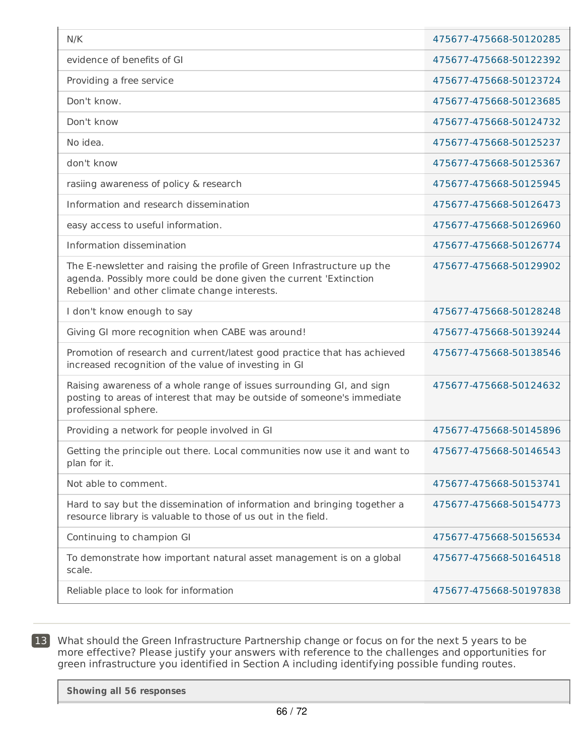| N/K                                                                                                                                                                                            | 475677-475668-50120285 |
|------------------------------------------------------------------------------------------------------------------------------------------------------------------------------------------------|------------------------|
| evidence of benefits of GI                                                                                                                                                                     | 475677-475668-50122392 |
| Providing a free service                                                                                                                                                                       | 475677-475668-50123724 |
| Don't know.                                                                                                                                                                                    | 475677-475668-50123685 |
| Don't know                                                                                                                                                                                     | 475677-475668-50124732 |
| No idea.                                                                                                                                                                                       | 475677-475668-50125237 |
| don't know                                                                                                                                                                                     | 475677-475668-50125367 |
| rasiing awareness of policy & research                                                                                                                                                         | 475677-475668-50125945 |
| Information and research dissemination                                                                                                                                                         | 475677-475668-50126473 |
| easy access to useful information.                                                                                                                                                             | 475677-475668-50126960 |
| Information dissemination                                                                                                                                                                      | 475677-475668-50126774 |
| The E-newsletter and raising the profile of Green Infrastructure up the<br>agenda. Possibly more could be done given the current 'Extinction<br>Rebellion' and other climate change interests. | 475677-475668-50129902 |
| I don't know enough to say                                                                                                                                                                     | 475677-475668-50128248 |
| Giving GI more recognition when CABE was around!                                                                                                                                               | 475677-475668-50139244 |
| Promotion of research and current/latest good practice that has achieved<br>increased recognition of the value of investing in GI                                                              | 475677-475668-50138546 |
| Raising awareness of a whole range of issues surrounding GI, and sign<br>posting to areas of interest that may be outside of someone's immediate<br>professional sphere.                       | 475677-475668-50124632 |
| Providing a network for people involved in GI                                                                                                                                                  | 475677-475668-50145896 |
| Getting the principle out there. Local communities now use it and want to<br>plan for it.                                                                                                      | 475677-475668-50146543 |
| Not able to comment.                                                                                                                                                                           | 475677-475668-50153741 |
| Hard to say but the dissemination of information and bringing together a<br>resource library is valuable to those of us out in the field.                                                      | 475677-475668-50154773 |
| Continuing to champion GI                                                                                                                                                                      | 475677-475668-50156534 |
| To demonstrate how important natural asset management is on a global<br>scale.                                                                                                                 | 475677-475668-50164518 |
| Reliable place to look for information                                                                                                                                                         | 475677-475668-50197838 |

13 What should the Green Infrastructure Partnership change or focus on for the next 5 years to be more effective? Please justify your answers with reference to the challenges and opportunities for green infrastructure you identified in Section A including identifying possible funding routes.

**Showing all 56 responses**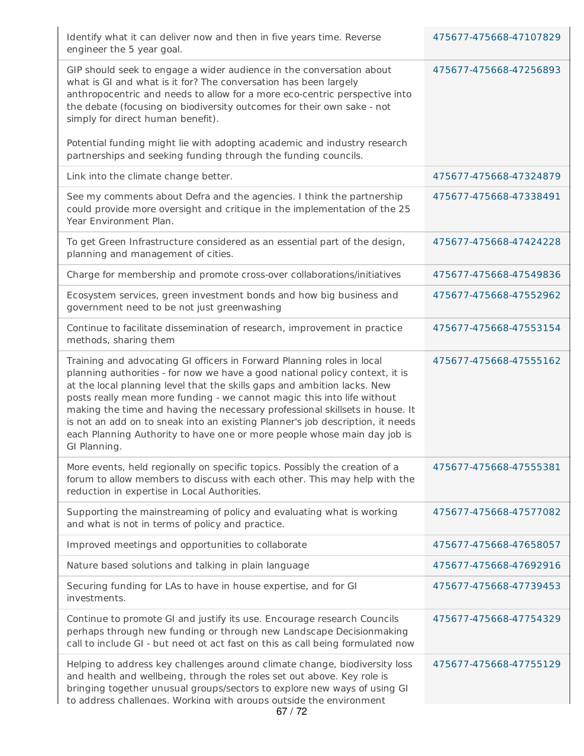| Identify what it can deliver now and then in five years time. Reverse<br>engineer the 5 year goal.                                                                                                                                                                                                                                                                                                                                                                                                                                                                          | 475677-475668-47107829 |
|-----------------------------------------------------------------------------------------------------------------------------------------------------------------------------------------------------------------------------------------------------------------------------------------------------------------------------------------------------------------------------------------------------------------------------------------------------------------------------------------------------------------------------------------------------------------------------|------------------------|
| GIP should seek to engage a wider audience in the conversation about<br>what is GI and what is it for? The conversation has been largely<br>anthropocentric and needs to allow for a more eco-centric perspective into<br>the debate (focusing on biodiversity outcomes for their own sake - not<br>simply for direct human benefit).<br>Potential funding might lie with adopting academic and industry research                                                                                                                                                           | 475677-475668-47256893 |
| partnerships and seeking funding through the funding councils.                                                                                                                                                                                                                                                                                                                                                                                                                                                                                                              | 475677-475668-47324879 |
| Link into the climate change better.                                                                                                                                                                                                                                                                                                                                                                                                                                                                                                                                        |                        |
| See my comments about Defra and the agencies. I think the partnership<br>could provide more oversight and critique in the implementation of the 25<br>Year Environment Plan.                                                                                                                                                                                                                                                                                                                                                                                                | 475677-475668-47338491 |
| To get Green Infrastructure considered as an essential part of the design,<br>planning and management of cities.                                                                                                                                                                                                                                                                                                                                                                                                                                                            | 475677-475668-47424228 |
| Charge for membership and promote cross-over collaborations/initiatives                                                                                                                                                                                                                                                                                                                                                                                                                                                                                                     | 475677-475668-47549836 |
| Ecosystem services, green investment bonds and how big business and<br>government need to be not just greenwashing                                                                                                                                                                                                                                                                                                                                                                                                                                                          | 475677-475668-47552962 |
| Continue to facilitate dissemination of research, improvement in practice<br>methods, sharing them                                                                                                                                                                                                                                                                                                                                                                                                                                                                          | 475677-475668-47553154 |
| Training and advocating GI officers in Forward Planning roles in local<br>planning authorities - for now we have a good national policy context, it is<br>at the local planning level that the skills gaps and ambition lacks. New<br>posts really mean more funding - we cannot magic this into life without<br>making the time and having the necessary professional skillsets in house. It<br>is not an add on to sneak into an existing Planner's job description, it needs<br>each Planning Authority to have one or more people whose main day job is<br>GI Planning. | 475677-475668-47555162 |
| More events, held regionally on specific topics. Possibly the creation of a<br>forum to allow members to discuss with each other. This may help with the<br>reduction in expertise in Local Authorities.                                                                                                                                                                                                                                                                                                                                                                    | 475677-475668-47555381 |
| Supporting the mainstreaming of policy and evaluating what is working<br>and what is not in terms of policy and practice.                                                                                                                                                                                                                                                                                                                                                                                                                                                   | 475677-475668-47577082 |
| Improved meetings and opportunities to collaborate                                                                                                                                                                                                                                                                                                                                                                                                                                                                                                                          | 475677-475668-47658057 |
| Nature based solutions and talking in plain language                                                                                                                                                                                                                                                                                                                                                                                                                                                                                                                        | 475677-475668-47692916 |
| Securing funding for LAs to have in house expertise, and for GI<br>investments.                                                                                                                                                                                                                                                                                                                                                                                                                                                                                             | 475677-475668-47739453 |
| Continue to promote GI and justify its use. Encourage research Councils<br>perhaps through new funding or through new Landscape Decisionmaking<br>call to include GI - but need ot act fast on this as call being formulated now                                                                                                                                                                                                                                                                                                                                            | 475677-475668-47754329 |
| Helping to address key challenges around climate change, biodiversity loss<br>and health and wellbeing, through the roles set out above. Key role is<br>bringing together unusual groups/sectors to explore new ways of using GI<br>to address challenges. Working with groups outside the environment<br>67/72                                                                                                                                                                                                                                                             | 475677-475668-47755129 |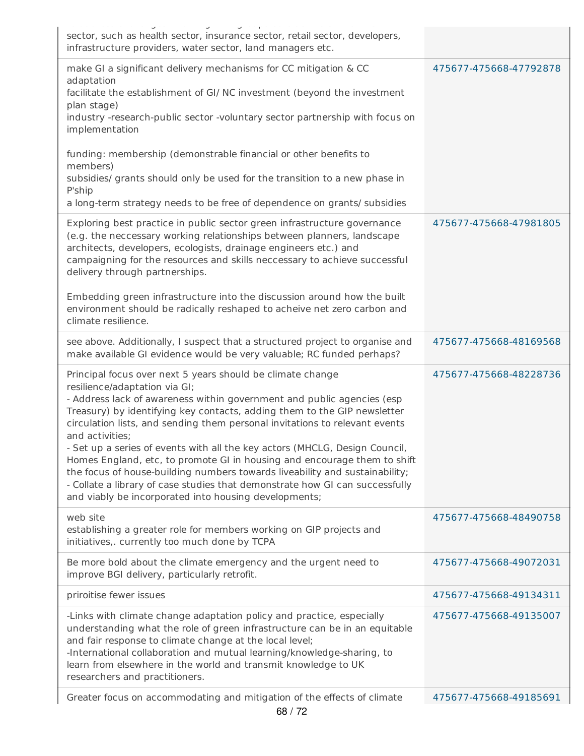| a www.aad arramarigaal reacting time geamps awaard med arren.                                                                                                                                                                                                                                                                                                                                                                                                                                                                                                                                                                                                                                                                        |                        |
|--------------------------------------------------------------------------------------------------------------------------------------------------------------------------------------------------------------------------------------------------------------------------------------------------------------------------------------------------------------------------------------------------------------------------------------------------------------------------------------------------------------------------------------------------------------------------------------------------------------------------------------------------------------------------------------------------------------------------------------|------------------------|
| sector, such as health sector, insurance sector, retail sector, developers,<br>infrastructure providers, water sector, land managers etc.                                                                                                                                                                                                                                                                                                                                                                                                                                                                                                                                                                                            |                        |
| make GI a significant delivery mechanisms for CC mitigation & CC<br>adaptation<br>facilitate the establishment of GI/ NC investment (beyond the investment<br>plan stage)<br>industry -research-public sector -voluntary sector partnership with focus on<br>implementation                                                                                                                                                                                                                                                                                                                                                                                                                                                          | 475677-475668-47792878 |
| funding: membership (demonstrable financial or other benefits to<br>members)<br>subsidies/ grants should only be used for the transition to a new phase in<br>P'ship<br>a long-term strategy needs to be free of dependence on grants/ subsidies                                                                                                                                                                                                                                                                                                                                                                                                                                                                                     |                        |
| Exploring best practice in public sector green infrastructure governance<br>(e.g. the neccessary working relationships between planners, landscape<br>architects, developers, ecologists, drainage engineers etc.) and<br>campaigning for the resources and skills neccessary to achieve successful<br>delivery through partnerships.                                                                                                                                                                                                                                                                                                                                                                                                | 475677-475668-47981805 |
| Embedding green infrastructure into the discussion around how the built<br>environment should be radically reshaped to acheive net zero carbon and<br>climate resilience.                                                                                                                                                                                                                                                                                                                                                                                                                                                                                                                                                            |                        |
| see above. Additionally, I suspect that a structured project to organise and<br>make available GI evidence would be very valuable; RC funded perhaps?                                                                                                                                                                                                                                                                                                                                                                                                                                                                                                                                                                                | 475677-475668-48169568 |
| Principal focus over next 5 years should be climate change<br>resilience/adaptation via GI;<br>- Address lack of awareness within government and public agencies (esp<br>Treasury) by identifying key contacts, adding them to the GIP newsletter<br>circulation lists, and sending them personal invitations to relevant events<br>and activities;<br>Set up a series of events with all the key actors (MHCLG, Design Council,<br>Homes England, etc, to promote GI in housing and encourage them to shift<br>the focus of house-building numbers towards liveability and sustainability;<br>- Collate a library of case studies that demonstrate how GI can successfully<br>and viably be incorporated into housing developments; | 475677-475668-48228736 |
| web site<br>establishing a greater role for members working on GIP projects and<br>initiatives,. currently too much done by TCPA                                                                                                                                                                                                                                                                                                                                                                                                                                                                                                                                                                                                     | 475677-475668-48490758 |
| Be more bold about the climate emergency and the urgent need to<br>improve BGI delivery, particularly retrofit.                                                                                                                                                                                                                                                                                                                                                                                                                                                                                                                                                                                                                      | 475677-475668-49072031 |
| priroitise fewer issues                                                                                                                                                                                                                                                                                                                                                                                                                                                                                                                                                                                                                                                                                                              | 475677-475668-49134311 |
| -Links with climate change adaptation policy and practice, especially<br>understanding what the role of green infrastructure can be in an equitable<br>and fair response to climate change at the local level;<br>-International collaboration and mutual learning/knowledge-sharing, to<br>learn from elsewhere in the world and transmit knowledge to UK<br>researchers and practitioners.                                                                                                                                                                                                                                                                                                                                         | 475677-475668-49135007 |
| Greater focus on accommodating and mitigation of the effects of climate                                                                                                                                                                                                                                                                                                                                                                                                                                                                                                                                                                                                                                                              | 475677-475668-49185691 |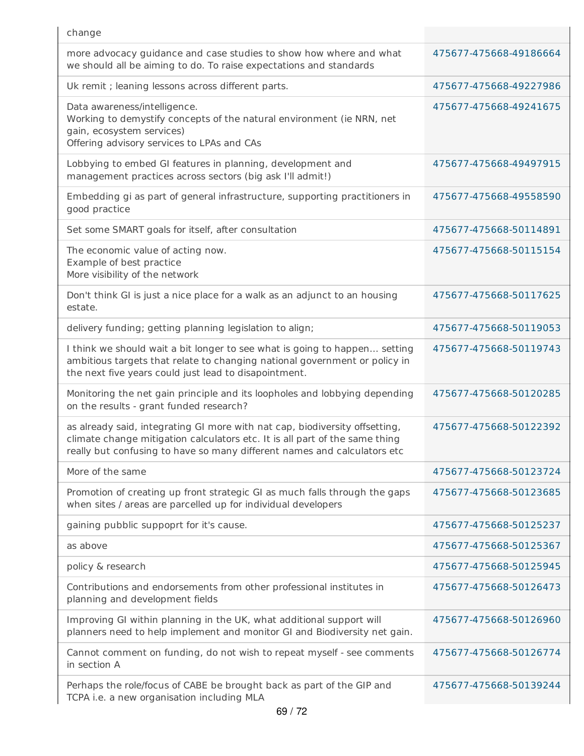| change                                                                                                                                                                                                                                 |                        |
|----------------------------------------------------------------------------------------------------------------------------------------------------------------------------------------------------------------------------------------|------------------------|
| more advocacy guidance and case studies to show how where and what<br>we should all be aiming to do. To raise expectations and standards                                                                                               | 475677-475668-49186664 |
| Uk remit ; leaning lessons across different parts.                                                                                                                                                                                     | 475677-475668-49227986 |
| Data awareness/intelligence.<br>Working to demystify concepts of the natural environment (ie NRN, net<br>gain, ecosystem services)<br>Offering advisory services to LPAs and CAs                                                       | 475677-475668-49241675 |
| Lobbying to embed GI features in planning, development and<br>management practices across sectors (big ask I'll admit!)                                                                                                                | 475677-475668-49497915 |
| Embedding gi as part of general infrastructure, supporting practitioners in<br>good practice                                                                                                                                           | 475677-475668-49558590 |
| Set some SMART goals for itself, after consultation                                                                                                                                                                                    | 475677-475668-50114891 |
| The economic value of acting now.<br>Example of best practice<br>More visibility of the network                                                                                                                                        | 475677-475668-50115154 |
| Don't think GI is just a nice place for a walk as an adjunct to an housing<br>estate.                                                                                                                                                  | 475677-475668-50117625 |
| delivery funding; getting planning legislation to align;                                                                                                                                                                               | 475677-475668-50119053 |
| I think we should wait a bit longer to see what is going to happen setting<br>ambitious targets that relate to changing national government or policy in<br>the next five years could just lead to disapointment.                      | 475677-475668-50119743 |
| Monitoring the net gain principle and its loopholes and lobbying depending<br>on the results - grant funded research?                                                                                                                  | 475677-475668-50120285 |
| as already said, integrating GI more with nat cap, biodiversity offsetting,<br>climate change mitigation calculators etc. It is all part of the same thing<br>really but confusing to have so many different names and calculators etc | 475677-475668-50122392 |
| More of the same                                                                                                                                                                                                                       | 475677-475668-50123724 |
| Promotion of creating up front strategic GI as much falls through the gaps<br>when sites / areas are parcelled up for individual developers                                                                                            | 475677-475668-50123685 |
| gaining pubblic suppoprt for it's cause.                                                                                                                                                                                               | 475677-475668-50125237 |
| as above                                                                                                                                                                                                                               | 475677-475668-50125367 |
| policy & research                                                                                                                                                                                                                      | 475677-475668-50125945 |
| Contributions and endorsements from other professional institutes in<br>planning and development fields                                                                                                                                | 475677-475668-50126473 |
| Improving GI within planning in the UK, what additional support will<br>planners need to help implement and monitor GI and Biodiversity net gain.                                                                                      | 475677-475668-50126960 |
| Cannot comment on funding, do not wish to repeat myself - see comments<br>in section A                                                                                                                                                 | 475677-475668-50126774 |
| Perhaps the role/focus of CABE be brought back as part of the GIP and<br>TCPA i.e. a new organisation including MLA                                                                                                                    | 475677-475668-50139244 |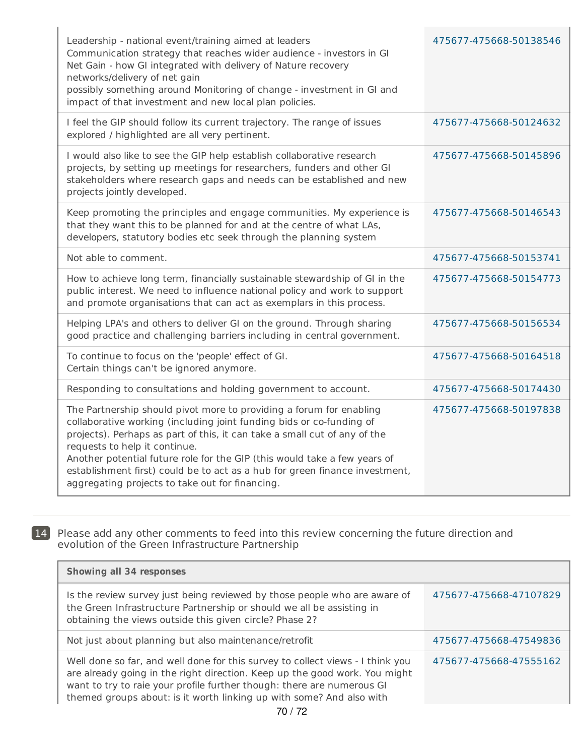| Leadership - national event/training aimed at leaders<br>Communication strategy that reaches wider audience - investors in GI<br>Net Gain - how GI integrated with delivery of Nature recovery<br>networks/delivery of net gain<br>possibly something around Monitoring of change - investment in GI and<br>impact of that investment and new local plan policies.                                                                                                       | 475677-475668-50138546 |
|--------------------------------------------------------------------------------------------------------------------------------------------------------------------------------------------------------------------------------------------------------------------------------------------------------------------------------------------------------------------------------------------------------------------------------------------------------------------------|------------------------|
| I feel the GIP should follow its current trajectory. The range of issues<br>explored / highlighted are all very pertinent.                                                                                                                                                                                                                                                                                                                                               | 475677-475668-50124632 |
| I would also like to see the GIP help establish collaborative research<br>projects, by setting up meetings for researchers, funders and other GI<br>stakeholders where research gaps and needs can be established and new<br>projects jointly developed.                                                                                                                                                                                                                 | 475677-475668-50145896 |
| Keep promoting the principles and engage communities. My experience is<br>that they want this to be planned for and at the centre of what LAs,<br>developers, statutory bodies etc seek through the planning system                                                                                                                                                                                                                                                      | 475677-475668-50146543 |
| Not able to comment.                                                                                                                                                                                                                                                                                                                                                                                                                                                     | 475677-475668-50153741 |
| How to achieve long term, financially sustainable stewardship of GI in the<br>public interest. We need to influence national policy and work to support<br>and promote organisations that can act as exemplars in this process.                                                                                                                                                                                                                                          | 475677-475668-50154773 |
| Helping LPA's and others to deliver GI on the ground. Through sharing<br>good practice and challenging barriers including in central government.                                                                                                                                                                                                                                                                                                                         | 475677-475668-50156534 |
| To continue to focus on the 'people' effect of GI.<br>Certain things can't be ignored anymore.                                                                                                                                                                                                                                                                                                                                                                           | 475677-475668-50164518 |
| Responding to consultations and holding government to account.                                                                                                                                                                                                                                                                                                                                                                                                           | 475677-475668-50174430 |
| The Partnership should pivot more to providing a forum for enabling<br>collaborative working (including joint funding bids or co-funding of<br>projects). Perhaps as part of this, it can take a small cut of any of the<br>requests to help it continue.<br>Another potential future role for the GIP (this would take a few years of<br>establishment first) could be to act as a hub for green finance investment,<br>aggregating projects to take out for financing. | 475677-475668-50197838 |

 $\mathbf{I}$ 

 $\mathbf{L}$ 

14 Please add any other comments to feed into this review concerning the future direction and evolution of the Green Infrastructure Partnership

| <b>Showing all 34 responses</b>                                                                                                                                                                                                                                                                                |                        |  |  |  |
|----------------------------------------------------------------------------------------------------------------------------------------------------------------------------------------------------------------------------------------------------------------------------------------------------------------|------------------------|--|--|--|
| Is the review survey just being reviewed by those people who are aware of<br>the Green Infrastructure Partnership or should we all be assisting in<br>obtaining the views outside this given circle? Phase 2?                                                                                                  | 475677-475668-47107829 |  |  |  |
| Not just about planning but also maintenance/retrofit                                                                                                                                                                                                                                                          | 475677-475668-47549836 |  |  |  |
| Well done so far, and well done for this survey to collect views - I think you<br>are already going in the right direction. Keep up the good work. You might<br>want to try to raie your profile further though: there are numerous GI<br>themed groups about: is it worth linking up with some? And also with | 475677-475668-47555162 |  |  |  |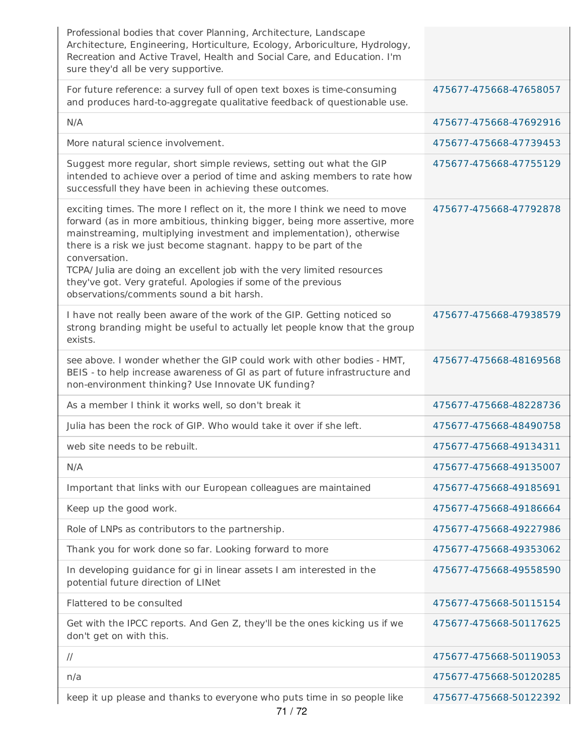| Professional bodies that cover Planning, Architecture, Landscape<br>Architecture, Engineering, Horticulture, Ecology, Arboriculture, Hydrology,<br>Recreation and Active Travel, Health and Social Care, and Education. I'm<br>sure they'd all be very supportive.                                                                                                                                                                                                                                           |                        |
|--------------------------------------------------------------------------------------------------------------------------------------------------------------------------------------------------------------------------------------------------------------------------------------------------------------------------------------------------------------------------------------------------------------------------------------------------------------------------------------------------------------|------------------------|
| For future reference: a survey full of open text boxes is time-consuming<br>and produces hard-to-aggregate qualitative feedback of questionable use.                                                                                                                                                                                                                                                                                                                                                         | 475677-475668-47658057 |
| N/A                                                                                                                                                                                                                                                                                                                                                                                                                                                                                                          | 475677-475668-47692916 |
| More natural science involvement.                                                                                                                                                                                                                                                                                                                                                                                                                                                                            | 475677-475668-47739453 |
| Suggest more regular, short simple reviews, setting out what the GIP<br>intended to achieve over a period of time and asking members to rate how<br>successfull they have been in achieving these outcomes.                                                                                                                                                                                                                                                                                                  | 475677-475668-47755129 |
| exciting times. The more I reflect on it, the more I think we need to move<br>forward (as in more ambitious, thinking bigger, being more assertive, more<br>mainstreaming, multiplying investment and implementation), otherwise<br>there is a risk we just become stagnant. happy to be part of the<br>conversation.<br>TCPA/ Julia are doing an excellent job with the very limited resources<br>they've got. Very grateful. Apologies if some of the previous<br>observations/comments sound a bit harsh. | 475677-475668-47792878 |
| I have not really been aware of the work of the GIP. Getting noticed so<br>strong branding might be useful to actually let people know that the group<br>exists.                                                                                                                                                                                                                                                                                                                                             | 475677-475668-47938579 |
| see above. I wonder whether the GIP could work with other bodies - HMT,<br>BEIS - to help increase awareness of GI as part of future infrastructure and<br>non-environment thinking? Use Innovate UK funding?                                                                                                                                                                                                                                                                                                | 475677-475668-48169568 |
| As a member I think it works well, so don't break it                                                                                                                                                                                                                                                                                                                                                                                                                                                         | 475677-475668-48228736 |
| Julia has been the rock of GIP. Who would take it over if she left.                                                                                                                                                                                                                                                                                                                                                                                                                                          | 475677-475668-48490758 |
| web site needs to be rebuilt.                                                                                                                                                                                                                                                                                                                                                                                                                                                                                | 475677-475668-49134311 |
| N/A                                                                                                                                                                                                                                                                                                                                                                                                                                                                                                          | 475677-475668-49135007 |
| Important that links with our European colleagues are maintained                                                                                                                                                                                                                                                                                                                                                                                                                                             | 475677-475668-49185691 |
| Keep up the good work.                                                                                                                                                                                                                                                                                                                                                                                                                                                                                       | 475677-475668-49186664 |
| Role of LNPs as contributors to the partnership.                                                                                                                                                                                                                                                                                                                                                                                                                                                             | 475677-475668-49227986 |
| Thank you for work done so far. Looking forward to more                                                                                                                                                                                                                                                                                                                                                                                                                                                      | 475677-475668-49353062 |
| In developing guidance for gi in linear assets I am interested in the<br>potential future direction of LINet                                                                                                                                                                                                                                                                                                                                                                                                 | 475677-475668-49558590 |
| Flattered to be consulted                                                                                                                                                                                                                                                                                                                                                                                                                                                                                    | 475677-475668-50115154 |
| Get with the IPCC reports. And Gen Z, they'll be the ones kicking us if we<br>don't get on with this.                                                                                                                                                                                                                                                                                                                                                                                                        | 475677-475668-50117625 |
| $\frac{1}{2}$                                                                                                                                                                                                                                                                                                                                                                                                                                                                                                | 475677-475668-50119053 |
| n/a                                                                                                                                                                                                                                                                                                                                                                                                                                                                                                          | 475677-475668-50120285 |
| keep it up please and thanks to everyone who puts time in so people like                                                                                                                                                                                                                                                                                                                                                                                                                                     | 475677-475668-50122392 |